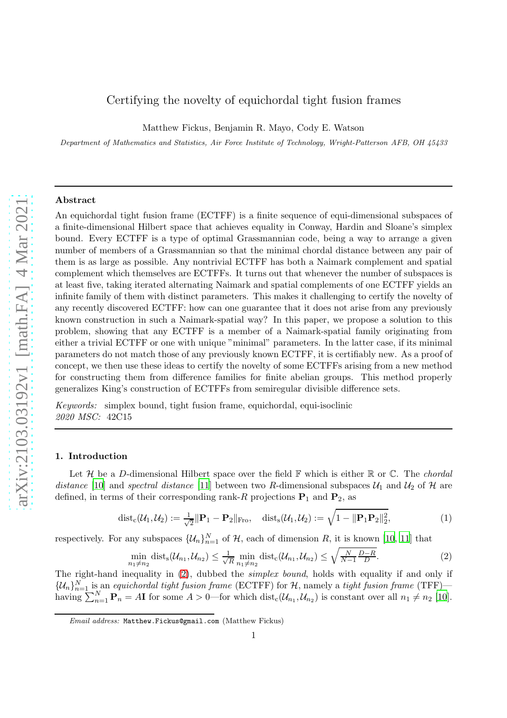# Certifying the novelty of equichordal tight fusion frames

Matthew Fickus, Benjamin R. Mayo, Cody E. Watson

Department of Mathematics and Statistics, Air Force Institute of Technology, Wright-Patterson AFB, OH 45433

## Abstract

An equichordal tight fusion frame (ECTFF) is a finite sequence of equi-dimensional subspaces of a finite-dimensional Hilbert space that achieves equality in Conway, Hardin and Sloane's simplex bound. Every ECTFF is a type of optimal Grassmannian code, being a way to arrange a given number of members of a Grassmannian so that the minimal chordal distance between any pair of them is as large as possible. Any nontrivial ECTFF has both a Naimark complement and spatial complement which themselves are ECTFFs. It turns out that whenever the number of subspaces is at least five, taking iterated alternating Naimark and spatial complements of one ECTFF yields an infinite family of them with distinct parameters. This makes it challenging to certify the novelty of any recently discovered ECTFF: how can one guarantee that it does not arise from any previously known construction in such a Naimark-spatial way? In this paper, we propose a solution to this problem, showing that any ECTFF is a member of a Naimark-spatial family originating from either a trivial ECTFF or one with unique "minimal" parameters. In the latter case, if its minimal parameters do not match those of any previously known ECTFF, it is certifiably new. As a proof of concept, we then use these ideas to certify the novelty of some ECTFFs arising from a new method for constructing them from difference families for finite abelian groups. This method properly generalizes King's construction of ECTFFs from semiregular divisible difference sets.

Keywords: simplex bound, tight fusion frame, equichordal, equi-isoclinic 2020 MSC: 42C15

#### 1. Introduction

Let  $\mathcal H$  be a D-dimensional Hilbert space over the field  $\mathbb F$  which is either  $\mathbb R$  or  $\mathbb C$ . The *chordal* distance [\[10](#page-34-0)] and spectral distance [\[11](#page-34-1)] between two R-dimensional subspaces  $\mathcal{U}_1$  and  $\mathcal{U}_2$  of  $\mathcal{H}$  are defined, in terms of their corresponding rank-R projections  $P_1$  and  $P_2$ , as

<span id="page-0-1"></span>
$$
\text{dist}_{\text{c}}(\mathcal{U}_1, \mathcal{U}_2) := \frac{1}{\sqrt{2}} \|\mathbf{P}_1 - \mathbf{P}_2\|_{\text{Fro}}, \quad \text{dist}_{\text{s}}(\mathcal{U}_1, \mathcal{U}_2) := \sqrt{1 - \|\mathbf{P}_1 \mathbf{P}_2\|_2^2},\tag{1}
$$

respectively. For any subspaces  $\{\mathcal{U}_n\}_{n=1}^N$  of  $\mathcal{H}$ , each of dimension R, it is known [\[10](#page-34-0), [11\]](#page-34-1) that

<span id="page-0-0"></span>
$$
\min_{n_1 \neq n_2} \text{dist}_{s}(\mathcal{U}_{n_1}, \mathcal{U}_{n_2}) \le \frac{1}{\sqrt{R}} \min_{n_1 \neq n_2} \text{dist}_{c}(\mathcal{U}_{n_1}, \mathcal{U}_{n_2}) \le \sqrt{\frac{N}{N-1} \frac{D-R}{D}}.
$$
 (2)

The right-hand inequality in [\(2\)](#page-0-0), dubbed the simplex bound, holds with equality if and only if  $\{\mathcal{U}_n\}_{n=1}^N$  is an equichordal tight fusion frame (ECTFF) for  $\mathcal{H}$ , namely a tight fusion frame (TFF) having  $\sum_{n=1}^{N} P_n = A \mathbf{I}$  for some  $A > 0$ —for which  $dist_c(\mathcal{U}_{n_1}, \mathcal{U}_{n_2})$  is constant over all  $n_1 \neq n_2$  [\[10\]](#page-34-0).

Email address: Matthew.Fickus@gmail.com (Matthew Fickus)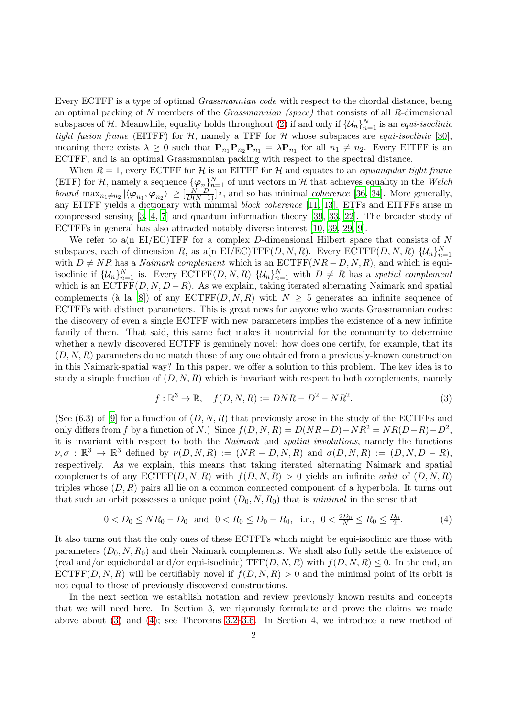Every ECTFF is a type of optimal Grassmannian code with respect to the chordal distance, being an optimal packing of N members of the Grassmannian (space) that consists of all R-dimensional subspaces of H. Meanwhile, equality holds throughout [\(2\)](#page-0-0) if and only if  $\{\mathcal{U}_n\}_{n=1}^N$  is an *equi-isoclinic* tight fusion frame (EITFF) for  $H$ , namely a TFF for  $H$  whose subspaces are *equi-isoclinic* [\[30\]](#page-35-0), meaning there exists  $\lambda \geq 0$  such that  $\mathbf{P}_{n_1}\mathbf{P}_{n_2}\mathbf{P}_{n_1} = \lambda \mathbf{P}_{n_1}$  for all  $n_1 \neq n_2$ . Every EITFF is an ECTFF, and is an optimal Grassmannian packing with respect to the spectral distance.

When  $R = 1$ , every ECTFF for H is an EITFF for H and equates to an *equiangular tight frame* (ETF) for H, namely a sequence  $\{\varphi_n\}_{n=1}^N$  of unit vectors in H that achieves equality in the Welch bound  $\max_{n_1 \neq n_2} |\langle \varphi_{n_1}, \varphi_{n_2} \rangle| \geq [\frac{N-D}{D(N-1)}]^{\frac{1}{2}}$ , and so has minimal *coherence* [\[36,](#page-35-1) [34](#page-35-2)]. More generally, any EITFF yields a dictionary with minimal block coherence [\[11](#page-34-1), [13\]](#page-34-2). ETFs and EITFFs arise in compressed sensing [\[3](#page-34-3), [4](#page-34-4), [7\]](#page-34-5) and quantum information theory [\[39,](#page-35-3) [33](#page-35-4), [22](#page-35-5)]. The broader study of ECTFFs in general has also attracted notably diverse interest [\[10](#page-34-0), [39,](#page-35-3) [29](#page-35-6), [9](#page-34-6)].

We refer to a(n EI/EC)TFF for a complex D-dimensional Hilbert space that consists of  $N$ subspaces, each of dimension R, as a(n EI/EC)TFF(D, N, R). Every ECTFF(D, N, R)  $\{U_n\}_{n=1}^N$ with  $D \neq NR$  has a *Naimark complement* which is an  $\text{ECTFF}(NR-D, N, R)$ , and which is equiisoclinic if  $\{\mathcal{U}_n\}_{n=1}^N$  is. Every ECTFF $(D, N, R)$   $\{\mathcal{U}_n\}_{n=1}^N$  with  $D \neq R$  has a spatial complement which is an  $\mathrm{ECTFF}(D, N, D - R)$ . As we explain, taking iterated alternating Naimark and spatial complements (à la [\[8](#page-34-7)]) of any  $ECTFF(D, N, R)$  with  $N \geq 5$  generates an infinite sequence of ECTFFs with distinct parameters. This is great news for anyone who wants Grassmannian codes: the discovery of even a single ECTFF with new parameters implies the existence of a new infinite family of them. That said, this same fact makes it nontrivial for the community to determine whether a newly discovered ECTFF is genuinely novel: how does one certify, for example, that its  $(D, N, R)$  parameters do no match those of any one obtained from a previously-known construction in this Naimark-spatial way? In this paper, we offer a solution to this problem. The key idea is to study a simple function of  $(D, N, R)$  which is invariant with respect to both complements, namely

<span id="page-1-0"></span>
$$
f: \mathbb{R}^3 \to \mathbb{R}, \quad f(D, N, R) := DNR - D^2 - NR^2.
$$
 (3)

(See  $(6.3)$  of [\[9](#page-34-6)] for a function of  $(D, N, R)$  that previously arose in the study of the ECTFFs and only differs from f by a function of N.) Since  $f(D, N, R) = D(NR-D) - NR^2 = NR(D-R) - D^2$ , it is invariant with respect to both the Naimark and spatial involutions, namely the functions  $\nu, \sigma : \mathbb{R}^3 \to \mathbb{R}^3$  defined by  $\nu(D, N, R) := (NR - D, N, R)$  and  $\sigma(D, N, R) := (D, N, D - R)$ , respectively. As we explain, this means that taking iterated alternating Naimark and spatial complements of any  $ECTFF(D, N, R)$  with  $f(D, N, R) > 0$  yields an infinite *orbit* of  $(D, N, R)$ triples whose  $(D, R)$  pairs all lie on a common connected component of a hyperbola. It turns out that such an orbit possesses a unique point  $(D_0, N, R_0)$  that is minimal in the sense that

<span id="page-1-1"></span>
$$
0 < D_0 \le NR_0 - D_0 \quad \text{and} \quad 0 < R_0 \le D_0 - R_0, \quad \text{i.e.,} \quad 0 < \frac{2D_0}{N} \le R_0 \le \frac{D_0}{2}.\tag{4}
$$

It also turns out that the only ones of these ECTFFs which might be equi-isoclinic are those with parameters  $(D_0, N, R_0)$  and their Naimark complements. We shall also fully settle the existence of (real and/or equichordal and/or equi-isoclinic) TFF $(D, N, R)$  with  $f(D, N, R) \leq 0$ . In the end, an ECTFF(D, N, R) will be certifiably novel if  $f(D, N, R) > 0$  and the minimal point of its orbit is not equal to those of previously discovered constructions.

In the next section we establish notation and review previously known results and concepts that we will need here. In Section 3, we rigorously formulate and prove the claims we made above about  $(3)$  and  $(4)$ ; see Theorems [3.2–](#page-8-0)[3.6.](#page-17-0) In Section 4, we introduce a new method of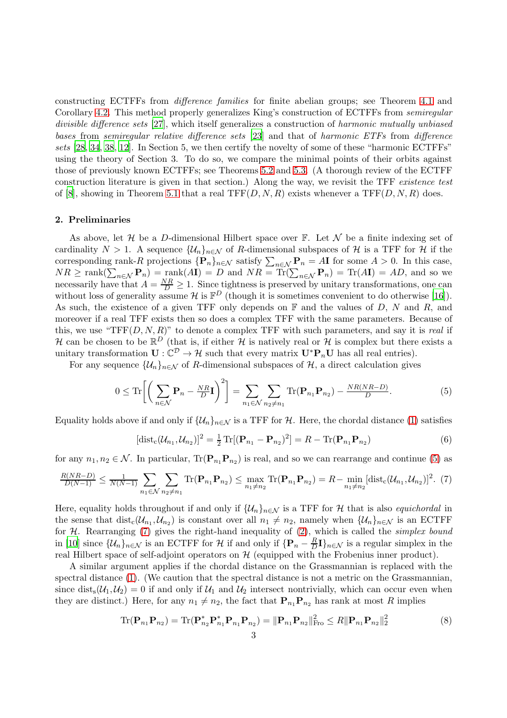constructing ECTFFs from difference families for finite abelian groups; see Theorem [4.1](#page-21-0) and Corollary [4.2.](#page-23-0) This method properly generalizes King's construction of ECTFFs from semiregular divisible difference sets [\[27](#page-35-7)], which itself generalizes a construction of harmonic mutually unbiased bases from semiregular relative difference sets [\[23](#page-35-8)] and that of harmonic ETFs from difference sets [\[28,](#page-35-9) [34](#page-35-2), [38](#page-35-10), [12](#page-34-8)]. In Section 5, we then certify the novelty of some of these "harmonic ECTFFs" using the theory of Section 3. To do so, we compare the minimal points of their orbits against those of previously known ECTFFs; see Theorems [5.2](#page-28-0) and [5.3.](#page-30-0) (A thorough review of the ECTFF construction literature is given in that section.) Along the way, we revisit the TFF existence test of [\[8](#page-34-7)], showing in Theorem [5.1](#page-25-0) that a real TFF $(D, N, R)$  exists whenever a TFF $(D, N, R)$  does.

#### 2. Preliminaries

As above, let  $\mathcal H$  be a D-dimensional Hilbert space over  $\mathbb F$ . Let  $\mathcal N$  be a finite indexing set of cardinality  $N > 1$ . A sequence  $\{U_n\}_{n \in \mathcal{N}}$  of R-dimensional subspaces of H is a TFF for H if the corresponding rank-R projections  $\{P_n\}_{n\in\mathcal{N}}$  satisfy  $\sum_{n\in\mathcal{N}}P_n = A\mathbf{I}$  for some  $A > 0$ . In this case,  $NR \ge \text{rank}(\sum_{n \in \mathcal{N}} \mathbf{P}_n) = \text{rank}(A\mathbf{I}) = D$  and  $NR = \text{Tr}(\sum_{n \in \mathcal{N}} \mathbf{P}_n) = \text{Tr}(A\mathbf{I}) = AD$ , and so we necessarily have that  $A = \frac{NR}{D} \ge 1$ . Since tightness is preserved by unitary transformations, one can without loss of generality assume  $\mathcal H$  is  $\mathbb F^D$  (though it is sometimes convenient to do otherwise [\[16](#page-35-11)]). As such, the existence of a given TFF only depends on  $\mathbb F$  and the values of D, N and R, and moreover if a real TFF exists then so does a complex TFF with the same parameters. Because of this, we use "TFF $(D, N, R)$ " to denote a complex TFF with such parameters, and say it is *real* if H can be chosen to be  $\mathbb{R}^D$  (that is, if either H is natively real or H is complex but there exists a unitary transformation  $\mathbf{U} : \mathbb{C}^{\mathcal{D}} \to \mathcal{H}$  such that every matrix  $\mathbf{U}^* \mathbf{P}_n \mathbf{U}$  has all real entries).

For any sequence  $\{\mathcal{U}_n\}_{n\in\mathcal{N}}$  of R-dimensional subspaces of  $\mathcal{H}$ , a direct calculation gives

<span id="page-2-0"></span>
$$
0 \leq \text{Tr}\left[\left(\sum_{n\in\mathcal{N}}\mathbf{P}_n - \frac{NR}{D}\mathbf{I}\right)^2\right] = \sum_{n_1\in\mathcal{N}}\sum_{n_2\neq n_1} \text{Tr}(\mathbf{P}_{n_1}\mathbf{P}_{n_2}) - \frac{NR(NR-D)}{D}.
$$
 (5)

Equality holds above if and only if  $\{\mathcal{U}_n\}_{n\in\mathcal{N}}$  is a TFF for H. Here, the chordal distance [\(1\)](#page-0-1) satisfies

<span id="page-2-2"></span>
$$
[dist_c(\mathcal{U}_{n_1}, \mathcal{U}_{n_2})]^2 = \frac{1}{2} \text{Tr}[(\mathbf{P}_{n_1} - \mathbf{P}_{n_2})^2] = R - \text{Tr}(\mathbf{P}_{n_1} \mathbf{P}_{n_2})
$$
(6)

for any  $n_1, n_2 \in \mathcal{N}$ . In particular,  $\text{Tr}(\mathbf{P}_{n_1}\mathbf{P}_{n_2})$  is real, and so we can rearrange and continue [\(5\)](#page-2-0) as

<span id="page-2-1"></span>
$$
\frac{R(NR-D)}{D(N-1)} \le \frac{1}{N(N-1)} \sum_{n_1 \in \mathcal{N}} \sum_{n_2 \neq n_1} \text{Tr}(\mathbf{P}_{n_1} \mathbf{P}_{n_2}) \le \max_{n_1 \neq n_2} \text{Tr}(\mathbf{P}_{n_1} \mathbf{P}_{n_2}) = R - \min_{n_1 \neq n_2} [\text{dist}_c(\mathcal{U}_{n_1}, \mathcal{U}_{n_2})]^2. (7)
$$

Here, equality holds throughout if and only if  $\{U_n\}_{n\in\mathcal{N}}$  is a TFF for H that is also *equichordal* in the sense that  $dist_c(\mathcal{U}_{n_1}, \mathcal{U}_{n_2})$  is constant over all  $n_1 \neq n_2$ , namely when  $\{\mathcal{U}_n\}_{n \in \mathcal{N}}$  is an ECTFF for  $H$ . Rearranging [\(7\)](#page-2-1) gives the right-hand inequality of [\(2\)](#page-0-0), which is called the *simplex bound* in [\[10](#page-34-0)] since  $\{\mathcal{U}_n\}_{n\in\mathcal{N}}$  is an ECTFF for  $\mathcal{H}$  if and only if  $\{\mathbf{P}_n - \frac{R}{D}\}$  $\frac{R}{D}\mathbf{I}\}_{n\in\mathcal{N}}$  is a regular simplex in the real Hilbert space of self-adjoint operators on  $H$  (equipped with the Frobenius inner product).

A similar argument applies if the chordal distance on the Grassmannian is replaced with the spectral distance [\(1\)](#page-0-1). (We caution that the spectral distance is not a metric on the Grassmannian, since dist<sub>s</sub> $(\mathcal{U}_1, \mathcal{U}_2) = 0$  if and only if  $\mathcal{U}_1$  and  $\mathcal{U}_2$  intersect nontrivially, which can occur even when they are distinct.) Here, for any  $n_1 \neq n_2$ , the fact that  $\mathbf{P}_{n_1}\mathbf{P}_{n_2}$  has rank at most R implies

<span id="page-2-3"></span>
$$
\text{Tr}(\mathbf{P}_{n_1}\mathbf{P}_{n_2}) = \text{Tr}(\mathbf{P}_{n_2}^*\mathbf{P}_{n_1}^*\mathbf{P}_{n_1}\mathbf{P}_{n_2}) = ||\mathbf{P}_{n_1}\mathbf{P}_{n_2}||_{\text{Fro}}^2 \le R||\mathbf{P}_{n_1}\mathbf{P}_{n_2}||_2^2
$$
\n(8)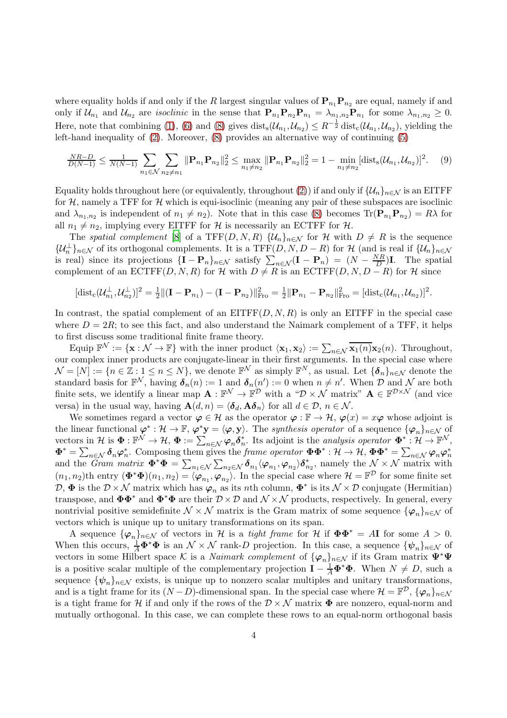where equality holds if and only if the R largest singular values of  $\mathbf{P}_{n_1}\mathbf{P}_{n_2}$  are equal, namely if and only if  $\mathcal{U}_{n_1}$  and  $\mathcal{U}_{n_2}$  are *isoclinic* in the sense that  $\mathbf{P}_{n_1}\mathbf{P}_{n_2}\mathbf{P}_{n_1} = \lambda_{n_1,n_2}\mathbf{P}_{n_1}$  for some  $\lambda_{n_1,n_2} \geq 0$ . Here, note that combining [\(1\)](#page-0-1), [\(6\)](#page-2-2) and [\(8\)](#page-2-3) gives  $dist_s(\mathcal{U}_{n_1}, \mathcal{U}_{n_2}) \leq R^{-\frac{1}{2}} dist_c(\mathcal{U}_{n_1}, \mathcal{U}_{n_2})$ , yielding the left-hand inequality of [\(2\)](#page-0-0). Moreover, [\(8\)](#page-2-3) provides an alternative way of continuing [\(5\)](#page-2-0)

<span id="page-3-0"></span>
$$
\frac{NR-D}{D(N-1)} \le \frac{1}{N(N-1)} \sum_{n_1 \in \mathcal{N}} \sum_{n_2 \ne n_1} \|\mathbf{P}_{n_1} \mathbf{P}_{n_2}\|_2^2 \le \max_{n_1 \ne n_2} \|\mathbf{P}_{n_1} \mathbf{P}_{n_2}\|_2^2 = 1 - \min_{n_1 \ne n_2} [\text{dist}_{\mathbf{s}}(\mathcal{U}_{n_1}, \mathcal{U}_{n_2})]^2. \tag{9}
$$

Equality holds throughout here (or equivalently, throughout [\(2\)](#page-0-0)) if and only if  $\{\mathcal{U}_n\}_{n\in\mathcal{N}}$  is an EITFF for  $H$ , namely a TFF for  $H$  which is equi-isoclinic (meaning any pair of these subspaces are isoclinic and  $\lambda_{n_1,n_2}$  is independent of  $n_1 \neq n_2$ ). Note that in this case [\(8\)](#page-2-3) becomes  $\text{Tr}(\mathbf{P}_{n_1}\mathbf{P}_{n_2}) = R\lambda$  for all  $n_1 \neq n_2$ , implying every EITFF for H is necessarily an ECTFF for H.

The spatial complement [\[8](#page-34-7)] of a TFF $(D, N, R)$   $\{U_n\}_{n\in\mathcal{N}}$  for H with  $D \neq R$  is the sequence  $\{\mathcal{U}_n^{\perp}\}_{n\in\mathcal{N}}$  of its orthogonal complements. It is a TFF $(D, N, D - R)$  for  $\mathcal{H}$  (and is real if  $\{\mathcal{U}_n\}_{n\in\mathcal{N}}$ is real) since its projections  $\{I - P_n\}_{n \in \mathcal{N}}$  satisfy  $\sum_{n \in \mathcal{N}} (I - P_n) = (N - \frac{NR}{D})I$ . The spatial complement of an  $\mathrm{ECTFF}(D, N, R)$  for  $H$  with  $D \neq R$  is an  $\mathrm{ECTFF}(D, N, D - R)$  for  $H$  since

$$
[\text{dist}_{\mathbf{c}}(\mathcal{U}_{n_1}^{\perp}, \mathcal{U}_{n_2}^{\perp})]^2 = \frac{1}{2} ||(\mathbf{I} - \mathbf{P}_{n_1}) - (\mathbf{I} - \mathbf{P}_{n_2})||_{\text{Fro}}^2 = \frac{1}{2} ||\mathbf{P}_{n_1} - \mathbf{P}_{n_2}||_{\text{Fro}}^2 = [\text{dist}_{\mathbf{c}}(\mathcal{U}_{n_1}, \mathcal{U}_{n_2})]^2.
$$

In contrast, the spatial complement of an  $EITFF(D, N, R)$  is only an EITFF in the special case where  $D = 2R$ ; to see this fact, and also understand the Naimark complement of a TFF, it helps to first discuss some traditional finite frame theory.

Equip  $\mathbb{F}^{\mathcal{N}} := {\mathbf{x} : \mathcal{N} \to \mathbb{F}}$  with the inner product  $\langle \mathbf{x}_1, \mathbf{x}_2 \rangle := \sum_{n \in \mathcal{N}} \overline{\mathbf{x}_1(n)} \mathbf{x}_2(n)$ . Throughout, our complex inner products are conjugate-linear in their first arguments. In the special case where  $\mathcal{N} = [N] := \{n \in \mathbb{Z} : 1 \leq n \leq N\},\$ we denote  $\mathbb{F}^{\mathcal{N}}$  as simply  $\mathbb{F}^N$ , as usual. Let  $\{\boldsymbol{\delta}_n\}_{n \in \mathcal{N}}$  denote the standard basis for  $\mathbb{F}^{\mathcal{N}}$ , having  $\delta_n(n) := 1$  and  $\delta_n(n) := 0$  when  $n \neq n'$ . When  $\mathcal{D}$  and  $\mathcal{N}$  are both finite sets, we identify a linear map  $\mathbf{A} : \mathbb{F}^{\mathcal{N}} \to \mathbb{F}^{\mathcal{D}}$  with a " $\mathcal{D} \times \mathcal{N}$  matrix"  $\mathbf{A} \in \mathbb{F}^{\mathcal{D} \times \mathcal{N}}$  (and vice versa) in the usual way, having  $\mathbf{A}(d, n) = \langle \delta_d, \mathbf{A}\delta_n \rangle$  for all  $d \in \mathcal{D}, n \in \mathcal{N}$ .

We sometimes regard a vector  $\varphi \in \mathcal{H}$  as the operator  $\varphi : \mathbb{F} \to \mathcal{H}$ ,  $\varphi(x) = x\varphi$  whose adjoint is the linear functional  $\varphi^* : \mathcal{H} \to \mathbb{F}$ ,  $\varphi^* \mathbf{y} = \langle \varphi, \mathbf{y} \rangle$ . The synthesis operator of a sequence  $\{\varphi_n\}_{n \in \mathcal{N}}$  of vectors in H is  $\Phi: \mathbb{F}^{\mathcal{N}} \to \mathcal{H}, \Phi := \sum_{n \in \mathcal{N}} \varphi_n \delta_n^*$ . Its adjoint is the *analysis operator*  $\Phi^*: \mathcal{H} \to \mathbb{F}^{\mathcal{N}}$ ,  $\mathbf{\Phi}^* = \sum_{n \in \mathcal{N}} \delta_n \varphi_n^*$ . Composing them gives the *frame operator*  $\mathbf{\Phi} \mathbf{\Phi}^* : \mathcal{H} \to \mathcal{H}$ ,  $\mathbf{\Phi} \mathbf{\Phi}^* = \sum_{n \in \mathcal{N}} \varphi_n \varphi_n^*$ and the Gram matrix  $\mathbf{\Phi}^* \mathbf{\Phi} = \sum_{n_1 \in \mathcal{N}} \sum_{n_2 \in \mathcal{N}} \delta_{n_1} \langle \varphi_{n_1}, \varphi_{n_2} \rangle \delta_{n_2}^*$ , namely the  $\mathcal{N} \times \mathcal{N}$  matrix with  $(n_1, n_2)$ th entry  $(\Phi^*\Phi)(n_1, n_2) = \langle \varphi_{n_1}, \varphi_{n_2} \rangle$ . In the special case where  $\mathcal{H} = \mathbb{F}^{\mathcal{D}}$  for some finite set  $\mathcal{D}, \Phi$  is the  $\mathcal{D} \times \mathcal{N}$  matrix which has  $\varphi_n$  as its nth column,  $\Phi^*$  is its  $\mathcal{N} \times \mathcal{D}$  conjugate (Hermitian) transpose, and  $\mathbf{\Phi}\mathbf{\Phi}^*$  and  $\mathbf{\Phi}^*\mathbf{\Phi}$  are their  $\mathcal{D}\times\mathcal{D}$  and  $\mathcal{N}\times\mathcal{N}$  products, respectively. In general, every nontrivial positive semidefinite  $\mathcal{N} \times \mathcal{N}$  matrix is the Gram matrix of some sequence  $\{\varphi_n\}_{n\in\mathcal{N}}$  of vectors which is unique up to unitary transformations on its span.

A sequence  $\{\varphi_n\}_{n\in\mathcal{N}}$  of vectors in H is a *tight frame* for H if  $\Phi\Phi^* = A\mathbf{I}$  for some  $A > 0$ . When this occurs,  $\frac{1}{A}\Phi^*\Phi$  is an  $\mathcal{N}\times\mathcal{N}$  rank-D projection. In this case, a sequence  $\{\psi_n\}_{n\in\mathcal{N}}$  of vectors in some Hilbert space K is a Naimark complement of  $\{\varphi_n\}_{n\in\mathcal{N}}$  if its Gram matrix  $\Psi^*\Psi$ is a positive scalar multiple of the complementary projection  $I - \frac{1}{A} \Phi^* \Phi$ . When  $N \neq D$ , such a sequence  $\{\psi_n\}_{n\in\mathcal{N}}$  exists, is unique up to nonzero scalar multiples and unitary transformations, and is a tight frame for its  $(N-D)$ -dimensional span. In the special case where  $\mathcal{H} = \mathbb{F}^{\mathcal{D}}, \{\varphi_n\}_{n \in \mathcal{N}}$ is a tight frame for H if and only if the rows of the  $\mathcal{D} \times \mathcal{N}$  matrix  $\Phi$  are nonzero, equal-norm and mutually orthogonal. In this case, we can complete these rows to an equal-norm orthogonal basis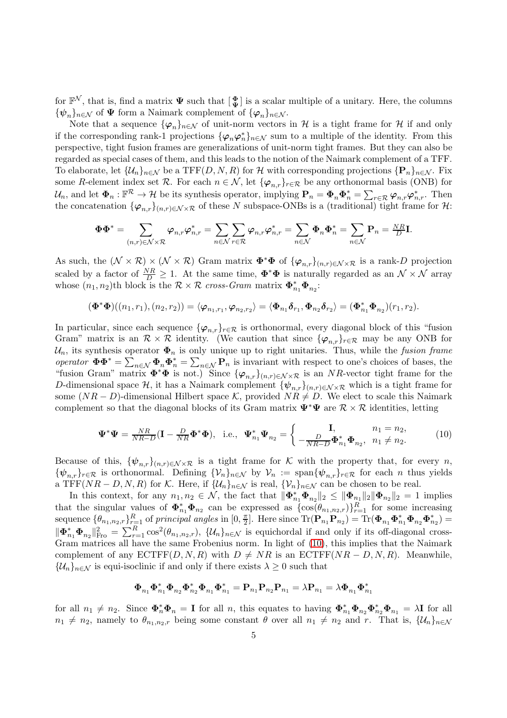for  $\mathbb{F}^{\mathcal{N}}$ , that is, find a matrix  $\Psi$  such that  $\left[\frac{\Phi}{\Psi}\right]$  is a scalar multiple of a unitary. Here, the columns  ${\{\psi_n\}_{n\in\mathcal{N}}}$  of  $\Psi$  form a Naimark complement of  ${\{\varphi_n\}_{n\in\mathcal{N}}}$ .

Note that a sequence  $\{\varphi_n\}_{n\in\mathcal{N}}$  of unit-norm vectors in H is a tight frame for H if and only if the corresponding rank-1 projections  $\{\varphi_n\varphi_n^*\}_{n\in\mathcal{N}}$  sum to a multiple of the identity. From this perspective, tight fusion frames are generalizations of unit-norm tight frames. But they can also be regarded as special cases of them, and this leads to the notion of the Naimark complement of a TFF. To elaborate, let  $\{\mathcal{U}_n\}_{n\in\mathcal{N}}$  be a TFF $(D, N, R)$  for H with corresponding projections  $\{\mathbf{P}_n\}_{n\in\mathcal{N}}$ . Fix some R-element index set R. For each  $n \in \mathcal{N}$ , let  $\{\varphi_{n,r}\}_{r \in \mathcal{R}}$  be any orthonormal basis (ONB) for  $\mathcal{U}_n$ , and let  $\Phi_n : \mathbb{F}^{\mathcal{R}} \to \mathcal{H}$  be its synthesis operator, implying  $\mathbf{P}_n = \Phi_n \Phi_n^* = \sum_{r \in \mathcal{R}} \varphi_{n,r} \varphi_{n,r}^*$ . Then the concatenation  $\{\varphi_{n,r}\}_{(n,r)\in\mathcal{N}\times\mathcal{R}}$  of these N subspace-ONBs is a (traditional) tight frame for H:

$$
\mathbf{\Phi}\mathbf{\Phi}^* = \sum_{(n,r)\in\mathcal{N}\times\mathcal{R}} \boldsymbol{\varphi}_{n,r}\boldsymbol{\varphi}_{n,r}^* = \sum_{n\in\mathcal{N}}\sum_{r\in\mathcal{R}} \boldsymbol{\varphi}_{n,r}\boldsymbol{\varphi}_{n,r}^* = \sum_{n\in\mathcal{N}} \mathbf{\Phi}_n\mathbf{\Phi}_n^* = \sum_{n\in\mathcal{N}} \mathbf{P}_n = \frac{N R}{D} \mathbf{I}.
$$

As such, the  $(\mathcal{N} \times \mathcal{R}) \times (\mathcal{N} \times \mathcal{R})$  Gram matrix  $\mathbf{\Phi}^* \mathbf{\Phi}$  of  $\{\varphi_{n,r}\}_{(n,r)\in\mathcal{N}\times\mathcal{R}}$  is a rank-D projection scaled by a factor of  $\frac{NR}{D} \geq 1$ . At the same time,  $\Phi^*\Phi$  is naturally regarded as an  $\mathcal{N} \times \mathcal{N}$  array whose  $(n_1, n_2)$ th block is the  $\mathcal{R} \times \mathcal{R}$  cross-Gram matrix  $\mathbf{\Phi}_{n_1}^* \mathbf{\Phi}_{n_2}$ :

$$
(\mathbf{\Phi}^*\mathbf{\Phi})((n_1,r_1),(n_2,r_2))=\langle\boldsymbol{\varphi}_{n_1,r_1},\boldsymbol{\varphi}_{n_2,r_2}\rangle=\langle\mathbf{\Phi}_{n_1}\boldsymbol{\delta}_{r_1},\mathbf{\Phi}_{n_2}\boldsymbol{\delta}_{r_2}\rangle=(\mathbf{\Phi}_{n_1}^*\mathbf{\Phi}_{n_2})(r_1,r_2).
$$

In particular, since each sequence  $\{\varphi_{n,r}\}_{r \in \mathcal{R}}$  is orthonormal, every diagonal block of this "fusion" Gram" matrix is an  $\mathcal{R} \times \mathcal{R}$  identity. (We caution that since  $\{\varphi_{n,r}\}_{r \in \mathcal{R}}$  may be any ONB for  $\mathcal{U}_n$ , its synthesis operator  $\Phi_n$  is only unique up to right unitaries. Thus, while the fusion frame operator  $\Phi \Phi^* = \sum_{n \in \mathcal{N}} \Phi_n \Phi_n^* = \sum_{n \in \mathcal{N}} \mathbf{P}_n$  is invariant with respect to one's choices of bases, the "fusion Gram" matrix  $\mathbf{\Phi}^*\mathbf{\Phi}$  is not.) Since  $\{\varphi_{n,r}\}_{(n,r)\in\mathcal{N}\times\mathcal{R}}$  is an NR-vector tight frame for the D-dimensional space H, it has a Naimark complement  ${\psi_{n,r}}_{(n,r)\in\mathcal{N}\times\mathcal{R}}$  which is a tight frame for some  $(NR - D)$ -dimensional Hilbert space K, provided  $NR \neq D$ . We elect to scale this Naimark complement so that the diagonal blocks of its Gram matrix  $\Psi^*\Psi$  are  $\mathcal{R}\times\mathcal{R}$  identities, letting

<span id="page-4-0"></span>
$$
\mathbf{\Psi}^* \mathbf{\Psi} = \frac{NR}{NR-D} (\mathbf{I} - \frac{D}{NR} \mathbf{\Phi}^* \mathbf{\Phi}), \text{ i.e., } \mathbf{\Psi}_{n_1}^* \mathbf{\Psi}_{n_2} = \begin{cases} \mathbf{I}, & n_1 = n_2, \\ -\frac{D}{NR-D} \mathbf{\Phi}_{n_1}^* \mathbf{\Phi}_{n_2}, & n_1 \neq n_2. \end{cases}
$$
(10)

Because of this,  $\{\psi_{n,r}\}_{(n,r)\in\mathcal{N}\times\mathcal{R}}$  is a tight frame for K with the property that, for every n,  ${\psi_{n,r}}_{r\in\mathcal{R}}$  is orthonormal. Defining  ${\psi_n}_{n\in\mathcal{N}}$  by  $\mathcal{V}_n := \text{span}{\{\psi_{n,r}\}_{r\in\mathcal{R}}}$  for each n thus yields a TFF( $NR - D, N, R$ ) for K. Here, if  $\{\mathcal{U}_n\}_{n \in \mathcal{N}}$  is real,  $\{\mathcal{V}_n\}_{n \in \mathcal{N}}$  can be chosen to be real.

In this context, for any  $n_1, n_2 \in \mathcal{N}$ , the fact that  $\|\mathbf{\Phi}_{n_1}^* \mathbf{\Phi}_{n_2}\|_2 \leq \|\mathbf{\Phi}_{n_1}\|_2 \|\mathbf{\Phi}_{n_2}\|_2 = 1$  implies that the singular values of  $\Phi_{n_1}^* \Phi_{n_2}$  can be expressed as  $\{\cos(\theta_{n_1,n_2,r})\}_{r=1}^R$  for some increasing sequence  $\{\theta_{n_1,n_2,r}\}_{r=1}^R$  of principal angles in  $[0, \frac{\pi}{2}]$ <sup> $\frac{\pi}{2}$ </sup>. Here since  $\text{Tr}(\mathbf{P}_{n_1}\mathbf{P}_{n_2}) = \text{Tr}(\mathbf{\Phi}_{n_1}\mathbf{\Phi}_{n_1}^* \mathbf{\Phi}_{n_2} \mathbf{\Phi}_{n_2}^*) =$  $\|\Phi_{n_1}^*\Phi_{n_2}\|_{\text{Fro}}^2 = \sum_{r=1}^R \cos^2(\theta_{n_1,n_2,r}), \ \{\mathcal{U}_n\}_{n \in \mathcal{N}}$  is equichordal if and only if its off-diagonal cross-Gram matrices all have the same Frobenius norm. In light of [\(10\)](#page-4-0), this implies that the Naimark complement of any  $\text{ECTFF}(D, N, R)$  with  $D \neq NR$  is an  $\text{ECTFF}(NR - D, N, R)$ . Meanwhile,  $\{\mathcal{U}_n\}_{n\in\mathcal{N}}$  is equi-isoclinic if and only if there exists  $\lambda \geq 0$  such that

$$
\boldsymbol{\Phi}_{n_1}\boldsymbol{\Phi}_{n_1}^*\boldsymbol{\Phi}_{n_2}\boldsymbol{\Phi}_{n_2}^*\boldsymbol{\Phi}_{n_1}\boldsymbol{\Phi}_{n_1}^*=\mathbf{P}_{n_1}\mathbf{P}_{n_2}\mathbf{P}_{n_1}=\lambda\mathbf{P}_{n_1}=\lambda\boldsymbol{\Phi}_{n_1}\boldsymbol{\Phi}_{n_1}^*
$$

for all  $n_1 \neq n_2$ . Since  $\mathbf{\Phi}_n^* \mathbf{\Phi}_n = \mathbf{I}$  for all n, this equates to having  $\mathbf{\Phi}_{n_1}^* \mathbf{\Phi}_{n_2} \mathbf{\Phi}_{n_2}^* \mathbf{\Phi}_{n_1} = \lambda \mathbf{I}$  for all  $n_1 \neq n_2$ , namely to  $\theta_{n_1,n_2,r}$  being some constant  $\theta$  over all  $n_1 \neq n_2$  and r. That is,  $\{\mathcal{U}_n\}_{n\in\mathcal{N}}$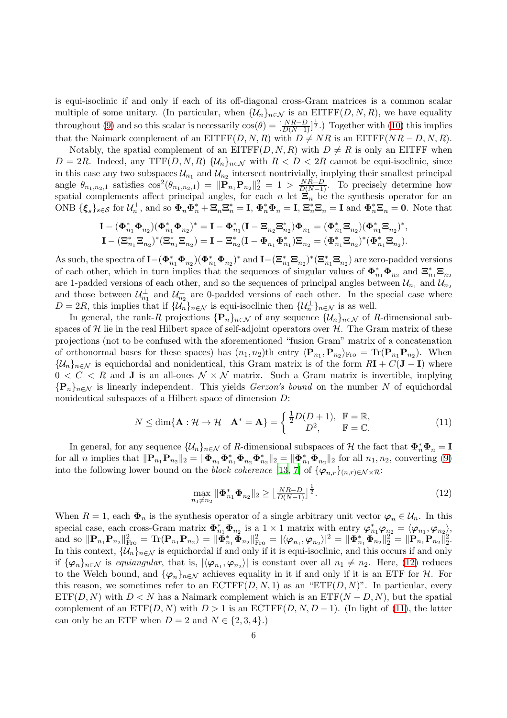is equi-isoclinic if and only if each of its off-diagonal cross-Gram matrices is a common scalar multiple of some unitary. (In particular, when  $\{\mathcal{U}_n\}_{n\in\mathcal{N}}$  is an EITFF $(D, N, R)$ , we have equality throughout [\(9\)](#page-3-0) and so this scalar is necessarily  $\cos(\theta) = \left[\frac{NR-D}{D(N-1)}\right]^{\frac{1}{2}}$ .) Together with [\(10\)](#page-4-0) this implies that the Naimark complement of an EITFF(D, N, R) with  $D \neq NR$  is an EITFF( $NR - D, N, R$ ).

Notably, the spatial complement of an EITFF $(D, N, R)$  with  $D \neq R$  is only an EITFF when  $D = 2R$ . Indeed, any TFF(D, N, R)  $\{\mathcal{U}_n\}_{n \in \mathcal{N}}$  with  $R < D < 2R$  cannot be equi-isoclinic, since in this case any two subspaces  $\mathcal{U}_{n_1}$  and  $\mathcal{U}_{n_2}$  intersect nontrivially, implying their smallest principal angle  $\theta_{n_1,n_2,1}$  satisfies  $\cos^2(\theta_{n_1,n_2,1}) = ||\mathbf{P}_{n_1}\mathbf{P}_{n_2}||_2^2 = 1 > \frac{NR-D}{D(N-1)}$ . To precisely determine how spatial complements affect principal angles, for each n let  $\Xi_n$  be the synthesis operator for an ONB  $\{\boldsymbol{\xi}_s\}_{s\in\mathcal{S}}$  for  $\mathcal{U}_n^{\perp}$ , and so  $\boldsymbol{\Phi}_n \boldsymbol{\Phi}_n^* + \boldsymbol{\Xi}_n \boldsymbol{\Xi}_n^* = \mathbf{I}$ ,  $\boldsymbol{\Phi}_n^* \boldsymbol{\Phi}_n = \mathbf{I}$ ,  $\boldsymbol{\Xi}_n^* \boldsymbol{\Xi}_n = \mathbf{I}$  and  $\boldsymbol{\Phi}_n^* \boldsymbol{\Xi}_n = \mathbf{0}$ . Note that

$$
\begin{aligned} \mathbf{I} - (\pmb{\Phi}_{n_1}^* \pmb{\Phi}_{n_2}) (\pmb{\Phi}_{n_1}^* \pmb{\Phi}_{n_2})^* &= \mathbf{I} - \pmb{\Phi}_{n_1}^* (\mathbf{I} - \pmb{\Xi}_{n_2} \pmb{\Xi}_{n_2}^*) \pmb{\Phi}_{n_1} = (\pmb{\Phi}_{n_1}^* \pmb{\Xi}_{n_2}) (\pmb{\Phi}_{n_1}^* \pmb{\Xi}_{n_2})^*, \\ \mathbf{I} - (\pmb{\Xi}_{n_1}^* \pmb{\Xi}_{n_2})^* (\pmb{\Xi}_{n_1}^* \pmb{\Xi}_{n_2}) &= \mathbf{I} - \pmb{\Xi}_{n_2}^* (\mathbf{I} - \pmb{\Phi}_{n_1} \pmb{\Phi}_{n_1}^*) \pmb{\Xi}_{n_2} = (\pmb{\Phi}_{n_1}^* \pmb{\Xi}_{n_2})^* (\pmb{\Phi}_{n_1}^* \pmb{\Xi}_{n_2}). \end{aligned}
$$

As such, the spectra of  $\mathbf{I}-(\boldsymbol{\Phi}_{n_1}^*\boldsymbol{\Phi}_{n_2})(\boldsymbol{\Phi}_{n_1}^*\boldsymbol{\Phi}_{n_2})^*$  and  $\mathbf{I}-(\boldsymbol{\Xi}_{n_1}^*\boldsymbol{\Xi}_{n_2})^*(\boldsymbol{\Xi}_{n_1}^*\boldsymbol{\Xi}_{n_2})$  are zero-padded versions of each other, which in turn implies that the sequences of singular values of  $\Phi_{n_1}^* \Phi_{n_2}$  and  $\Xi_{n_1}^* \Xi_{n_2}$ are 1-padded versions of each other, and so the sequences of principal angles between  $\mathcal{U}_{n_1}$  and  $\mathcal{U}_{n_2}$ and those between  $\mathcal{U}_{n_1}^{\perp}$  and  $\mathcal{U}_{n_2}^{\perp}$  are 0-padded versions of each other. In the special case where  $D = 2R$ , this implies that if  $\{U_n\}_{n \in \mathcal{N}}$  is equi-isoclinic then  $\{U_n^{\perp}\}_{n \in \mathcal{N}}$  is as well.

In general, the rank-R projections  ${\bf P}_n$ <sub>n∈N</sub> of any sequence  $\{\mathcal{U}_n\}_{n\in\mathcal{N}}$  of R-dimensional subspaces of  $H$  lie in the real Hilbert space of self-adjoint operators over  $H$ . The Gram matrix of these projections (not to be confused with the aforementioned "fusion Gram" matrix of a concatenation of orthonormal bases for these spaces) has  $(n_1, n_2)$ th entry  $\langle \mathbf{P}_{n_1}, \mathbf{P}_{n_2} \rangle_{\text{Fro}} = \text{Tr}(\mathbf{P}_{n_1} \mathbf{P}_{n_2})$ . When  $\{\mathcal{U}_n\}_{n\in\mathcal{N}}$  is equichordal and nonidentical, this Gram matrix is of the form  $R\mathbf{I} + C(\mathbf{J} - \mathbf{I})$  where  $0 < C < R$  and **J** is an all-ones  $\mathcal{N} \times \mathcal{N}$  matrix. Such a Gram matrix is invertible, implying  ${P_n}_{n\in\mathbb{N}}$  is linearly independent. This yields *Gerzon's bound* on the number N of equichordal nonidentical subspaces of a Hilbert space of dimension D:

<span id="page-5-1"></span>
$$
N \le \dim\{\mathbf{A} : \mathcal{H} \to \mathcal{H} \mid \mathbf{A}^* = \mathbf{A}\} = \begin{cases} \frac{1}{2}D(D+1), & \mathbb{F} = \mathbb{R}, \\ D^2, & \mathbb{F} = \mathbb{C}. \end{cases}
$$
(11)

In general, for any sequence  $\{\mathcal{U}_n\}_{n\in\mathcal{N}}$  of R-dimensional subspaces of  $\mathcal H$  the fact that  $\Phi_n^*\Phi_n = \mathbf{I}$ for all n implies that  $\|\mathbf{P}_{n_1}\mathbf{P}_{n_2}\|_2 = \|\mathbf{\Phi}_{n_1}\mathbf{\Phi}_{n_1}\mathbf{\Phi}_{n_2}\mathbf{\Phi}_{n_2}^*\|_2 = \|\mathbf{\Phi}_{n_1}^*\mathbf{\Phi}_{n_2}\|_2$  for all  $n_1, n_2$ , converting [\(9\)](#page-3-0) into the following lower bound on the block coherence [\[13](#page-34-2), [7](#page-34-5)] of  $\{\varphi_{n,r}\}_{(n,r)\in\mathcal{N}\times\mathcal{R}}$ :

<span id="page-5-0"></span>
$$
\max_{n_1 \neq n_2} \|\mathbf{\Phi}_{n_1}^* \mathbf{\Phi}_{n_2}\|_2 \ge \left[\frac{NR - D}{D(N - 1)}\right]^{\frac{1}{2}}.
$$
\n(12)

When  $R = 1$ , each  $\Phi_n$  is the synthesis operator of a single arbitrary unit vector  $\varphi_n \in \mathcal{U}_n$ . In this special case, each cross-Gram matrix  $\Phi_{n_1}^* \Phi_{n_2}$  is a  $1 \times 1$  matrix with entry  $\varphi_{n_1}^* \varphi_{n_2} = \langle \varphi_{n_1}, \varphi_{n_2} \rangle$ , and so  $\|\mathbf{P}_{n_1}\mathbf{P}_{n_2}\|_{\text{Fro}}^2 = \text{Tr}(\mathbf{P}_{n_1}\mathbf{P}_{n_2}) = \|\hat{\mathbf{\Phi}}_{n_1}^* \tilde{\mathbf{\Phi}}_{n_2}\|_{\text{Fro}}^2 = |\langle \varphi_{n_1}, \varphi_{n_2} \rangle|^2 = \|\mathbf{\Phi}_{n_1}^* \mathbf{\Phi}_{n_2}\|_2^2 = \|\mathbf{P}_{n_1}\mathbf{P}_{n_2}\|_2^2.$ In this context,  $\{\mathcal{U}_n\}_{n\in\mathcal{N}}$  is equichordal if and only if it is equi-isoclinic, and this occurs if and only if  $\{\varphi_n\}_{n\in\mathcal{N}}$  is equiangular, that is,  $|\langle\varphi_{n_1},\varphi_{n_2}\rangle|$  is constant over all  $n_1\neq n_2$ . Here, [\(12\)](#page-5-0) reduces to the Welch bound, and  $\{\varphi_n\}_{n\in\mathcal{N}}$  achieves equality in it if and only if it is an ETF for H. For this reason, we sometimes refer to an  $\mathrm{ECTFF}(D, N, 1)$  as an "ETF $(D, N)$ ". In particular, every  $ETF(D, N)$  with  $D < N$  has a Naimark complement which is an  $ETF(N - D, N)$ , but the spatial complement of an  $ETF(D, N)$  with  $D > 1$  is an  $ECTFF(D, N, D - 1)$ . (In light of [\(11\)](#page-5-1), the latter can only be an ETF when  $D = 2$  and  $N \in \{2, 3, 4\}$ .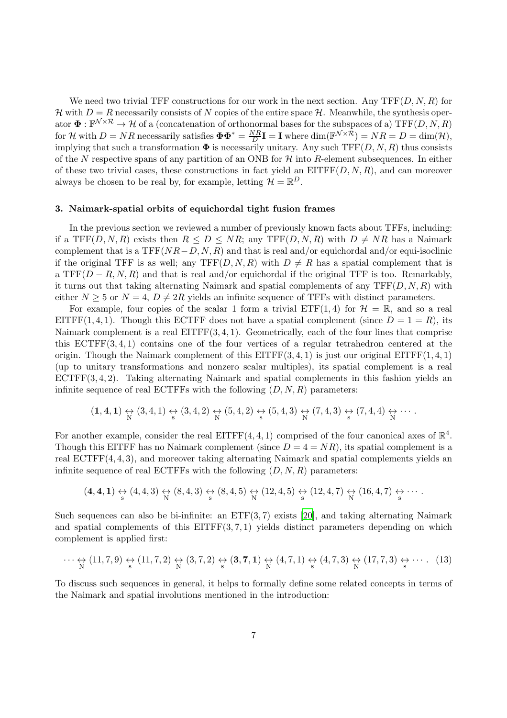We need two trivial TFF constructions for our work in the next section. Any  $TF(D, N, R)$  for H with  $D = R$  necessarily consists of N copies of the entire space H. Meanwhile, the synthesis operator  $\Phi : \mathbb{F}^{\mathcal{N}\times\mathcal{R}} \to \mathcal{H}$  of a (concatenation of orthonormal bases for the subspaces of a) TFF $(D, N, R)$ for H with  $D = NR$  necessarily satisfies  $\mathbf{\Phi} \mathbf{\Phi}^* = \frac{NR}{D}$  $\frac{\partial R}{\partial D}$ **I** = **I** where dim( $\mathbb{F}^{\mathcal{N}\times\mathcal{R}}$ ) =  $NR = D = \dim(\mathcal{H}),$ implying that such a transformation  $\Phi$  is necessarily unitary. Any such TFF $(D, N, R)$  thus consists of the N respective spans of any partition of an ONB for  $H$  into R-element subsequences. In either of these two trivial cases, these constructions in fact yield an  $EIFF(D, N, R)$ , and can moreover always be chosen to be real by, for example, letting  $\mathcal{H} = \mathbb{R}^D$ .

#### 3. Naimark-spatial orbits of equichordal tight fusion frames

In the previous section we reviewed a number of previously known facts about TFFs, including: if a TFF(D, N, R) exists then  $R \leq D \leq NR$ ; any TFF(D, N, R) with  $D \neq NR$  has a Naimark complement that is a  $TF(NR-D, N, R)$  and that is real and/or equichordal and/or equi-isoclinic if the original TFF is as well; any TFF $(D, N, R)$  with  $D \neq R$  has a spatial complement that is a TFF( $D - R, N, R$ ) and that is real and/or equichordal if the original TFF is too. Remarkably, it turns out that taking alternating Naimark and spatial complements of any  $TFF(D, N, R)$  with either  $N \geq 5$  or  $N = 4$ ,  $D \neq 2R$  yields an infinite sequence of TFFs with distinct parameters.

For example, four copies of the scalar 1 form a trivial  $\text{ETF}(1, 4)$  for  $\mathcal{H} = \mathbb{R}$ , and so a real EITFF(1, 4, 1). Though this ECTFF does not have a spatial complement (since  $D = 1 = R$ ), its Naimark complement is a real EITFF(3, 4, 1). Geometrically, each of the four lines that comprise this ECTFF(3, 4, 1) contains one of the four vertices of a regular tetrahedron centered at the origin. Though the Naimark complement of this  $EITFF(3, 4, 1)$  is just our original  $EITFF(1, 4, 1)$ (up to unitary transformations and nonzero scalar multiples), its spatial complement is a real ECTFF(3, 4, 2). Taking alternating Naimark and spatial complements in this fashion yields an infinite sequence of real ECTFFs with the following  $(D, N, R)$  parameters:

$$
(\mathbf{1},\mathbf{4},\mathbf{1}) \underset{N}{\leftrightarrow} (\mathbf{3},\mathbf{4},\mathbf{1}) \underset{s}{\leftrightarrow} (\mathbf{3},\mathbf{4},\mathbf{2}) \underset{N}{\leftrightarrow} (\mathbf{5},\mathbf{4},\mathbf{2}) \underset{s}{\leftrightarrow} (\mathbf{5},\mathbf{4},\mathbf{3}) \underset{N}{\leftrightarrow} (\mathbf{7},\mathbf{4},\mathbf{3}) \underset{s}{\leftrightarrow} (\mathbf{7},\mathbf{4},\mathbf{4}) \underset{N}{\leftrightarrow} \cdots .
$$

For another example, consider the real EITFF $(4, 4, 1)$  comprised of the four canonical axes of  $\mathbb{R}^4$ . Though this EITFF has no Naimark complement (since  $D = 4 = NR$ ), its spatial complement is a real ECTFF(4, 4, 3), and moreover taking alternating Naimark and spatial complements yields an infinite sequence of real ECTFFs with the following  $(D, N, R)$  parameters:

$$
(\mathbf{4},\mathbf{4},\mathbf{1})\underset{\mathrm{s}}{\leftrightarrow}(\mathbf{4},\mathbf{4},\mathbf{3})\underset{\mathrm{N}}{\leftrightarrow}(\mathbf{8},\mathbf{4},\mathbf{3})\underset{\mathrm{s}}{\leftrightarrow}(\mathbf{8},\mathbf{4},\mathbf{5})\underset{\mathrm{N}}{\leftrightarrow}(\mathbf{12},\mathbf{4},\mathbf{5})\underset{\mathrm{s}}{\leftrightarrow}(\mathbf{12},\mathbf{4},\mathbf{7})\underset{\mathrm{N}}{\leftrightarrow}(\mathbf{16},\mathbf{4},\mathbf{7})\underset{\mathrm{s}}{\leftrightarrow}\cdots.
$$

Such sequences can also be bi-infinite: an  $ETF(3, 7)$  exists [\[20](#page-35-12)], and taking alternating Naimark and spatial complements of this  $EITFF(3, 7, 1)$  yields distinct parameters depending on which complement is applied first:

<span id="page-6-0"></span>
$$
\cdots \leftrightarrow_{N} (11,7,9) \leftrightarrow_{s} (11,7,2) \leftrightarrow_{N} (3,7,2) \leftrightarrow_{s} (3,7,1) \leftrightarrow_{N} (4,7,1) \leftrightarrow_{s} (4,7,3) \leftrightarrow_{N} (17,7,3) \leftrightarrow_{s} \cdots
$$
 (13)

To discuss such sequences in general, it helps to formally define some related concepts in terms of the Naimark and spatial involutions mentioned in the introduction: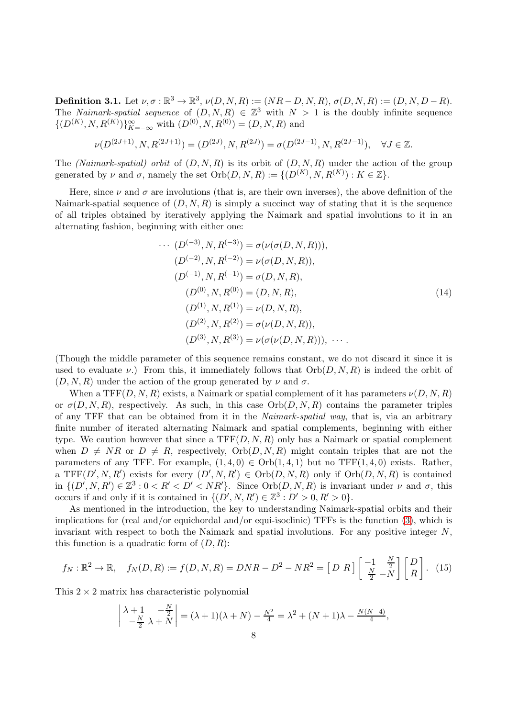<span id="page-7-0"></span>**Definition 3.1.** Let  $\nu, \sigma : \mathbb{R}^3 \to \mathbb{R}^3$ ,  $\nu(D, N, R) := (NR - D, N, R), \sigma(D, N, R) := (D, N, D - R)$ . The *Naimark-spatial sequence* of  $(D, N, R) \in \mathbb{Z}^3$  with  $N > 1$  is the doubly infinite sequence  $\{(D^{(K)}, N, R^{(K)})\}_{K=-\infty}^{\infty}$  with  $(D^{(0)}, N, R^{(0)}) = (D, N, R)$  and

$$
\nu(D^{(2J+1)},N,R^{(2J+1)})=(D^{(2J)},N,R^{(2J)})=\sigma(D^{(2J-1)},N,R^{(2J-1)}),\quad \forall J\in\mathbb{Z}.
$$

The (Naimark-spatial) orbit of  $(D, N, R)$  is its orbit of  $(D, N, R)$  under the action of the group generated by  $\nu$  and  $\sigma$ , namely the set  $Orb(D, N, R) := \{ (D^{(K)}, N, R^{(K)}) : K \in \mathbb{Z} \}.$ 

Here, since  $\nu$  and  $\sigma$  are involutions (that is, are their own inverses), the above definition of the Naimark-spatial sequence of  $(D, N, R)$  is simply a succinct way of stating that it is the sequence of all triples obtained by iteratively applying the Naimark and spatial involutions to it in an alternating fashion, beginning with either one:

<span id="page-7-2"></span>
$$
\cdots (D^{(-3)}, N, R^{(-3)}) = \sigma(\nu(\sigma(D, N, R))),
$$
  
\n
$$
(D^{(-2)}, N, R^{(-2)}) = \nu(\sigma(D, N, R)),
$$
  
\n
$$
(D^{(-1)}, N, R^{(-1)}) = \sigma(D, N, R),
$$
  
\n
$$
(D^{(0)}, N, R^{(0)}) = (D, N, R),
$$
  
\n
$$
(D^{(1)}, N, R^{(1)}) = \nu(D, N, R),
$$
  
\n
$$
(D^{(2)}, N, R^{(2)}) = \sigma(\nu(D, N, R)),
$$
  
\n
$$
(D^{(3)}, N, R^{(3)}) = \nu(\sigma(\nu(D, N, R))), \cdots.
$$
 (14)

(Though the middle parameter of this sequence remains constant, we do not discard it since it is used to evaluate  $\nu$ .) From this, it immediately follows that  $Orb(D, N, R)$  is indeed the orbit of  $(D, N, R)$  under the action of the group generated by  $\nu$  and  $\sigma$ .

When a TFF(D, N, R) exists, a Naimark or spatial complement of it has parameters  $\nu(D, N, R)$ or  $\sigma(D, N, R)$ , respectively. As such, in this case  $Orb(D, N, R)$  contains the parameter triples of any TFF that can be obtained from it in the Naimark-spatial way, that is, via an arbitrary finite number of iterated alternating Naimark and spatial complements, beginning with either type. We caution however that since a  $TF(D, N, R)$  only has a Naimark or spatial complement when  $D \neq NR$  or  $D \neq R$ , respectively,  $Orb(D, N, R)$  might contain triples that are not the parameters of any TFF. For example,  $(1,4,0) \in Orb(1,4,1)$  but no TFF $(1,4,0)$  exists. Rather, a TFF $(D', N, R')$  exists for every  $(D', N, R') \in Orb(D, N, R)$  only if  $Orb(D, N, R)$  is contained in  $\{(D', N, R') \in \mathbb{Z}^3 : 0 < R' < D' < NR'\}$ . Since  $Orb(D, N, R)$  is invariant under  $\nu$  and  $\sigma$ , this occurs if and only if it is contained in  $\{(D', N, R') \in \mathbb{Z}^3 : D' > 0, R' > 0\}.$ 

As mentioned in the introduction, the key to understanding Naimark-spatial orbits and their implications for (real and/or equichordal and/or equi-isoclinic) TFFs is the function [\(3\)](#page-1-0), which is invariant with respect to both the Naimark and spatial involutions. For any positive integer  $N$ , this function is a quadratic form of  $(D, R)$ :

<span id="page-7-1"></span>
$$
f_N: \mathbb{R}^2 \to \mathbb{R}, \quad f_N(D, R) := f(D, N, R) = DNR - D^2 - NR^2 = \begin{bmatrix} D & R \end{bmatrix} \begin{bmatrix} -1 & \frac{N}{2} \\ \frac{N}{2} & -N \end{bmatrix} \begin{bmatrix} D \\ R \end{bmatrix}.
$$
 (15)

This  $2 \times 2$  matrix has characteristic polynomial

$$
\begin{vmatrix} \lambda+1 & -\frac{N}{2} \\ -\frac{N}{2} & \lambda+N \end{vmatrix} = (\lambda+1)(\lambda+N) - \frac{N^2}{4} = \lambda^2 + (N+1)\lambda - \frac{N(N-4)}{4},
$$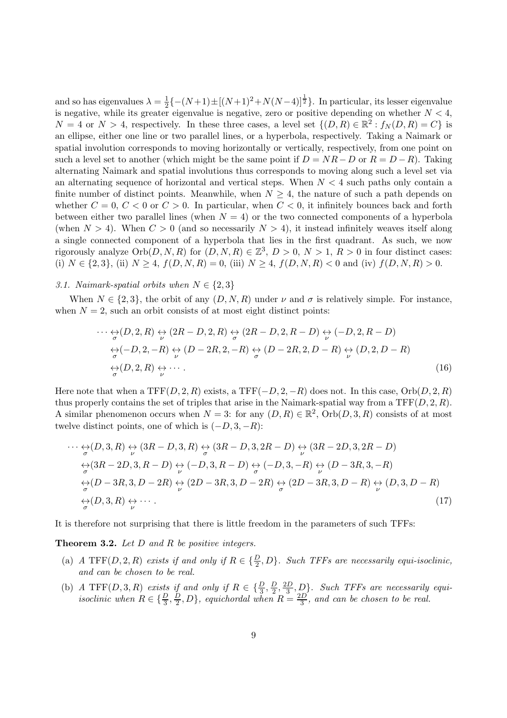and so has eigenvalues  $\lambda = \frac{1}{2}$  $\frac{1}{2}\{-(N+1)\pm[(N+1)^2+N(N-4)]^{\frac{1}{2}}\}$ . In particular, its lesser eigenvalue is negative, while its greater eigenvalue is negative, zero or positive depending on whether  $N < 4$ ,  $N = 4$  or  $N > 4$ , respectively. In these three cases, a level set  $\{(D, R) \in \mathbb{R}^2 : f_N(D, R) = C\}$  is an ellipse, either one line or two parallel lines, or a hyperbola, respectively. Taking a Naimark or spatial involution corresponds to moving horizontally or vertically, respectively, from one point on such a level set to another (which might be the same point if  $D = NR - D$  or  $R = D - R$ ). Taking alternating Naimark and spatial involutions thus corresponds to moving along such a level set via an alternating sequence of horizontal and vertical steps. When  $N < 4$  such paths only contain a finite number of distinct points. Meanwhile, when  $N \geq 4$ , the nature of such a path depends on whether  $C = 0, C < 0$  or  $C > 0$ . In particular, when  $C < 0$ , it infinitely bounces back and forth between either two parallel lines (when  $N = 4$ ) or the two connected components of a hyperbola (when  $N > 4$ ). When  $C > 0$  (and so necessarily  $N > 4$ ), it instead infinitely weaves itself along a single connected component of a hyperbola that lies in the first quadrant. As such, we now rigorously analyze  $Orb(D, N, R)$  for  $(D, N, R) \in \mathbb{Z}^3$ ,  $D > 0$ ,  $N > 1$ ,  $R > 0$  in four distinct cases: (i)  $N \in \{2,3\}$ , (ii)  $N \ge 4$ ,  $f(D, N, R) = 0$ , (iii)  $N \ge 4$ ,  $f(D, N, R) < 0$  and (iv)  $f(D, N, R) > 0$ .

# 3.1. Naimark-spatial orbits when  $N \in \{2,3\}$

When  $N \in \{2,3\}$ , the orbit of any  $(D, N, R)$  under  $\nu$  and  $\sigma$  is relatively simple. For instance, when  $N = 2$ , such an orbit consists of at most eight distinct points:

<span id="page-8-1"></span>
$$
\cdots \underset{\sigma}{\leftrightarrow} (D,2,R) \underset{\nu}{\leftrightarrow} (2R-D,2,R) \underset{\sigma}{\leftrightarrow} (2R-D,2,R-D) \underset{\nu}{\leftrightarrow} (-D,2,R-D)
$$
  

$$
\underset{\sigma}{\leftrightarrow} (-D,2,-R) \underset{\nu}{\leftrightarrow} (D-2R,2,-R) \underset{\sigma}{\leftrightarrow} (D-2R,2,D-R) \underset{\nu}{\leftrightarrow} (D,2,D-R)
$$
  

$$
\underset{\sigma}{\leftrightarrow} (D,2,R) \underset{\nu}{\leftrightarrow} \cdots
$$
 (16)

Here note that when a  $TFF(D, 2, R)$  exists, a  $TFF(-D, 2, -R)$  does not. In this case,  $Orb(D, 2, R)$ thus properly contains the set of triples that arise in the Naimark-spatial way from a  $TFF(D, 2, R)$ . A similar phenomenon occurs when  $N = 3$ : for any  $(D, R) \in \mathbb{R}^2$ ,  $Orb(D, 3, R)$  consists of at most twelve distinct points, one of which is  $(-D, 3, -R)$ :

<span id="page-8-2"></span>
$$
\cdots \underset{\sigma}{\leftrightarrow} (D,3,R) \underset{\nu}{\leftrightarrow} (3R-D,3,R) \underset{\sigma}{\leftrightarrow} (3R-D,3,2R-D) \underset{\nu}{\leftrightarrow} (3R-2D,3,2R-D)
$$
\n
$$
\underset{\sigma}{\leftrightarrow} (3R-2D,3,R-D) \underset{\nu}{\leftrightarrow} (-D,3,R-D) \underset{\sigma}{\leftrightarrow} (-D,3,-R) \underset{\nu}{\leftrightarrow} (D-3R,3,-R)
$$
\n
$$
\underset{\sigma}{\leftrightarrow} (D-3R,3,D-2R) \underset{\nu}{\leftrightarrow} (2D-3R,3,D-2R) \underset{\sigma}{\leftrightarrow} (2D-3R,3,D-R) \underset{\nu}{\leftrightarrow} (D,3,D-R)
$$
\n
$$
\underset{\sigma}{\leftrightarrow} (D,3,R) \underset{\nu}{\leftrightarrow} \cdots \qquad (17)
$$

It is therefore not surprising that there is little freedom in the parameters of such TFFs:

<span id="page-8-0"></span>Theorem 3.2. Let D and R be positive integers.

- (a) A TFF(D, 2, R) exists if and only if  $R \in \{\frac{D}{2}, D\}$ . Such TFFs are necessarily equi-isoclinic, and can be chosen to be real.
- (b) A TFF(D, 3, R) exists if and only if  $R \in \{\frac{D}{3}, \frac{D}{2}\}$  $\frac{D}{2}$ ,  $\frac{2D}{3}$  $\{\frac{3D}{3}, D\}$ . Such TFFs are necessarily equiisoclinic when  $R \in \{\frac{D}{3}, \frac{D}{2}\}$  $(\frac{D}{2}, D)$ , equichordal when  $R = \frac{2D}{3}$ , and can be chosen to be real.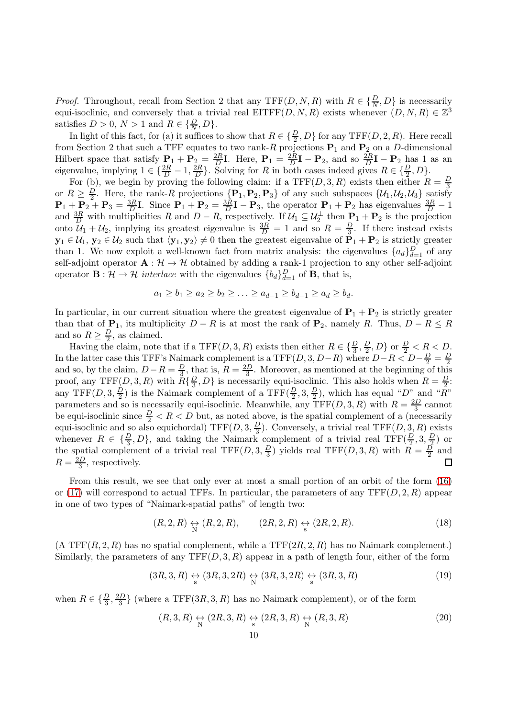*Proof.* Throughout, recall from Section 2 that any TFF $(D, N, R)$  with  $R \in \{\frac{D}{N}, D\}$  is necessarily equi-isoclinic, and conversely that a trivial real EITFF $(D, N, R)$  exists whenever  $(D, N, R) \in \mathbb{Z}^3$ satisfies  $D > 0, N > 1$  and  $R \in {\frac{D}{N}, D}$ .

In light of this fact, for (a) it suffices to show that  $R \in \{\frac{D}{2}, D\}$  for any TFF(D, 2, R). Here recall from Section 2 that such a TFF equates to two rank-R projections  $P_1$  and  $P_2$  on a D-dimensional Hilbert space that satisfy  $P_1 + P_2 = \frac{2R}{D}$  $\frac{2R}{D}$ **I**. Here,  $P_1 = \frac{2R}{D}$  $\frac{2R}{D}I - P_2$ , and so  $\frac{2R}{D}I - P_2$  has 1 as an eigenvalue, implying  $1 \in \{\frac{2R}{D} - 1, \frac{2R}{D}\}$  $\{\frac{2R}{D}\}$ . Solving for R in both cases indeed gives  $R \in \{\frac{D}{2}, D\}$ .

For (b), we begin by proving the following claim: if a TFF $(D, 3, R)$  exists then either  $R = \frac{D}{3}$ 3 or  $R \geq \frac{D}{2}$ . Here, the rank-R projections  $\{P_1, P_2, P_3\}$  of any such subspaces  $\{U_1, U_2, U_3\}$  satisfy  $\mathbf{P}_1 + \mathbf{P}_2 + \mathbf{P}_3 = \frac{3R}{D}\mathbf{I}$ . Since  $\mathbf{P}_1 + \mathbf{P}_2 = \frac{3R}{D}\mathbf{I} - \mathbf{P}_3$ , the operator  $\mathbf{P}_1 + \mathbf{P}_2$  has eigenvalues  $\frac{3R}{D} - 1$ and  $\frac{3R}{D}$  with multiplicities R and  $D - R$ , respectively. If  $\mathcal{U}_1 \subseteq \mathcal{U}_2^{\perp}$  then  $\mathbf{P}_1 + \mathbf{P}_2$  is the projection onto  $\mathcal{U}_1 + \mathcal{U}_2$ , implying its greatest eigenvalue is  $\frac{3R}{D} = 1$  and so  $R = \frac{D}{3}$  $\frac{D}{3}$ . If there instead exists  $y_1 \in \mathcal{U}_1, y_2 \in \mathcal{U}_2$  such that  $\langle y_1, y_2 \rangle \neq 0$  then the greatest eigenvalue of  $P_1 + P_2$  is strictly greater than 1. We now exploit a well-known fact from matrix analysis: the eigenvalues  $\{a_d\}_{d=1}^D$  of any self-adjoint operator  $A: \mathcal{H} \to \mathcal{H}$  obtained by adding a rank-1 projection to any other self-adjoint operator  $\mathbf{B} : \mathcal{H} \to \mathcal{H}$  interlace with the eigenvalues  ${b_d}_{d=1}^D$  of **B**, that is,

$$
a_1 \ge b_1 \ge a_2 \ge b_2 \ge \ldots \ge a_{d-1} \ge b_{d-1} \ge a_d \ge b_d.
$$

In particular, in our current situation where the greatest eigenvalue of  $P_1 + P_2$  is strictly greater than that of  $P_1$ , its multiplicity  $D - R$  is at most the rank of  $P_2$ , namely R. Thus,  $D - R \leq R$ and so  $R \geq \frac{D}{2}$  $\frac{D}{2}$ , as claimed.

Having the claim, note that if a TFF $(D, 3, R)$  exists then either  $R \in \{\frac{D}{3}, \frac{D}{2}\}$  $\frac{D}{2}, D$  or  $\frac{D}{2} < R < D$ . In the latter case this TFF's Naimark complement is a TFF $(D, 3, D-R)$  where  $D-R < D-\frac{D}{2} = \frac{D}{2}$ and so, by the claim,  $D - R = \frac{D}{3}$ , that is,  $R = \frac{2D}{3}$ . Moreover, as mentioned at the beginning of this  $\frac{D}{3}$ , that is,  $R = \frac{2D}{3}$  $\frac{3}{3}$ . Moreover, as mentioned at the beginning of this proof, any TFF $(D, 3, R)$  with  $R\{\frac{D}{3}\}$  $\{\frac{D}{3}, D\}$  is necessarily equi-isoclinic. This also holds when  $R = \frac{D}{2}$ . any TFF $(D, 3, \frac{D}{2})$  $\frac{D}{2}$ ) is the Naimark complement of a TFF $(\frac{D}{2}, 3, \frac{D}{2})$  $(\frac{D}{2})$ , which has equal "D" and "R" parameters and so is necessarily equi-isoclinic. Meanwhile, any  $TFF(D, 3, R)$  with  $R = \frac{2D}{3}$  $rac{2D}{3}$  cannot be equi-isoclinic since  $\frac{D}{2} < R < D$  but, as noted above, is the spatial complement of a (necessarily equi-isoclinic and so also equichordal) TFF $(D, 3, \frac{D}{3})$  $\frac{1}{3}$ ). Conversely, a trivial real TFF $(D, 3, R)$  exists whenever  $R \in {\{\frac{D}{3}, D\}}$ , and taking the Naimark complement of a trivial real TFF $(\frac{D}{2}, 3, \frac{D}{2})$  $(\frac{D}{2})$  or the spatial complement of a trivial real TFF $(D, 3, \frac{D}{3})$  $\frac{D}{3}$ ) yields real TFF(D, 3, R) with  $R = \frac{D}{2}$  $\frac{D}{2}$  and  $R = \frac{2D}{3}$  $\Box$  $\frac{3D}{3}$ , respectively.

From this result, we see that only ever at most a small portion of an orbit of the form [\(16\)](#page-8-1) or [\(17\)](#page-8-2) will correspond to actual TFFs. In particular, the parameters of any  $TFF(D, 2, R)$  appear in one of two types of "Naimark-spatial paths" of length two:

<span id="page-9-0"></span>
$$
(R,2,R) \underset{\mathcal{N}}{\leftrightarrow} (R,2,R), \qquad (2R,2,R) \underset{\mathcal{S}}{\leftrightarrow} (2R,2,R). \tag{18}
$$

 $(A TFF(R, 2, R)$  has no spatial complement, while a  $TFF(2R, 2, R)$  has no Naimark complement.) Similarly, the parameters of any  $TF(D, 3, R)$  appear in a path of length four, either of the form

<span id="page-9-2"></span>
$$
(3R,3,R) \underset{\text{s}}{\leftrightarrow} (3R,3,2R) \underset{\text{N}}{\leftrightarrow} (3R,3,2R) \underset{\text{s}}{\leftrightarrow} (3R,3,R) \tag{19}
$$

when  $R \in \{\frac{D}{3}, \frac{2D}{3}$  $\frac{3D}{3}$  (where a TFF(3R, 3, R) has no Naimark complement), or of the form

<span id="page-9-1"></span>
$$
(R,3,R) \underset{\text{N}}{\leftrightarrow} (2R,3,R) \underset{\text{s}}{\leftrightarrow} (2R,3,R) \underset{\text{N}}{\leftrightarrow} (R,3,R) \tag{20}
$$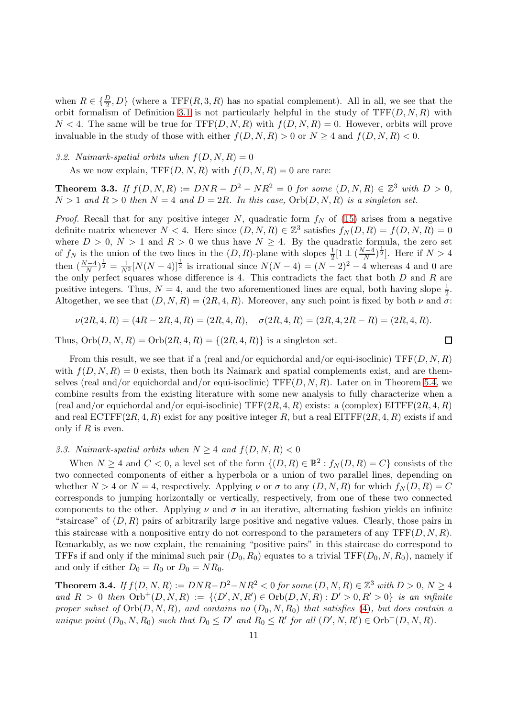when  $R \in \{\frac{D}{2}, D\}$  (where a TFF(R, 3, R) has no spatial complement). All in all, we see that the orbit formalism of Definition [3.1](#page-7-0) is not particularly helpful in the study of  $TFF(D, N, R)$  with  $N < 4$ . The same will be true for  $TFF(D, N, R)$  with  $f(D, N, R) = 0$ . However, orbits will prove invaluable in the study of those with either  $f(D, N, R) > 0$  or  $N > 4$  and  $f(D, N, R) < 0$ .

3.2. Naimark-spatial orbits when  $f(D, N, R) = 0$ 

As we now explain,  $TFF(D, N, R)$  with  $f(D, N, R) = 0$  are rare:

<span id="page-10-1"></span>**Theorem 3.3.** If  $f(D, N, R) := DNR - D^2 - NR^2 = 0$  for some  $(D, N, R) \in \mathbb{Z}^3$  with  $D > 0$ ,  $N > 1$  and  $R > 0$  then  $N = 4$  and  $D = 2R$ . In this case,  $Orb(D, N, R)$  is a singleton set.

*Proof.* Recall that for any positive integer N, quadratic form  $f_N$  of [\(15\)](#page-7-1) arises from a negative definite matrix whenever  $N < 4$ . Here since  $(D, N, R) \in \mathbb{Z}^3$  satisfies  $f_N(D, R) = f(D, N, R) = 0$ where  $D > 0$ ,  $N > 1$  and  $R > 0$  we thus have  $N \geq 4$ . By the quadratic formula, the zero set of  $f_N$  is the union of the two lines in the  $(D, R)$ -plane with slopes  $\frac{1}{2}[1 \pm (\frac{N-4}{N})^{\frac{1}{2}}]$ . Here if  $N > 4$ then  $\left(\frac{N-4}{N}\right)^{\frac{1}{2}} = \frac{1}{N^2} [N(N-4)]^{\frac{1}{2}}$  is irrational since  $N(N-4) = (N-2)^2 - 4$  whereas 4 and 0 are the only perfect squares whose difference is 4. This contradicts the fact that both D and R are positive integers. Thus,  $N = 4$ , and the two aforementioned lines are equal, both having slope  $\frac{1}{2}$ . Altogether, we see that  $(D, N, R) = (2R, 4, R)$ . Moreover, any such point is fixed by both  $\nu$  and  $\sigma$ :

$$
\nu(2R, 4, R) = (4R - 2R, 4, R) = (2R, 4, R), \quad \sigma(2R, 4, R) = (2R, 4, 2R - R) = (2R, 4, R).
$$

 $\Box$ 

Thus,  $Orb(D, N, R) = Orb(2R, 4, R) = {(2R, 4, R)}$  is a singleton set.

From this result, we see that if a (real and/or equichordal and/or equi-isoclinic)  $TF(D, N, R)$ with  $f(D, N, R) = 0$  exists, then both its Naimark and spatial complements exist, and are themselves (real and/or equichordal and/or equi-isoclinic)  $TF(D, N, R)$ . Later on in Theorem [5.4,](#page-32-0) we combine results from the existing literature with some new analysis to fully characterize when a (real and/or equichordal and/or equi-isoclinic) TFF $(2R, 4, R)$  exists: a (complex) EITFF $(2R, 4, R)$ and real  $ECTFF(2R, 4, R)$  exist for any positive integer R, but a real  $EITFF(2R, 4, R)$  exists if and only if  $R$  is even.

### 3.3. Naimark-spatial orbits when  $N \geq 4$  and  $f(D, N, R) < 0$

When  $N \ge 4$  and  $C < 0$ , a level set of the form  $\{(D, R) \in \mathbb{R}^2 : f_N(D, R) = C\}$  consists of the two connected components of either a hyperbola or a union of two parallel lines, depending on whether  $N > 4$  or  $N = 4$ , respectively. Applying  $\nu$  or  $\sigma$  to any  $(D, N, R)$  for which  $f_N(D, R) = C$ corresponds to jumping horizontally or vertically, respectively, from one of these two connected components to the other. Applying  $\nu$  and  $\sigma$  in an iterative, alternating fashion yields an infinite "staircase" of  $(D, R)$  pairs of arbitrarily large positive and negative values. Clearly, those pairs in this staircase with a nonpositive entry do not correspond to the parameters of any  $TFF(D, N, R)$ . Remarkably, as we now explain, the remaining "positive pairs" in this staircase do correspond to TFFs if and only if the minimal such pair  $(D_0, R_0)$  equates to a trivial TFF $(D_0, N, R_0)$ , namely if and only if either  $D_0 = R_0$  or  $D_0 = NR_0$ .

<span id="page-10-0"></span>**Theorem 3.4.** If  $f(D, N, R) := DNR - D^2 - NR^2 < 0$  for some  $(D, N, R) \in \mathbb{Z}^3$  with  $D > 0, N \ge 4$ and  $R > 0$  then  $Orb^{+}(D, N, R) := \{(D', N, R') \in Orb(D, N, R) : D' > 0, R' > 0\}$  is an infinite proper subset of  $Orb(D, N, R)$ , and contains no  $(D_0, N, R_0)$  that satisfies [\(4\)](#page-1-1), but does contain a unique point  $(D_0, N, R_0)$  such that  $D_0 \leq D'$  and  $R_0 \leq R'$  for all  $(D', N, R') \in \text{Orb}^+(D, N, R)$ .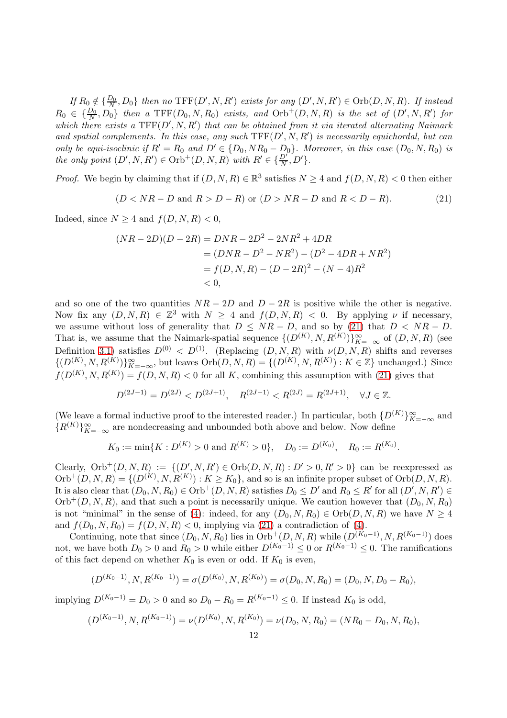If  $R_0 \notin \{\frac{D_0}{N}\}$  $\{D_0, D_0\}$  then no  $\text{TFF}(D', N, R')$  exists for any  $(D', N, R') \in \text{Orb}(D, N, R)$ . If instead  $R_0 \in \{\frac{D_0}{N}, D_0\}$  then a  $\text{TFF}(D_0, N, R_0)$  exists, and  $\text{Orb}^+(D, N, R)$  is the set of  $(D', N, R')$  for which there exists a  $TFF(D', N, R')$  that can be obtained from it via iterated alternating Naimark and spatial complements. In this case, any such  $TFF(D', N, R')$  is necessarily equichordal, but can only be equi-isoclinic if  $R' = R_0$  and  $D' \in \{D_0, NR_0 - D_0\}$ . Moreover, in this case  $(D_0, N, R_0)$  is the only point  $(D', N, R') \in \text{Orb}^+(D, N, R)$  with  $R' \in {\frac{D'}{N}, D'}$ .

*Proof.* We begin by claiming that if  $(D, N, R) \in \mathbb{R}^3$  satisfies  $N \ge 4$  and  $f(D, N, R) < 0$  then either

<span id="page-11-0"></span>
$$
(D < NR - D \text{ and } R > D - R) \text{ or } (D > NR - D \text{ and } R < D - R). \tag{21}
$$

Indeed, since  $N \geq 4$  and  $f(D, N, R) < 0$ ,

$$
(NR - 2D)(D - 2R) = DNR - 2D^2 - 2NR^2 + 4DR
$$
  
= (DNR - D<sup>2</sup> - NR<sup>2</sup>) - (D<sup>2</sup> - 4DR + NR<sup>2</sup>)  
= f(D, N, R) - (D - 2R)<sup>2</sup> - (N - 4)R<sup>2</sup>  
< 0,

and so one of the two quantities  $NR - 2D$  and  $D - 2R$  is positive while the other is negative. Now fix any  $(D, N, R) \in \mathbb{Z}^3$  with  $N \geq 4$  and  $f(D, N, R) < 0$ . By applying  $\nu$  if necessary, we assume without loss of generality that  $D \le NR - D$ , and so by [\(21\)](#page-11-0) that  $D \le NR - D$ . That is, we assume that the Naimark-spatial sequence  $\{(D^{(K)}, N, R^{(K)})\}_{K=-\infty}^{\infty}$  of  $(D, N, R)$  (see Definition [3.1\)](#page-7-0) satisfies  $D^{(0)} < D^{(1)}$ . (Replacing  $(D, N, R)$  with  $\nu(D, N, R)$  shifts and reverses  $\{(D^{(K)}, N, R^{(K)})\}_{K=-\infty}^{\infty}$ , but leaves  $Orb(D, N, R) = \{(D^{(K)}, N, R^{(K)}) : K \in \mathbb{Z}\}\$ unchanged.) Since  $f(D^{(K)}, N, R^{(K)}) = f(D, N, R) < 0$  for all K, combining this assumption with [\(21\)](#page-11-0) gives that

$$
D^{(2J-1)} = D^{(2J)} < D^{(2J+1)}, \quad R^{(2J-1)} < R^{(2J)} = R^{(2J+1)}, \quad \forall J \in \mathbb{Z}.
$$

(We leave a formal inductive proof to the interested reader.) In particular, both  $\{D^{(K)}\}_{K=-\infty}^{\infty}$  and  ${R^{(K)}}_{K=-\infty}^{\infty}$  are nondecreasing and unbounded both above and below. Now define

$$
K_0 := \min\{K : D^{(K)} > 0 \text{ and } R^{(K)} > 0\}, \quad D_0 := D^{(K_0)}, \quad R_0 := R^{(K_0)}.
$$

Clearly,  $Orb^{+}(D, N, R) := \{(D', N, R') \in Orb(D, N, R): D' > 0, R' > 0\}$  can be reexpressed as  $\mathrm{Orb}^+(D, N, R) = \{ (D^{(K)}, N, R^{(K)}) : K \geq K_0 \},$  and so is an infinite proper subset of  $\mathrm{Orb}(D, N, R)$ . It is also clear that  $(D_0, N, R_0) \in \text{Orb}^+(D, N, R)$  satisfies  $D_0 \le D'$  and  $R_0 \le R'$  for all  $(D', N, R') \in$  $Orb^{+}(D, N, R)$ , and that such a point is necessarily unique. We caution however that  $(D_0, N, R_0)$ is not "minimal" in the sense of [\(4\)](#page-1-1): indeed, for any  $(D_0, N, R_0) \in \text{Orb}(D, N, R)$  we have  $N \geq 4$ and  $f(D_0, N, R_0) = f(D, N, R) < 0$ , implying via [\(21\)](#page-11-0) a contradiction of [\(4\)](#page-1-1).

Continuing, note that since  $(D_0, N, R_0)$  lies in  $Orb^+(D, N, R)$  while  $(D(K_0-1), N, R(K_0-1))$  does not, we have both  $D_0 > 0$  and  $R_0 > 0$  while either  $D^{(K_0-1)} \leq 0$  or  $R^{(K_0-1)} \leq 0$ . The ramifications of this fact depend on whether  $K_0$  is even or odd. If  $K_0$  is even,

$$
(D^{(K_0-1)}, N, R^{(K_0-1)}) = \sigma(D^{(K_0)}, N, R^{(K_0)}) = \sigma(D_0, N, R_0) = (D_0, N, D_0 - R_0),
$$

implying  $D^{(K_0-1)} = D_0 > 0$  and so  $D_0 - R_0 = R^{(K_0-1)} \leq 0$ . If instead  $K_0$  is odd,

$$
(D^{(K_0-1)}, N, R^{(K_0-1)}) = \nu(D^{(K_0)}, N, R^{(K_0)}) = \nu(D_0, N, R_0) = (NR_0 - D_0, N, R_0),
$$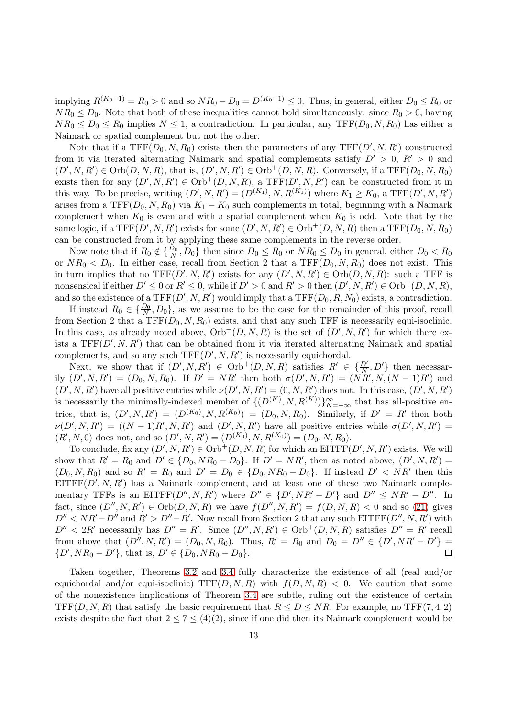implying  $R^{(K_0-1)} = R_0 > 0$  and so  $NR_0 - D_0 = D^{(K_0-1)} \leq 0$ . Thus, in general, either  $D_0 \leq R_0$  or  $NR_0 \leq D_0$ . Note that both of these inequalities cannot hold simultaneously: since  $R_0 > 0$ , having  $NR_0 \leq D_0 \leq R_0$  implies  $N \leq 1$ , a contradiction. In particular, any TFF $(D_0, N, R_0)$  has either a Naimark or spatial complement but not the other.

Note that if a  $TFF(D_0, N, R_0)$  exists then the parameters of any  $TFF(D', N, R')$  constructed from it via iterated alternating Naimark and spatial complements satisfy  $D' > 0$ ,  $R' > 0$  and  $(D', N, R') \in \text{Orb}(D, N, R)$ , that is,  $(D', N, R') \in \text{Orb}^+(D, N, R)$ . Conversely, if a TFF $(D_0, N, R_0)$ exists then for any  $(D', N, R') \in \text{Orb}^+(D, N, R)$ , a TFF $(D', N, R')$  can be constructed from it in this way. To be precise, writing  $(D', N, R') = (D^{(K_1)}, N, R^{(K_1)})$  where  $K_1 \geq K_0$ , a TFF $(D', N, R')$ arises from a TFF( $D_0, N, R_0$ ) via  $K_1 - K_0$  such complements in total, beginning with a Naimark complement when  $K_0$  is even and with a spatial complement when  $K_0$  is odd. Note that by the same logic, if a  $TFF(D', N, R')$  exists for some  $(D', N, R') \in \mathrm{Orb}^+(D, N, R)$  then a  $TFF(D_0, N, R_0)$ can be constructed from it by applying these same complements in the reverse order.

Now note that if  $R_0 \notin \{\frac{D_0}{N}\}$  $\frac{D_0}{N}, D_0$ } then since  $D_0 \le R_0$  or  $NR_0 \le D_0$  in general, either  $D_0 < R_0$ or  $NR_0 < D_0$ . In either case, recall from Section 2 that a  $TFF(D_0, N, R_0)$  does not exist. This in turn implies that no  $TFF(D', N, R')$  exists for any  $(D', N, R') \in Orb(D, N, R)$ : such a TFF is nonsensical if either  $D' \leq 0$  or  $R' \leq 0$ , while if  $D' > 0$  and  $R' > 0$  then  $(D', N, R') \in \mathrm{Orb}^+(D, N, R)$ , and so the existence of a  $TFF(D', N, R')$  would imply that a  $TFF(D_0, R, N_0)$  exists, a contradiction.

If instead  $R_0 \in {\frac{D_0}{N}, D_0}$ , as we assume to be the case for the remainder of this proof, recall from Section 2 that a TFF $(D_0, N, R_0)$  exists, and that any such TFF is necessarily equi-isoclinic. In this case, as already noted above,  $Orb^+(D, N, R)$  is the set of  $(D', N, R')$  for which there exists a  $TF(D', N, R')$  that can be obtained from it via iterated alternating Naimark and spatial complements, and so any such  $TFF(D', N, R')$  is necessarily equichordal.

Next, we show that if  $(D', N, R') \in \text{Orb}^+(D, N, R)$  satisfies  $R' \in {\{D', D'\}}$  then necessarily  $(D', N, R') = (D_0, N, R_0)$ . If  $D' = NR'$  then both  $\sigma(D', N, R') = (NR', N, (N - 1)R')$  and  $(D', N, R')$  have all positive entries while  $\nu(D', N, R') = (0, N, R')$  does not. In this case,  $(D', N, R')$ is necessarily the minimally-indexed member of  $\{(D^{(K)}, N, R^{(K)})\}_{K=-\infty}^{\infty}$  that has all-positive entries, that is,  $(D', N, R') = (D^{(K_0)}, N, R^{(K_0)}) = (D_0, N, R_0)$ . Similarly, if  $D' = R'$  then both  $\nu(D',N,R') = ((N-1)R',N,R')$  and  $(D',N,R')$  have all positive entries while  $\sigma(D',N,R') =$  $(R', N, 0)$  does not, and so  $(D', N, R') = (D^{(K_0)}, N, R^{(K_0)}) = (D_0, N, R_0)$ .

To conclude, fix any  $(D', N, R') \in \text{Orb}^+(D, N, R)$  for which an EITFF $(D', N, R')$  exists. We will show that  $R' = R_0$  and  $D' \in \{D_0, NR_0 - D_0\}$ . If  $D' = NR'$ , then as noted above,  $(D', N, R') =$  $(D_0, N, R_0)$  and so  $R' = R_0$  and  $D' = D_0 \in \{D_0, NR_0 - D_0\}$ . If instead  $D' < NR'$  then this  $EITFF(D', N, R')$  has a Naimark complement, and at least one of these two Naimark complementary TFFs is an EITFF $(D'', N, R')$  where  $D'' \in \{D', NR' - D'\}$  and  $D'' \le NR' - D''$ . In fact, since  $(D'', N, R') \in Orb(D, N, R)$  we have  $f(D'', N, R') = f(D, N, R) < 0$  and so [\(21\)](#page-11-0) gives  $D'' < NR' - D''$  and  $R' > D'' - R'$ . Now recall from Section 2 that any such EITFF( $D'', N, R'$ ) with  $D'' < 2R'$  necessarily has  $D'' = R'$ . Since  $(D'', N, R') \in \text{Orb}^+(D, N, R)$  satisfies  $D'' = R'$  recall from above that  $(D'', N, R') = (D_0, N, R_0)$ . Thus,  $R' = R_0$  and  $D_0 = D'' \in \{D', NR' - D'\} =$  $\{D', NR_0 - D'\},\$  that is,  $D' \in \{D_0, NR_0 - D_0\}.$ 

Taken together, Theorems [3.2](#page-8-0) and [3.4](#page-10-0) fully characterize the existence of all (real and/or equichordal and/or equi-isoclinic) TFF $(D, N, R)$  with  $f(D, N, R) < 0$ . We caution that some of the nonexistence implications of Theorem [3.4](#page-10-0) are subtle, ruling out the existence of certain TFF(D, N, R) that satisfy the basic requirement that  $R \leq D \leq NR$ . For example, no TFF(7, 4, 2) exists despite the fact that  $2 \le 7 \le (4)(2)$ , since if one did then its Naimark complement would be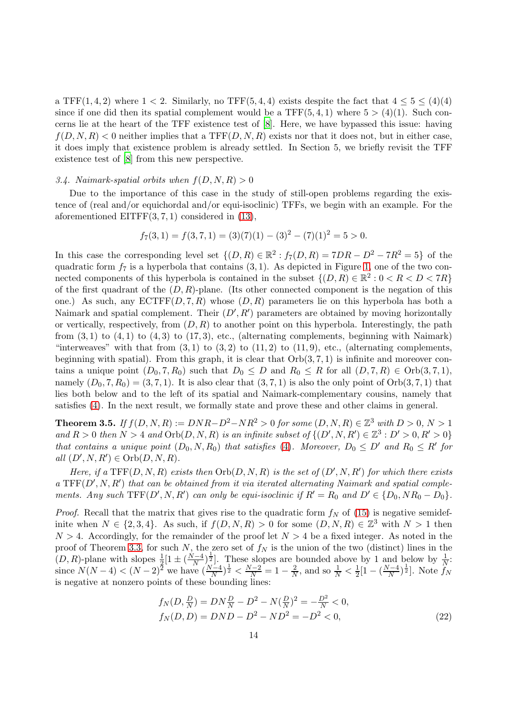a TFF $(1, 4, 2)$  where  $1 < 2$ . Similarly, no TFF $(5, 4, 4)$  exists despite the fact that  $4 \leq 5 \leq (4)(4)$ since if one did then its spatial complement would be a TFF $(5, 4, 1)$  where  $5 > (4)(1)$ . Such concerns lie at the heart of the TFF existence test of [\[8\]](#page-34-7). Here, we have bypassed this issue: having  $f(D, N, R) < 0$  neither implies that a TFF $(D, N, R)$  exists nor that it does not, but in either case, it does imply that existence problem is already settled. In Section 5, we briefly revisit the TFF existence test of [\[8](#page-34-7)] from this new perspective.

#### 3.4. Naimark-spatial orbits when  $f(D, N, R) > 0$

Due to the importance of this case in the study of still-open problems regarding the existence of (real and/or equichordal and/or equi-isoclinic) TFFs, we begin with an example. For the aforementioned EITFF $(3, 7, 1)$  considered in  $(13)$ ,

$$
f_7(3,1) = f(3,7,1) = (3)(7)(1) - (3)^2 - (7)(1)^2 = 5 > 0.
$$

In this case the corresponding level set  $\{(D, R) \in \mathbb{R}^2 : f_7(D, R) = 7DR - D^2 - 7R^2 = 5\}$  of the quadratic form  $f_7$  is a hyperbola that contains  $(3, 1)$ . As depicted in Figure [1,](#page-14-0) one of the two connected components of this hyperbola is contained in the subset  $\{(D, R) \in \mathbb{R}^2 : 0 < R < D < 7R\}$ of the first quadrant of the  $(D, R)$ -plane. (Its other connected component is the negation of this one.) As such, any  $\mathrm{ECTFF}(D, 7, R)$  whose  $(D, R)$  parameters lie on this hyperbola has both a Naimark and spatial complement. Their  $(D', R')$  parameters are obtained by moving horizontally or vertically, respectively, from  $(D, R)$  to another point on this hyperbola. Interestingly, the path from  $(3,1)$  to  $(4,1)$  to  $(4,3)$  to  $(17,3)$ , etc., (alternating complements, beginning with Naimark) "interweaves" with that from  $(3,1)$  to  $(3,2)$  to  $(11,2)$  to  $(11,9)$ , etc., (alternating complements, beginning with spatial). From this graph, it is clear that  $Orb(3, 7, 1)$  is infinite and moreover contains a unique point  $(D_0, 7, R_0)$  such that  $D_0 \leq D$  and  $R_0 \leq R$  for all  $(D, 7, R) \in Orb(3, 7, 1)$ , namely  $(D_0, 7, R_0) = (3, 7, 1)$ . It is also clear that  $(3, 7, 1)$  is also the only point of  $Orb(3, 7, 1)$  that lies both below and to the left of its spatial and Naimark-complementary cousins, namely that satisfies [\(4\)](#page-1-1). In the next result, we formally state and prove these and other claims in general.

<span id="page-13-0"></span>**Theorem 3.5.** If  $f(D, N, R) := DNR - D^2 - NR^2 > 0$  for some  $(D, N, R) \in \mathbb{Z}^3$  with  $D > 0, N > 1$ and  $R > 0$  then  $N > 4$  and  $Orb(D, N, R)$  is an infinite subset of  $\{(D', N, R') \in \mathbb{Z}^3 : D' > 0, R' > 0\}$ that contains a unique point  $(D_0, N, R_0)$  that satisfies [\(4\)](#page-1-1). Moreover,  $D_0 \leq D'$  and  $R_0 \leq R'$  for all  $(D', N, R') \in \text{Orb}(D, N, R)$ .

Here, if a  $TF(D, N, R)$  exists then  $Orb(D, N, R)$  is the set of  $(D', N, R')$  for which there exists a  $TFF(D', N, R')$  that can be obtained from it via iterated alternating Naimark and spatial complements. Any such  $TFF(D', N, R')$  can only be equi-isoclinic if  $R' = R_0$  and  $D' \in \{D_0, NR_0 - D_0\}$ .

*Proof.* Recall that the matrix that gives rise to the quadratic form  $f_N$  of [\(15\)](#page-7-1) is negative semidefinite when  $N \in \{2, 3, 4\}$ . As such, if  $f(D, N, R) > 0$  for some  $(D, N, R) \in \mathbb{Z}^3$  with  $N > 1$  then  $N > 4$ . Accordingly, for the remainder of the proof let  $N > 4$  be a fixed integer. As noted in the proof of Theorem [3.3,](#page-10-1) for such N, the zero set of  $f_N$  is the union of the two (distinct) lines in the  $(D, R)$ -plane with slopes  $\frac{1}{2} [1 \pm (\frac{N-4}{N})^{\frac{1}{2}}]$ . These slopes are bounded above by 1 and below by  $\frac{1}{N}$ . since  $N(N-4) < (N-2)^{\frac{2}{2}}$  we have  $\left(\frac{N-4}{N}\right)^{\frac{1}{2}} < \frac{N-2}{N} = 1 - \frac{2}{N}$  $\frac{2}{N}$ , and so  $\frac{1}{N} < \frac{1}{2}$  $\frac{1}{2}[1-(\frac{N-4}{N})^{\frac{1}{2}}]$ . Note  $f_N$ is negative at nonzero points of these bounding lines:

<span id="page-13-1"></span>
$$
f_N(D, \frac{D}{N}) = DN\frac{D}{N} - D^2 - N(\frac{D}{N})^2 = -\frac{D^2}{N} < 0,
$$
  
\n
$$
f_N(D, D) = DND - D^2 - ND^2 = -D^2 < 0,
$$
\n(22)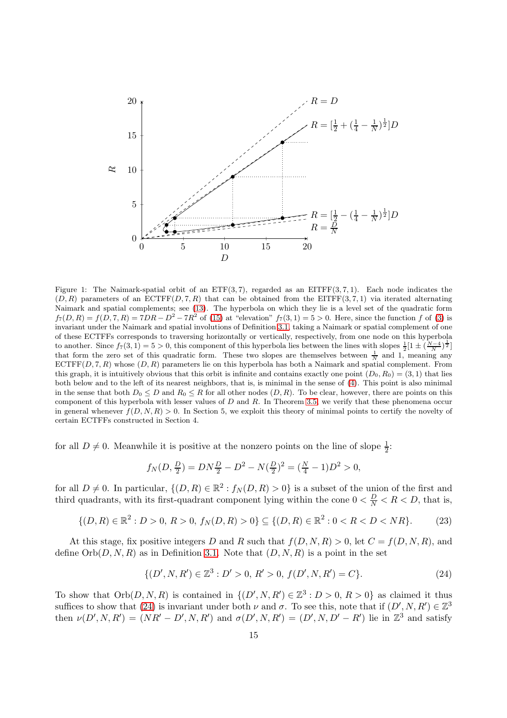

<span id="page-14-0"></span>Figure 1: The Naimark-spatial orbit of an  $ETF(3, 7)$ , regarded as an  $EITFF(3, 7, 1)$ . Each node indicates the  $(D, R)$  parameters of an ECTFF $(D, 7, R)$  that can be obtained from the EITFF $(3, 7, 1)$  via iterated alternating Naimark and spatial complements; see [\(13\)](#page-6-0). The hyperbola on which they lie is a level set of the quadratic form  $f_7(D,R) = f(D,7,R) = 7DR - D^2 - 7R^2$  of [\(15\)](#page-7-1) at "elevation"  $f_7(3,1) = 5 > 0$ . Here, since the function f of [\(3\)](#page-1-0) is invariant under the Naimark and spatial involutions of Definition [3.1,](#page-7-0) taking a Naimark or spatial complement of one of these ECTFFs corresponds to traversing horizontally or vertically, respectively, from one node on this hyperbola to another. Since  $f_7(3,1) = 5 > 0$ , this component of this hyperbola lies between the lines with slopes  $\frac{1}{2} [1 \pm (\frac{N-4}{N})^{\frac{1}{2}}]$ that form the zero set of this quadratic form. These two slopes are themselves between  $\frac{1}{N}$  and 1, meaning any  $ECTFF(D, 7, R)$  whose  $(D, R)$  parameters lie on this hyperbola has both a Naimark and spatial complement. From this graph, it is intuitively obvious that this orbit is infinite and contains exactly one point  $(D_0, R_0) = (3, 1)$  that lies both below and to the left of its nearest neighbors, that is, is minimal in the sense of [\(4\)](#page-1-1). This point is also minimal in the sense that both  $D_0 \leq D$  and  $R_0 \leq R$  for all other nodes  $(D, R)$ . To be clear, however, there are points on this component of this hyperbola with lesser values of  $D$  and  $R$ . In Theorem [3.5,](#page-13-0) we verify that these phenomena occur in general whenever  $f(D, N, R) > 0$ . In Section 5, we exploit this theory of minimal points to certify the novelty of certain ECTFFs constructed in Section 4.

for all  $D \neq 0$ . Meanwhile it is positive at the nonzero points on the line of slope  $\frac{1}{2}$ .

$$
f_N(D, \frac{D}{2}) = DN \frac{D}{2} - D^2 - N(\frac{D}{2})^2 = (\frac{N}{4} - 1)D^2 > 0,
$$

for all  $D \neq 0$ . In particular,  $\{(D, R) \in \mathbb{R}^2 : f_N(D, R) > 0\}$  is a subset of the union of the first and third quadrants, with its first-quadrant component lying within the cone  $0 < \frac{D}{N} < R < D$ , that is,

<span id="page-14-2"></span>
$$
\{(D, R) \in \mathbb{R}^2 : D > 0, \ R > 0, \ f_N(D, R) > 0\} \subseteq \{(D, R) \in \mathbb{R}^2 : 0 < R < D < NR\}.\tag{23}
$$

At this stage, fix positive integers D and R such that  $f(D, N, R) > 0$ , let  $C = f(D, N, R)$ , and define  $Orb(D, N, R)$  as in Definition [3.1.](#page-7-0) Note that  $(D, N, R)$  is a point in the set

<span id="page-14-1"></span>
$$
\{(D', N, R') \in \mathbb{Z}^3 : D' > 0, R' > 0, f(D', N, R') = C\}.
$$
\n(24)

To show that  $Orb(D, N, R)$  is contained in  $\{(D', N, R') \in \mathbb{Z}^3 : D > 0, R > 0\}$  as claimed it thus suffices to show that [\(24\)](#page-14-1) is invariant under both  $\nu$  and  $\sigma$ . To see this, note that if  $(D', N, R') \in \mathbb{Z}^3$ then  $\nu(D', N, R') = (NR' - D', N, R')$  and  $\sigma(D', N, R') = (D', N, D' - R')$  lie in  $\mathbb{Z}^3$  and satisfy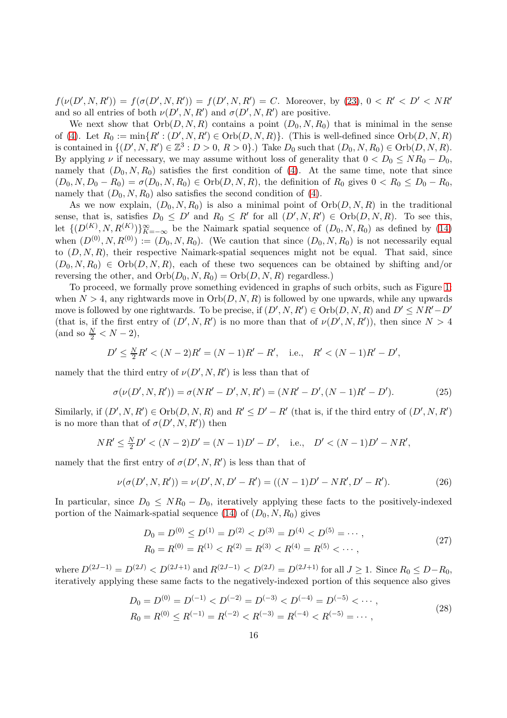$f(\nu(D', N, R')) = f(\sigma(D', N, R')) = f(D', N, R') = C$ . Moreover, by [\(23\)](#page-14-2),  $0 < R' < D' < NR'$ and so all entries of both  $\nu(D', N, R')$  and  $\sigma(D', N, R')$  are positive.

We next show that  $Orb(D, N, R)$  contains a point  $(D_0, N, R_0)$  that is minimal in the sense of [\(4\)](#page-1-1). Let  $R_0 := \min\{R' : (D', N, R') \in \text{Orb}(D, N, R)\}$ . (This is well-defined since  $\text{Orb}(D, N, R)$ ) is contained in  $\{(D', N, R') \in \mathbb{Z}^3 : D > 0, R > 0\}$ .) Take  $D_0$  such that  $(D_0, N, R_0) \in \text{Orb}(D, N, R)$ . By applying  $\nu$  if necessary, we may assume without loss of generality that  $0 < D_0 \le NR_0 - D_0$ , namely that  $(D_0, N, R_0)$  satisfies the first condition of [\(4\)](#page-1-1). At the same time, note that since  $(D_0, N, D_0 - R_0) = \sigma(D_0, N, R_0) \in Orb(D, N, R)$ , the definition of  $R_0$  gives  $0 < R_0 \le D_0 - R_0$ , namely that  $(D_0, N, R_0)$  also satisfies the second condition of [\(4\)](#page-1-1).

As we now explain,  $(D_0, N, R_0)$  is also a minimal point of  $Orb(D, N, R)$  in the traditional sense, that is, satisfies  $D_0 \leq D'$  and  $R_0 \leq R'$  for all  $(D', N, R') \in \text{Orb}(D, N, R)$ . To see this, let  $\{(D^{(K)}, N, R^{(K)})\}_{K=-\infty}^{\infty}$  be the Naimark spatial sequence of  $(D_0, N, R_0)$  as defined by [\(14\)](#page-7-2) when  $(D^{(0)}, N, R^{(0)}) := (D_0, N, R_0)$ . (We caution that since  $(D_0, N, R_0)$  is not necessarily equal to  $(D, N, R)$ , their respective Naimark-spatial sequences might not be equal. That said, since  $(D_0, N, R_0) \in \text{Orb}(D, N, R)$ , each of these two sequences can be obtained by shifting and/or reversing the other, and  $Orb(D_0, N, R_0) = Orb(D, N, R)$  regardless.)

To proceed, we formally prove something evidenced in graphs of such orbits, such as Figure [1:](#page-14-0) when  $N > 4$ , any rightwards move in  $Orb(D, N, R)$  is followed by one upwards, while any upwards move is followed by one rightwards. To be precise, if  $(D', N, R') \in Orb(D, N, R)$  and  $D' \le NR'-D'$ (that is, if the first entry of  $(D', N, R')$  is no more than that of  $\nu(D', N, R')$ ), then since  $N > 4$  $\text{(and so } \frac{N}{2} < N - 2),$ 

$$
D' \le \frac{N}{2}R' < (N-2)R' = (N-1)R' - R', \quad \text{i.e.,} \quad R' < (N-1)R' - D',
$$

namely that the third entry of  $\nu(D',N,R')$  is less than that of

<span id="page-15-2"></span>
$$
\sigma(\nu(D', N, R')) = \sigma(NR' - D', N, R') = (NR' - D', (N - 1)R' - D').
$$
\n(25)

Similarly, if  $(D', N, R') \in \text{Orb}(D, N, R)$  and  $R' \leq D' - R'$  (that is, if the third entry of  $(D', N, R')$ ) is no more than that of  $\sigma(D',N,R')$  then

$$
NR' \leq \frac{N}{2}D' < (N-2)D' = (N-1)D' - D', \quad \text{i.e.,} \quad D' < (N-1)D' - NR',
$$

namely that the first entry of  $\sigma(D',N,R')$  is less than that of

<span id="page-15-3"></span>
$$
\nu(\sigma(D', N, R')) = \nu(D', N, D' - R') = ((N - 1)D' - NR', D' - R').
$$
\n(26)

In particular, since  $D_0 \le NR_0 - D_0$ , iteratively applying these facts to the positively-indexed portion of the Naimark-spatial sequence [\(14\)](#page-7-2) of  $(D_0, N, R_0)$  gives

<span id="page-15-1"></span><span id="page-15-0"></span>
$$
D_0 = D^{(0)} \le D^{(1)} = D^{(2)} < D^{(3)} = D^{(4)} < D^{(5)} = \cdots,
$$
\n
$$
R_0 = R^{(0)} = R^{(1)} < R^{(2)} = R^{(3)} < R^{(4)} = R^{(5)} < \cdots,
$$
\n
$$
(27)
$$

where  $D^{(2J-1)} = D^{(2J)} < D^{(2J+1)}$  and  $R^{(2J-1)} < D^{(2J)} = D^{(2J+1)}$  for all  $J \ge 1$ . Since  $R_0 \le D-R_0$ , iteratively applying these same facts to the negatively-indexed portion of this sequence also gives

$$
D_0 = D^{(0)} = D^{(-1)} < D^{(-2)} = D^{(-3)} < D^{(-4)} = D^{(-5)} < \cdots,
$$
\n
$$
R_0 = R^{(0)} \le R^{(-1)} = R^{(-2)} < R^{(-3)} = R^{(-4)} < R^{(-5)} = \cdots,
$$
\n
$$
(28)
$$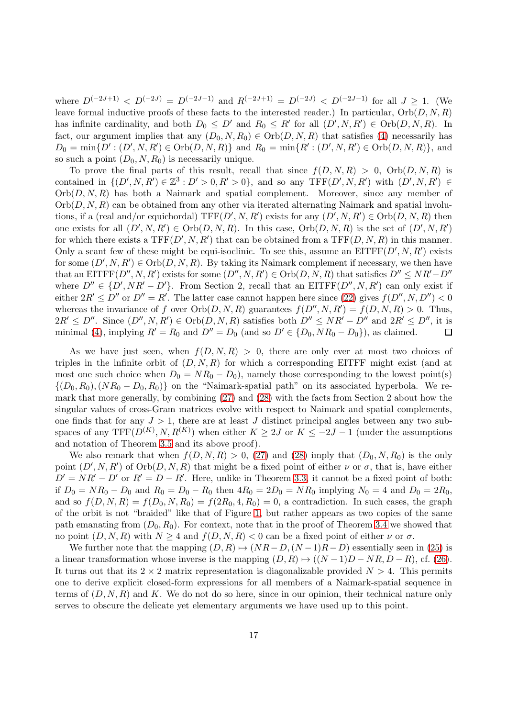where  $D^{(-2J+1)} < D^{(-2J)} = D^{(-2J-1)}$  and  $R^{(-2J+1)} = D^{(-2J)} < D^{(-2J-1)}$  for all  $J > 1$ . (We leave formal inductive proofs of these facts to the interested reader.) In particular,  $Orb(D, N, R)$ has infinite cardinality, and both  $D_0 \leq D'$  and  $R_0 \leq R'$  for all  $(D', N, R') \in \text{Orb}(D, N, R)$ . In fact, our argument implies that any  $(D_0, N, R_0) \in Orb(D, N, R)$  that satisfies [\(4\)](#page-1-1) necessarily has  $D_0 = \min\{D' : (D', N, R') \in \text{Orb}(D, N, R)\}\$ and  $R_0 = \min\{R' : (D', N, R') \in \text{Orb}(D, N, R)\}\$ , and so such a point  $(D_0, N, R_0)$  is necessarily unique.

To prove the final parts of this result, recall that since  $f(D, N, R) > 0$ ,  $Orb(D, N, R)$  is contained in  $\{(D', N, R') \in \mathbb{Z}^3 : D' > 0, R' > 0\}$ , and so any  $TFF(D', N, R')$  with  $(D', N, R') \in$  $Orb(D, N, R)$  has both a Naimark and spatial complement. Moreover, since any member of  $Orb(D, N, R)$  can be obtained from any other via iterated alternating Naimark and spatial involutions, if a (real and/or equichordal)  $TFF(D', N, R')$  exists for any  $(D', N, R') \in Orb(D, N, R)$  then one exists for all  $(D', N, R') \in Orb(D, N, R)$ . In this case,  $Orb(D, N, R)$  is the set of  $(D', N, R')$ for which there exists a  $TFF(D', N, R')$  that can be obtained from a  $TFF(D, N, R)$  in this manner. Only a scant few of these might be equi-isoclinic. To see this, assume an  $EITFF(D', N, R')$  exists for some  $(D', N, R') \in \text{Orb}(D, N, R)$ . By taking its Naimark complement if necessary, we then have that an EITFF( $D'', N, R'$ ) exists for some  $(D'', N, R') \in Orb(D, N, R)$  that satisfies  $D'' \le NR'-D''$ where  $D'' \in \{D', NR' - D'\}$ . From Section 2, recall that an EITFF $(D'', N, R')$  can only exist if either  $2R' \le D''$  or  $D'' = R'$ . The latter case cannot happen here since [\(22\)](#page-13-1) gives  $f(D'', N, D'') < 0$ whereas the invariance of f over  $Orb(D, N, R)$  guarantees  $f(D'', N, R') = f(D, N, R) > 0$ . Thus,  $2R' \leq D''$ . Since  $(D'', N, R') \in \text{Orb}(D, N, R)$  satisfies both  $D'' \leq NR' - D''$  and  $2R' \leq D''$ , it is minimal [\(4\)](#page-1-1), implying  $R' = R_0$  and  $D'' = D_0$  (and so  $D' \in \{D_0, NR_0 - D_0\}$ ), as claimed.

As we have just seen, when  $f(D, N, R) > 0$ , there are only ever at most two choices of triples in the infinite orbit of  $(D, N, R)$  for which a corresponding EITFF might exist (and at most one such choice when  $D_0 = NR_0 - D_0$ , namely those corresponding to the lowest point(s)  $\{(D_0, R_0), (NR_0 - D_0, R_0)\}\$  on the "Naimark-spatial path" on its associated hyperbola. We remark that more generally, by combining [\(27\)](#page-15-0) and [\(28\)](#page-15-1) with the facts from Section 2 about how the singular values of cross-Gram matrices evolve with respect to Naimark and spatial complements, one finds that for any  $J > 1$ , there are at least J distinct principal angles between any two subspaces of any  $TFF(D^{(K)}, N, R^{(K)})$  when either  $K \geq 2J$  or  $K \leq -2J - 1$  (under the assumptions and notation of Theorem [3.5](#page-13-0) and its above proof).

We also remark that when  $f(D, N, R) > 0$ , [\(27\)](#page-15-0) and [\(28\)](#page-15-1) imply that  $(D_0, N, R_0)$  is the only point  $(D', N, R')$  of  $Orb(D, N, R)$  that might be a fixed point of either  $\nu$  or  $\sigma$ , that is, have either  $D' = NR' - D'$  or  $R' = D - R'$ . Here, unlike in Theorem [3.3,](#page-10-1) it cannot be a fixed point of both: if  $D_0 = NR_0 - D_0$  and  $R_0 = D_0 - R_0$  then  $4R_0 = 2D_0 = NR_0$  implying  $N_0 = 4$  and  $D_0 = 2R_0$ , and so  $f(D, N, R) = f(D_0, N, R_0) = f(2R_0, 4, R_0) = 0$ , a contradiction. In such cases, the graph of the orbit is not "braided" like that of Figure [1,](#page-14-0) but rather appears as two copies of the same path emanating from  $(D_0, R_0)$ . For context, note that in the proof of Theorem [3.4](#page-10-0) we showed that no point  $(D, N, R)$  with  $N \geq 4$  and  $f(D, N, R) < 0$  can be a fixed point of either  $\nu$  or  $\sigma$ .

We further note that the mapping  $(D, R) \rightarrow (NR-D, (N-1)R-D)$  essentially seen in [\(25\)](#page-15-2) is a linear transformation whose inverse is the mapping  $(D, R) \rightarrow ((N - 1)D - NR, D - R)$ , cf. [\(26\)](#page-15-3). It turns out that its  $2 \times 2$  matrix representation is diagonalizable provided  $N > 4$ . This permits one to derive explicit closed-form expressions for all members of a Naimark-spatial sequence in terms of  $(D, N, R)$  and K. We do not do so here, since in our opinion, their technical nature only serves to obscure the delicate yet elementary arguments we have used up to this point.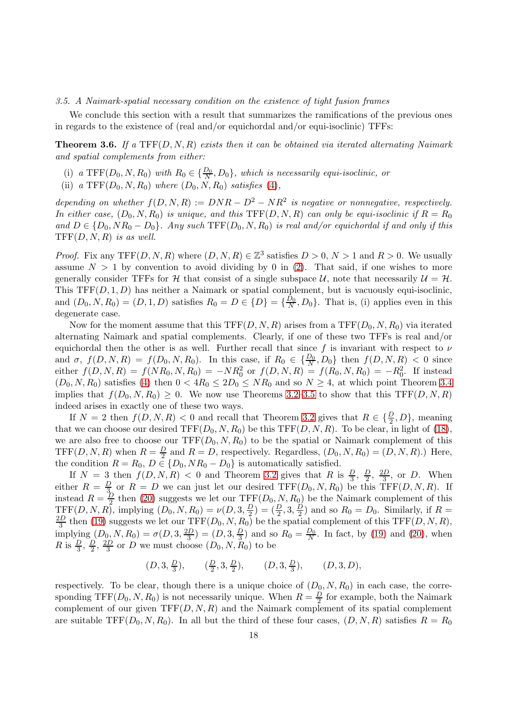# 3.5. A Naimark-spatial necessary condition on the existence of tight fusion frames

We conclude this section with a result that summarizes the ramifications of the previous ones in regards to the existence of (real and/or equichordal and/or equi-isoclinic) TFFs:

<span id="page-17-0"></span>**Theorem 3.6.** If a TFF $(D, N, R)$  exists then it can be obtained via iterated alternating Naimark and spatial complements from either:

- (i) a TFF( $D_0, N, R_0$ ) with  $R_0 \in \{\frac{D_0}{N}, D_0\}$ , which is necessarily equi-isoclinic, or
- (ii) a TFF $(D_0, N, R_0)$  where  $(D_0, N, R_0)$  satisfies [\(4\)](#page-1-1),

depending on whether  $f(D, N, R) := DNR - D^2 - NR^2$  is negative or nonnegative, respectively. In either case,  $(D_0, N, R_0)$  is unique, and this TFF(D, N, R) can only be equi-isoclinic if  $R = R_0$ and  $D \in \{D_0, NR_0 - D_0\}$ . Any such  $TFF(D_0, N, R_0)$  is real and/or equichordal if and only if this  $TFF(D, N, R)$  is as well.

*Proof.* Fix any TFF $(D, N, R)$  where  $(D, N, R) \in \mathbb{Z}^3$  satisfies  $D > 0$ ,  $N > 1$  and  $R > 0$ . We usually assume  $N > 1$  by convention to avoid dividing by 0 in [\(2\)](#page-0-0). That said, if one wishes to more generally consider TFFs for H that consist of a single subspace  $U$ , note that necessarily  $U = H$ . This  $TF(D, 1, D)$  has neither a Naimark or spatial complement, but is vacuously equi-isoclinic, and  $(D_0, N, R_0) = (D, 1, D)$  satisfies  $R_0 = D \in \{D\} = \{\frac{D_0}{N}\}$  $\frac{D_0}{N}, D_0$ . That is, (i) applies even in this degenerate case.

Now for the moment assume that this TFF $(D, N, R)$  arises from a TFF $(D_0, N, R_0)$  via iterated alternating Naimark and spatial complements. Clearly, if one of these two TFFs is real and/or equichordal then the other is as well. Further recall that since f is invariant with respect to  $\nu$ and  $\sigma$ ,  $f(D, N, R) = f(D_0, N, R_0)$ . In this case, if  $R_0 \in {\mathcal{D}_0, D_0}$  then  $f(D, N, R) < 0$  since either  $f(D, N, R) = f(NR_0, N, R_0) = -NR_0^2$  or  $f(D, N, R) = f(R_0, N, R_0) = -R_0^2$ . If instead  $(D_0, N, R_0)$  satisfies [\(4\)](#page-1-1) then  $0 < 4R_0 \leq 2D_0 \leq NR_0$  and so  $N \geq 4$ , at which point Theorem [3.4](#page-10-0) implies that  $f(D_0, N, R_0) \geq 0$ . We now use Theorems [3.2](#page-8-0)[–3.5](#page-13-0) to show that this TFF(D, N, R) indeed arises in exactly one of these two ways.

If  $N = 2$  then  $f(D, N, R) < 0$  and recall that Theorem [3.2](#page-8-0) gives that  $R \in \{\frac{D}{2}, D\}$ , meaning that we can choose our desired  $TFF(D_0, N, R_0)$  be this  $TFF(D, N, R)$ . To be clear, in light of [\(18\)](#page-9-0), we are also free to choose our  $TFF(D_0, N, R_0)$  to be the spatial or Naimark complement of this TFF $(D, N, R)$  when  $R = \frac{D}{2}$  $\frac{D}{2}$  and  $R = D$ , respectively. Regardless,  $(D_0, N, R_0) = (D, N, R)$ . Here, the condition  $R = R_0, D \in \{D_0, NR_0 - D_0\}$  is automatically satisfied.

If  $N = 3$  then  $f(D, N, R) < 0$  and Theorem [3.2](#page-8-0) gives that R is  $\frac{D}{3}$ ,  $\frac{D}{2}$  $\frac{D}{2}$ ,  $\frac{2D}{3}$  $\frac{D}{3}$ , or D. When either  $R = \frac{D}{3}$  $\frac{D}{3}$  or  $R = D$  we can just let our desired TFF( $D_0, N, R_0$ ) be this TFF( $D, N, R$ ). If instead  $R = \frac{D}{2}$  $\frac{D}{2}$  then [\(20\)](#page-9-1) suggests we let our  $TFF(D_0, N, R_0)$  be the Naimark complement of this  $TFF(D, N, R)$ , implying  $(D_0, N, R_0) = \nu(D, 3, \frac{D}{2})$  $(\frac{D}{2})=(\frac{D}{2},3,\frac{D}{2})$  $(\frac{D}{2})$  and so  $R_0 = D_0$ . Similarly, if  $R =$ 2D  $\frac{dD}{dD}$  then [\(19\)](#page-9-2) suggests we let our TFF( $D_0, N, R_0$ ) be the spatial complement of this TFF( $D, N, R$ ), implying  $(D_0, N, R_0) = \sigma(D, 3, \frac{2D}{3})$  $(\frac{D}{3})=(D,3,\frac{D}{3})$  $\frac{D}{3}$ ) and so  $R_0 = \frac{D_0}{N}$  $\frac{D_0}{N}$ . In fact, by [\(19\)](#page-9-2) and [\(20\)](#page-9-1), when  $R$  is  $\frac{D}{3}, \frac{D}{2}$  $\frac{D}{2}$ ,  $\frac{2D}{3}$  $\frac{3D}{3}$  or D we must choose  $(D_0, N, R_0)$  to be

$$
(D, 3, \frac{D}{3}),
$$
  $(\frac{D}{2}, 3, \frac{D}{2}),$   $(D, 3, \frac{D}{3}),$   $(D, 3, D),$ 

respectively. To be clear, though there is a unique choice of  $(D_0, N, R_0)$  in each case, the corresponding TFF( $D_0, N, R_0$ ) is not necessarily unique. When  $R = \frac{D}{2}$  $\frac{D}{2}$  for example, both the Naimark complement of our given  $TFF(D, N, R)$  and the Naimark complement of its spatial complement are suitable TFF( $D_0, N, R_0$ ). In all but the third of these four cases,  $(D, N, R)$  satisfies  $R = R_0$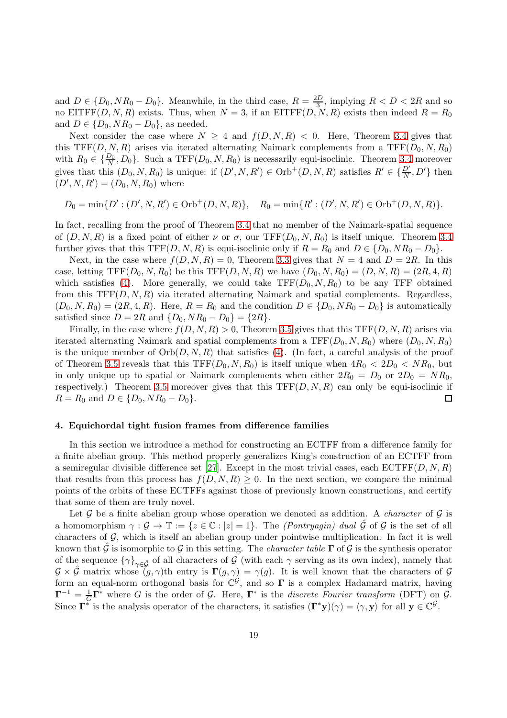and  $D \in \{D_0, NR_0 - D_0\}$ . Meanwhile, in the third case,  $R = \frac{2D}{3}$  $\frac{D}{3}$ , implying  $R < D < 2R$  and so no EITFF $(D, N, R)$  exists. Thus, when  $N = 3$ , if an EITFF $(D, N, R)$  exists then indeed  $R = R_0$ and  $D \in \{D_0, NR_0 - D_0\}$ , as needed.

Next consider the case where  $N > 4$  and  $f(D, N, R) < 0$ . Here, Theorem [3.4](#page-10-0) gives that this TFF(D, N, R) arises via iterated alternating Naimark complements from a TFF( $D_0$ , N,  $R_0$ ) with  $R_0 \in \{\frac{D_0}{N}, D_0\}$ . Such a TFF $(D_0, N, R_0)$  is necessarily equi-isoclinic. Theorem [3.4](#page-10-0) moreover gives that this  $(D_0, N, R_0)$  is unique: if  $(D', N, R') \in \text{Orb}^+(D, N, R)$  satisfies  $R' \in \{\frac{D'}{N}, D'\}$  then  $(D', N, R') = (D_0, N, R_0)$  where

 $D_0 = \min\{D' : (D', N, R') \in \text{Orb}^+(D, N, R)\}, \quad R_0 = \min\{R' : (D', N, R') \in \text{Orb}^+(D, N, R)\}.$ 

In fact, recalling from the proof of Theorem [3.4](#page-10-0) that no member of the Naimark-spatial sequence of  $(D, N, R)$  is a fixed point of either  $\nu$  or  $\sigma$ , our TFF $(D_0, N, R_0)$  is itself unique. Theorem [3.4](#page-10-0) further gives that this TFF(D, N, R) is equi-isoclinic only if  $R = R_0$  and  $D \in \{D_0, NR_0 - D_0\}$ .

Next, in the case where  $f(D, N, R) = 0$ , Theorem [3.3](#page-10-1) gives that  $N = 4$  and  $D = 2R$ . In this case, letting  $TFF(D_0, N, R_0)$  be this  $TFF(D, N, R)$  we have  $(D_0, N, R_0) = (D, N, R) = (2R, 4, R)$ which satisfies [\(4\)](#page-1-1). More generally, we could take  $TFF(D_0, N, R_0)$  to be any TFF obtained from this  $TF(D, N, R)$  via iterated alternating Naimark and spatial complements. Regardless,  $(D_0, N, R_0) = (2R, 4, R)$ . Here,  $R = R_0$  and the condition  $D \in \{D_0, NR_0 - D_0\}$  is automatically satisfied since  $D = 2R$  and  $\{D_0, NR_0 - D_0\} = \{2R\}.$ 

Finally, in the case where  $f(D, N, R) > 0$ , Theorem [3.5](#page-13-0) gives that this TFF $(D, N, R)$  arises via iterated alternating Naimark and spatial complements from a  $TFF(D_0, N, R_0)$  where  $(D_0, N, R_0)$ is the unique member of  $Orb(D, N, R)$  that satisfies [\(4\)](#page-1-1). (In fact, a careful analysis of the proof of Theorem [3.5](#page-13-0) reveals that this  $TFF(D_0, N, R_0)$  is itself unique when  $4R_0 < 2D_0 < NR_0$ , but in only unique up to spatial or Naimark complements when either  $2R_0 = D_0$  or  $2D_0 = NR_0$ , respectively.) Theorem [3.5](#page-13-0) moreover gives that this  $TFF(D, N, R)$  can only be equi-isoclinic if  $R = R_0$  and  $D \in \{D_0, NR_0 - D_0\}.$  $\Box$ 

#### 4. Equichordal tight fusion frames from difference families

In this section we introduce a method for constructing an ECTFF from a difference family for a finite abelian group. This method properly generalizes King's construction of an ECTFF from a semiregular divisible difference set [\[27](#page-35-7)]. Except in the most trivial cases, each  $\mathrm{ECTFF}(D, N, R)$ that results from this process has  $f(D, N, R) \geq 0$ . In the next section, we compare the minimal points of the orbits of these ECTFFs against those of previously known constructions, and certify that some of them are truly novel.

Let  $\mathcal G$  be a finite abelian group whose operation we denoted as addition. A *character* of  $\mathcal G$  is a homomorphism  $\gamma : \mathcal{G} \to \mathbb{T} := \{z \in \mathbb{C} : |z| = 1\}.$  The *(Pontryagin) dual*  $\tilde{\mathcal{G}}$  of  $\mathcal{G}$  is the set of all characters of  $G$ , which is itself an abelian group under pointwise multiplication. In fact it is well known that G is isomorphic to G in this setting. The *character table*  $\Gamma$  of G is the synthesis operator of the sequence  $\{\gamma\}_{\gamma \in \hat{\mathcal{G}}}$  of all characters of  $\mathcal{G}$  (with each  $\gamma$  serving as its own index), namely that  $\mathcal{G} \times \mathcal{G}$  matrix whose  $(g, \gamma)$ th entry is  $\Gamma(g, \gamma) = \gamma(g)$ . It is well known that the characters of  $\mathcal{G}$ form an equal-norm orthogonal basis for  $\mathbb{C}^{\mathcal{G}}$ , and so  $\Gamma$  is a complex Hadamard matrix, having  $\Gamma^{-1} = \frac{1}{6}$  $\frac{1}{G}\Gamma^*$  where G is the order of G. Here,  $\Gamma^*$  is the discrete Fourier transform (DFT) on G. Since  $\Gamma^*$  is the analysis operator of the characters, it satisfies  $(\Gamma^* y)(\gamma) = \langle \gamma, y \rangle$  for all  $y \in \mathbb{C}^{\mathcal{G}}$ .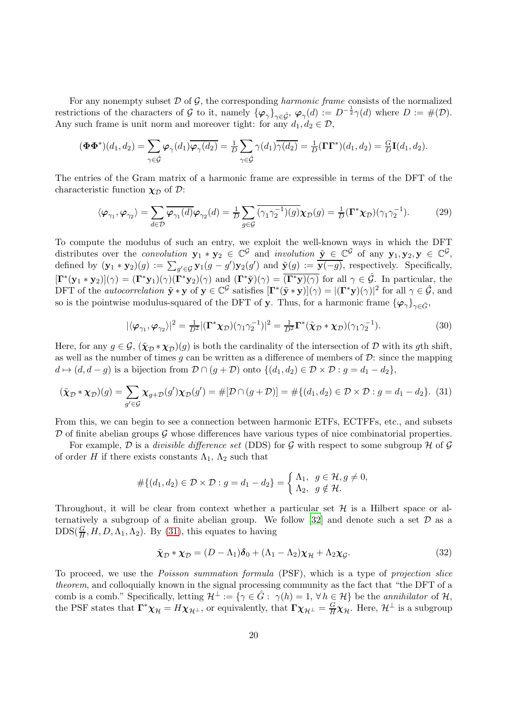For any nonempty subset  $D$  of  $G$ , the corresponding *harmonic frame* consists of the normalized restrictions of the characters of G to it, namely  $\{\varphi_{\gamma}\}_{\gamma \in \hat{\mathcal{G}}}, \varphi_{\gamma}(d) := D^{-\frac{1}{2}}\gamma(d)$  where  $D := \#(\mathcal{D})$ . Any such frame is unit norm and moreover tight: for any  $d_1, d_2 \in \mathcal{D}$ ,

$$
(\mathbf{\Phi}\mathbf{\Phi}^*)(d_1, d_2) = \sum_{\gamma \in \hat{\mathcal{G}}} \boldsymbol{\varphi}_{\gamma}(d_1) \overline{\boldsymbol{\varphi}_{\gamma}(d_2)} = \frac{1}{D} \sum_{\gamma \in \hat{\mathcal{G}}} \gamma(d_1) \overline{\gamma(d_2)} = \frac{1}{D} (\mathbf{\Gamma} \mathbf{\Gamma}^*)(d_1, d_2) = \frac{G}{D} \mathbf{I}(d_1, d_2).
$$

The entries of the Gram matrix of a harmonic frame are expressible in terms of the DFT of the characteristic function  $\chi_{\mathcal{D}}$  of  $\mathcal{D}$ :

<span id="page-19-3"></span>
$$
\langle \varphi_{\gamma_1}, \varphi_{\gamma_2} \rangle = \sum_{d \in \mathcal{D}} \overline{\varphi_{\gamma_1}(d)} \varphi_{\gamma_2}(d) = \frac{1}{D} \sum_{g \in \mathcal{G}} \overline{(\gamma_1 \gamma_2^{-1})(g)} \chi_{\mathcal{D}}(g) = \frac{1}{D} (\Gamma^* \chi_{\mathcal{D}}) (\gamma_1 \gamma_2^{-1}). \tag{29}
$$

To compute the modulus of such an entry, we exploit the well-known ways in which the DFT distributes over the *convolution*  $\mathbf{y}_1 * \mathbf{y}_2 \in \mathbb{C}^{\mathcal{G}}$  and *involution*  $\mathbf{\underline{y}} \in \mathbb{C}^{\mathcal{G}}$  of any  $\mathbf{y}_1, \mathbf{y}_2, \mathbf{y} \in \mathbb{C}^{\mathcal{G}}$ , defined by  $(\mathbf{y}_1 * \mathbf{y}_2)(g) := \sum_{g' \in \mathcal{G}} \mathbf{y}_1(g - g') \mathbf{y}_2(g')$  and  $\underline{\tilde{\mathbf{y}}(g) := \mathbf{y}(-g)}$ , respectively. Specifically,  $[\mathbf{\Gamma}^*(\mathbf{y}_1 * \mathbf{y}_2)](\gamma) = (\mathbf{\Gamma}^*\mathbf{y}_1)(\gamma)(\mathbf{\Gamma}^*\mathbf{y}_2)(\gamma)$  and  $(\mathbf{\Gamma}^*\tilde{\mathbf{y}})(\gamma) = (\mathbf{\Gamma}^*\mathbf{y})(\gamma)$  for all  $\gamma \in \hat{\mathcal{G}}$ . In particular, the DFT of the *autocorrelation*  $\tilde{\mathbf{y}} * \mathbf{y}$  of  $\mathbf{y} \in \mathbb{C}^{\mathcal{G}}$  satisfies  $[\mathbf{\Gamma}^*(\tilde{\mathbf{y}} * \mathbf{y})](\gamma) = |(\mathbf{\Gamma}^*\mathbf{y})(\gamma)|^2$  for all  $\gamma \in \hat{\mathcal{G}}$ , and so is the pointwise modulus-squared of the DFT of y. Thus, for a harmonic frame  ${\{\varphi_{\gamma}\}}_{\gamma \in \hat{G}}$ ,

<span id="page-19-2"></span>
$$
|\langle \varphi_{\gamma_1}, \varphi_{\gamma_2} \rangle|^2 = \frac{1}{D^2} |(\mathbf{\Gamma}^* \chi_{\mathcal{D}}) (\gamma_1 \gamma_2^{-1})|^2 = \frac{1}{D^2} \mathbf{\Gamma}^* (\tilde{\chi}_{\mathcal{D}} * \chi_{\mathcal{D}}) (\gamma_1 \gamma_2^{-1}). \tag{30}
$$

Here, for any  $g \in \mathcal{G}, (\tilde{\chi}_{\mathcal{D}} * \chi_{\mathcal{D}})(g)$  is both the cardinality of the intersection of  $\mathcal{D}$  with its gth shift, as well as the number of times g can be written as a difference of members of  $\mathcal{D}$ : since the mapping  $d \mapsto (d, d - g)$  is a bijection from  $\mathcal{D} \cap (g + \mathcal{D})$  onto  $\{(d_1, d_2) \in \mathcal{D} \times \mathcal{D} : g = d_1 - d_2\},\$ 

<span id="page-19-0"></span>
$$
(\tilde{\chi}_{\mathcal{D}} * \chi_{\mathcal{D}})(g) = \sum_{g' \in \mathcal{G}} \chi_{g+\mathcal{D}}(g') \chi_{\mathcal{D}}(g') = \#[\mathcal{D} \cap (g+\mathcal{D})] = \# \{(d_1, d_2) \in \mathcal{D} \times \mathcal{D} : g = d_1 - d_2\}. (31)
$$

From this, we can begin to see a connection between harmonic ETFs, ECTFFs, etc., and subsets  $D$  of finite abelian groups  $\mathcal G$  whose differences have various types of nice combinatorial properties.

For example,  $\mathcal D$  is a *divisible difference set* (DDS) for  $\mathcal G$  with respect to some subgroup  $\mathcal H$  of  $\mathcal G$ of order H if there exists constants  $\Lambda_1$ ,  $\Lambda_2$  such that

$$
#\{(d_1, d_2) \in \mathcal{D} \times \mathcal{D} : g = d_1 - d_2\} = \begin{cases} \Lambda_1, & g \in \mathcal{H}, g \neq 0, \\ \Lambda_2, & g \notin \mathcal{H}. \end{cases}
$$

Throughout, it will be clear from context whether a particular set  $\mathcal H$  is a Hilbert space or al-ternatively a subgroup of a finite abelian group. We follow [\[32](#page-35-13)] and denote such a set  $\mathcal D$  as a  $\text{DDS}(\frac{G}{H}, H, D, \Lambda_1, \Lambda_2)$ . By [\(31\)](#page-19-0), this equates to having

<span id="page-19-1"></span>
$$
\tilde{\chi}_{\mathcal{D}} * \chi_{\mathcal{D}} = (D - \Lambda_1)\boldsymbol{\delta}_0 + (\Lambda_1 - \Lambda_2)\chi_{\mathcal{H}} + \Lambda_2\chi_{\mathcal{G}}.
$$
\n(32)

To proceed, we use the Poisson summation formula (PSF), which is a type of projection slice theorem, and colloquially known in the signal processing community as the fact that "the DFT of a comb is a comb." Specifically, letting  $\mathcal{H}^{\perp} := \{ \gamma \in \hat{G} : \gamma(h) = 1, \forall h \in \mathcal{H} \}$  be the *annihilator* of  $\mathcal{H}$ , the PSF states that  $\Gamma^* \chi_{\mathcal{H}} = H \chi_{\mathcal{H}^{\perp}}$ , or equivalently, that  $\Gamma \chi_{\mathcal{H}^{\perp}} = \frac{G}{H} \chi_{\mathcal{H}}$ . Here,  $\mathcal{H}^{\perp}$  is a subgroup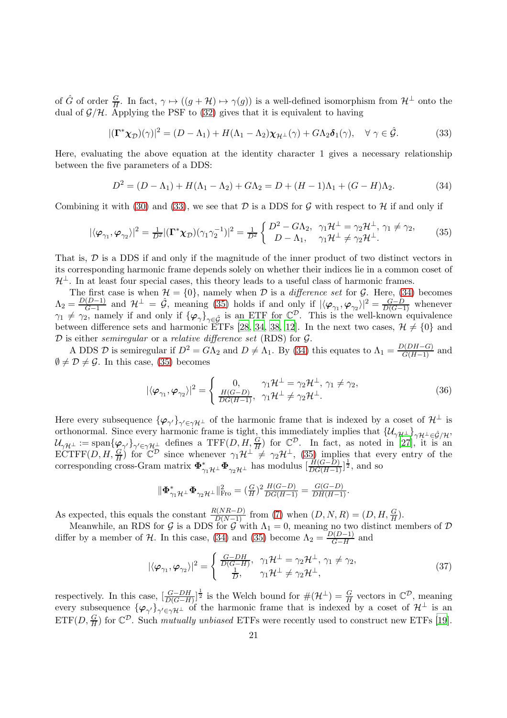of  $\hat{G}$  of order  $\frac{G}{H}$ . In fact,  $\gamma \mapsto ((g + H) \mapsto \gamma(g))$  is a well-defined isomorphism from  $H^{\perp}$  onto the dual of  $\mathcal{G}/\mathcal{H}$ . Applying the PSF to [\(32\)](#page-19-1) gives that it is equivalent to having

<span id="page-20-0"></span>
$$
|(\mathbf{\Gamma}^* \boldsymbol{\chi}_D)(\gamma)|^2 = (D - \Lambda_1) + H(\Lambda_1 - \Lambda_2) \boldsymbol{\chi}_{H^\perp}(\gamma) + G\Lambda_2 \boldsymbol{\delta}_1(\gamma), \quad \forall \ \gamma \in \hat{\mathcal{G}}.\tag{33}
$$

Here, evaluating the above equation at the identity character 1 gives a necessary relationship between the five parameters of a DDS:

<span id="page-20-1"></span>
$$
D^{2} = (D - \Lambda_{1}) + H(\Lambda_{1} - \Lambda_{2}) + G\Lambda_{2} = D + (H - 1)\Lambda_{1} + (G - H)\Lambda_{2}.
$$
 (34)

Combining it with [\(30\)](#page-19-2) and [\(33\)](#page-20-0), we see that  $D$  is a DDS for  $\mathcal G$  with respect to  $\mathcal H$  if and only if

<span id="page-20-2"></span>
$$
|\langle \varphi_{\gamma_1}, \varphi_{\gamma_2} \rangle|^2 = \frac{1}{D^2} |(\mathbf{\Gamma}^* \chi_{\mathcal{D}}) (\gamma_1 \gamma_2^{-1})|^2 = \frac{1}{D^2} \left\{ \begin{array}{ll} D^2 - G \Lambda_2, & \gamma_1 \mathcal{H}^{\perp} = \gamma_2 \mathcal{H}^{\perp}, \gamma_1 \neq \gamma_2, \\ D - \Lambda_1, & \gamma_1 \mathcal{H}^{\perp} \neq \gamma_2 \mathcal{H}^{\perp}. \end{array} \right. \tag{35}
$$

That is, D is a DDS if and only if the magnitude of the inner product of two distinct vectors in its corresponding harmonic frame depends solely on whether their indices lie in a common coset of  $\mathcal{H}^{\perp}$ . In at least four special cases, this theory leads to a useful class of harmonic frames.

The first case is when  $\mathcal{H} = \{0\}$ , namely when  $\mathcal D$  is a *difference set* for  $\mathcal G$ . Here, [\(34\)](#page-20-1) becomes  $\Lambda_2 = \frac{D(D-1)}{G-1}$  $\frac{(D-1)}{G-1}$  and  $\mathcal{H}^{\perp} = \hat{\mathcal{G}}$ , meaning [\(35\)](#page-20-2) holds if and only if  $|\langle \varphi_{\gamma_1}, \varphi_{\gamma_2} \rangle|^2 = \frac{G-\hat{D}}{D(G-1)}$  whenever  $\gamma_1 \neq \gamma_2$ , namely if and only if  $\{\varphi_\gamma\}_{\gamma \in \hat{\mathcal{G}}}$  is an ETF for  $\mathbb{C}^{\mathcal{D}}$ . This is the well-known equivalence between difference sets and harmonic ETFs [\[28](#page-35-9), [34](#page-35-2), [38](#page-35-10), [12](#page-34-8)]. In the next two cases,  $\mathcal{H} \neq \{0\}$  and  $D$  is either *semiregular* or a *relative difference set* (RDS) for  $G$ .

A DDS D is semiregular if  $D^2 = G\Lambda_2$  and  $D \neq \Lambda_1$ . By [\(34\)](#page-20-1) this equates to  $\Lambda_1 = \frac{D(DH-G)}{G(H-1)}$  and  $\emptyset \neq \mathcal{D} \neq \mathcal{G}$ . In this case, [\(35\)](#page-20-2) becomes

<span id="page-20-3"></span>
$$
|\langle \varphi_{\gamma_1}, \varphi_{\gamma_2} \rangle|^2 = \begin{cases} 0, & \gamma_1 \mathcal{H}^{\perp} = \gamma_2 \mathcal{H}^{\perp}, \gamma_1 \neq \gamma_2, \\ \frac{H(G-D)}{DG(H-1)}, & \gamma_1 \mathcal{H}^{\perp} \neq \gamma_2 \mathcal{H}^{\perp}. \end{cases}
$$
(36)

Here every subsequence  $\{\varphi_{\gamma'}\}_{\gamma'\in\gamma\mathcal{H}^{\perp}}$  of the harmonic frame that is indexed by a coset of  $\mathcal{H}^{\perp}$  is orthonormal. Since every harmonic frame is tight, this immediately implies that  $\{U_{\gamma\mu\perp}\}_{\gamma\mu\perp\in\hat{\mathcal{G}}/\mu}$ ,  $\mathcal{U}_{\gamma\mathcal{H}^{\perp}} := \text{span}\{\varphi_{\gamma'}\}_{\gamma'\in\gamma\mathcal{H}^{\perp}}\}$  defines a TFF $(D, H, \frac{G}{H})$  for  $\mathbb{C}^{\mathcal{D}}$ . In fact, as noted in [\[27\]](#page-35-7), it is an  $\mathop{\mathrm{ECTFF}}(D,H,\frac{G}{H})$  for  $\mathbb{C}^{\mathcal{D}}$  since whenever  $\gamma_1\mathcal{H}^\perp \neq \gamma_2\mathcal{H}^\perp$ , [\(35\)](#page-20-2) implies that every entry of the corresponding cross-Gram matrix  $\Phi_{\gamma_1\mathcal{H}^\perp}^* \Phi_{\gamma_2\mathcal{H}^\perp}$  has modulus  $\left[\frac{H(G-D)}{DG(H-1)}\right]^{\frac{1}{2}}$ , and so

$$
\|\boldsymbol{\Phi}_{\gamma_1\mathcal{H}^\perp}^*\boldsymbol{\Phi}_{\gamma_2\mathcal{H}^\perp}\|_{\text{Fro}}^2 = (\tfrac{G}{H})^2 \tfrac{H(G-D)}{DG(H-1)} = \tfrac{G(G-D)}{DH(H-1)}.
$$

As expected, this equals the constant  $\frac{R(NR-D)}{D(N-1)}$  from [\(7\)](#page-2-1) when  $(D, N, R) = (D, H, \frac{G}{H})$ .

Meanwhile, an RDS for G is a DDS for G with  $\Lambda_1 = 0$ , meaning no two distinct members of D differ by a member of H. In this case, [\(34\)](#page-20-1) and [\(35\)](#page-20-2) become  $\Lambda_2 = \frac{D(D-1)}{G-H}$  $\frac{H(D-1)}{G-H}$  and

<span id="page-20-4"></span>
$$
|\langle \varphi_{\gamma_1}, \varphi_{\gamma_2} \rangle|^2 = \begin{cases} \frac{G - DH}{D(G - H)}, & \gamma_1 \mathcal{H}^{\perp} = \gamma_2 \mathcal{H}^{\perp}, \gamma_1 \neq \gamma_2, \\ \frac{1}{D}, & \gamma_1 \mathcal{H}^{\perp} \neq \gamma_2 \mathcal{H}^{\perp}, \end{cases}
$$
(37)

respectively. In this case,  $\left[\frac{G-DH}{D(G-H)}\right]^{\frac{1}{2}}$  is the Welch bound for  $\#(\mathcal{H}^{\perp}) = \frac{G}{H}$  vectors in  $\mathbb{C}^{\mathcal{D}}$ , meaning every subsequence  $\{\varphi_{\gamma'}\}_{\gamma'\in\gamma\mathcal{H}^{\perp}}$  of the harmonic frame that is indexed by a coset of  $\mathcal{H}^{\perp}$  is an  $\text{ETF}(D, \frac{G}{H})$  for  $\mathbb{C}^{\mathcal{D}}$ . Such mutually unbiased ETFs were recently used to construct new ETFs [\[19\]](#page-35-14).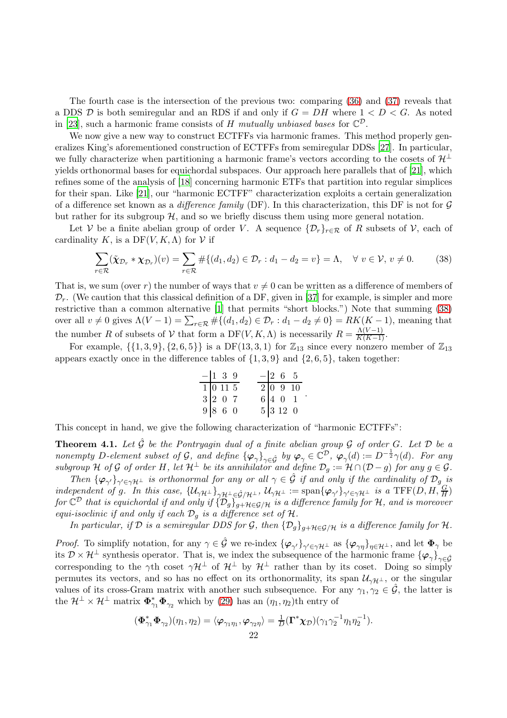The fourth case is the intersection of the previous two: comparing [\(36\)](#page-20-3) and [\(37\)](#page-20-4) reveals that a DDS  $D$  is both semiregular and an RDS if and only if  $G = DH$  where  $1 < D < G$ . As noted in [\[23](#page-35-8)], such a harmonic frame consists of H mutually unbiased bases for  $\mathbb{C}^{\mathcal{D}}$ .

We now give a new way to construct ECTFFs via harmonic frames. This method properly generalizes King's aforementioned construction of ECTFFs from semiregular DDSs [\[27](#page-35-7)]. In particular, we fully characterize when partitioning a harmonic frame's vectors according to the cosets of  $\mathcal{H}^{\perp}$ yields orthonormal bases for equichordal subspaces. Our approach here parallels that of [\[21](#page-35-15)], which refines some of the analysis of [\[18\]](#page-35-16) concerning harmonic ETFs that partition into regular simplices for their span. Like [\[21](#page-35-15)], our "harmonic ECTFF" characterization exploits a certain generalization of a difference set known as a difference family (DF). In this characterization, this DF is not for  $\mathcal G$ but rather for its subgroup  $H$ , and so we briefly discuss them using more general notation.

Let V be a finite abelian group of order V. A sequence  $\{\mathcal{D}_r\}_{r\in\mathcal{R}}$  of R subsets of V, each of cardinality K, is a  $DF(V, K, \Lambda)$  for V if

<span id="page-21-1"></span>
$$
\sum_{r \in \mathcal{R}} (\tilde{\chi}_{\mathcal{D}_r} * \chi_{\mathcal{D}_r})(v) = \sum_{r \in \mathcal{R}} \# \{ (d_1, d_2) \in \mathcal{D}_r : d_1 - d_2 = v \} = \Lambda, \quad \forall \ v \in \mathcal{V}, v \neq 0. \tag{38}
$$

That is, we sum (over r) the number of ways that  $v \neq 0$  can be written as a difference of members of  $\mathcal{D}_r$ . (We caution that this classical definition of a DF, given in [\[37](#page-35-17)] for example, is simpler and more restrictive than a common alternative [\[1](#page-34-9)] that permits "short blocks.") Note that summing [\(38\)](#page-21-1) over all  $v \neq 0$  gives  $\Lambda(V-1) = \sum_{r \in \mathcal{R}} \# \{(d_1, d_2) \in \mathcal{D}_r : d_1 - d_2 \neq 0\} = RK(K-1)$ , meaning that the number R of subsets of V that form a DF(V, K,  $\Lambda$ ) is necessarily  $R = \frac{\Lambda(V-1)}{K(K-1)}$ .

For example,  $\{\{1,3,9\},\{2,6,5\}\}\$ is a DF $(13,3,1)$  for  $\mathbb{Z}_{13}$  since every nonzero member of  $\mathbb{Z}_{13}$ appears exactly once in the difference tables of  $\{1, 3, 9\}$  and  $\{2, 6, 5\}$ , taken together:

$$
\begin{array}{c|ccccc}\n-1 & 3 & 9 & -2 & 6 & 5 \\
\hline\n1 & 0 & 11 & 5 & 2 & 0 & 9 & 10 \\
3 & 2 & 0 & 7 & 6 & 4 & 0 & 1 \\
9 & 8 & 6 & 0 & 5 & 3 & 12 & 0\n\end{array}
$$

.

This concept in hand, we give the following characterization of "harmonic ECTFFs":

<span id="page-21-0"></span>**Theorem 4.1.** Let  $\hat{\mathcal{G}}$  be the Pontryagin dual of a finite abelian group  $\mathcal G$  of order G. Let  $\mathcal D$  be a nonempty D-element subset of G, and define  $\{\varphi_{\gamma}\}_{{\gamma \in \hat{\mathcal{G}}}}$  by  $\varphi_{\gamma} \in \mathbb{C}^{\mathcal{D}}$ ,  $\varphi_{\gamma}(d) := D^{-\frac{1}{2}}\gamma(d)$ . For any subgroup H of G of order H, let  $H^{\perp}$  be its annihilator and define  $\mathcal{D}_g := \mathcal{H} \cap (\mathcal{D} - g)$  for any  $g \in \mathcal{G}$ .

Then  $\{\varphi_{\gamma'}\}_{\gamma'\in\gamma\mu\perp}$  is orthonormal for any or all  $\gamma\in\hat{\mathcal{G}}$  if and only if the cardinality of  $\mathcal{D}_g$  is independent of g. In this case,  $\{U_{\gamma\mu\perp}\}_{\gamma\mu\perp\in\hat{\mathcal{G}}/\mu\perp}$ ,  $U_{\gamma\mu\perp} := \text{span}\{\varphi_{\gamma'}\}_{\gamma'\in\gamma\mu\perp}$  is a TFF(D, H,  $\frac{G}{H}$ ) for  $\mathbb{C}^{\mathcal{D}}$  that is equichordal if and only if  $\{\mathcal{D}_g\}_{g+H\in\mathcal{G}/H}$  is a difference family for H, and is moreover equi-isoclinic if and only if each  $\mathcal{D}_q$  is a difference set of  $\mathcal{H}$ .

In particular, if  $D$  is a semiregular DDS for  $G$ , then  $\{D_g\}_{g+H\in G/H}$  is a difference family for  $H$ .

*Proof.* To simplify notation, for any  $\gamma \in \hat{\mathcal{G}}$  we re-index  $\{\varphi_{\gamma'}\}_{\gamma' \in \gamma \mathcal{H}^{\perp}}$  as  $\{\varphi_{\gamma\eta}\}_{\eta \in \mathcal{H}^{\perp}}$ , and let  $\Phi_{\gamma}$  be its  $\mathcal{D} \times \mathcal{H}^{\perp}$  synthesis operator. That is, we index the subsequence of the harmonic frame  $\{\varphi_{\gamma}\}_{\gamma \in \hat{G}}$ corresponding to the  $\gamma$ th coset  $\gamma$ H<sup>⊥</sup> of H<sup>⊥</sup> by H<sup>⊥</sup> rather than by its coset. Doing so simply permutes its vectors, and so has no effect on its orthonormality, its span  $\mathcal{U}_{\gamma\mathcal{H}^{\perp}}$ , or the singular values of its cross-Gram matrix with another such subsequence. For any  $\gamma_1, \gamma_2 \in \hat{\mathcal{G}}$ , the latter is the  $\mathcal{H}^{\perp} \times \mathcal{H}^{\perp}$  matrix  $\Phi_{\gamma_1}^* \Phi_{\gamma_2}$  which by [\(29\)](#page-19-3) has an  $(\eta_1, \eta_2)$ th entry of

$$
(\boldsymbol{\Phi}_{\gamma_1}^* \boldsymbol{\Phi}_{\gamma_2}) (\eta_1, \eta_2) = \langle \boldsymbol{\varphi}_{\gamma_1 \eta_1}, \boldsymbol{\varphi}_{\gamma_2 \eta} \rangle = \frac{1}{D} (\boldsymbol{\Gamma}^* \boldsymbol{\chi}_{\mathcal{D}}) (\gamma_1 \gamma_2^{-1} \eta_1 \eta_2^{-1}).
$$
  
22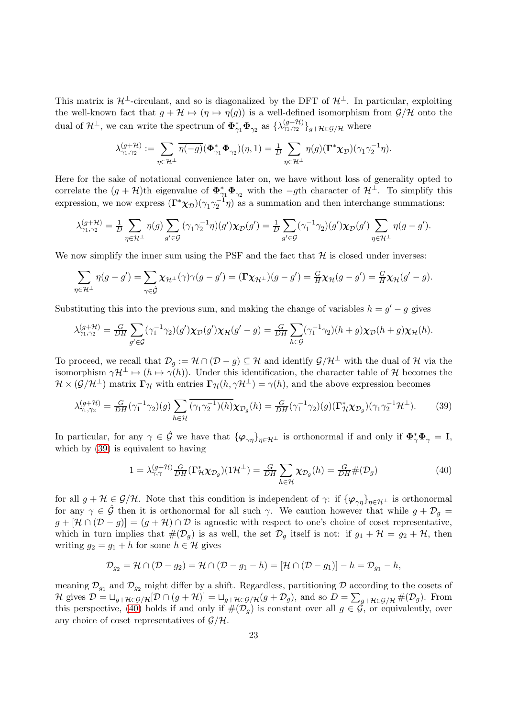This matrix is  $\mathcal{H}^{\perp}$ -circulant, and so is diagonalized by the DFT of  $\mathcal{H}^{\perp}$ . In particular, exploiting the well-known fact that  $g + H \mapsto (\eta \mapsto \eta(g))$  is a well-defined isomorphism from  $\mathcal{G}/\mathcal{H}$  onto the dual of  $\mathcal{H}^{\perp}$ , we can write the spectrum of  $\mathbf{\Phi}_{\gamma_1}^* \mathbf{\Phi}_{\gamma_2}$  as  $\{\lambda_{\gamma_1,\gamma_2}^{(g+\mathcal{H})}\}_{g+\mathcal{H}\in\mathcal{G}/\mathcal{H}}$  where

$$
\lambda^{(g+\mathcal{H})}_{\gamma_1,\gamma_2}:=\sum_{\eta\in\mathcal{H}^\perp}\overline{\eta(-g)}(\boldsymbol{\Phi}^*_{\gamma_1}\boldsymbol{\Phi}_{\gamma_2})(\eta,1)=\tfrac{1}{D}\sum_{\eta\in\mathcal{H}^\perp}\eta(g)(\boldsymbol{\Gamma}^*\boldsymbol{\chi}_{\mathcal{D}})(\gamma_1\gamma_2^{-1}\eta).
$$

Here for the sake of notational convenience later on, we have without loss of generality opted to correlate the  $(g + \mathcal{H})$ th eigenvalue of  $\Phi_{\gamma_1}^* \Phi_{\gamma_2}$  with the  $-g$ th character of  $\mathcal{H}^{\perp}$ . To simplify this expression, we now express  $(\Gamma^*\chi_{\mathcal{D}})(\gamma_1\gamma_2^{-1}\eta)$  as a summation and then interchange summations:

$$
\lambda_{\gamma_1,\gamma_2}^{(g+\mathcal{H})} = \frac{1}{D} \sum_{\eta \in \mathcal{H}^\perp} \eta(g) \sum_{g' \in \mathcal{G}} \overline{(\gamma_1 \gamma_2^{-1} \eta)(g')} \chi_{\mathcal{D}}(g') = \frac{1}{D} \sum_{g' \in \mathcal{G}} (\gamma_1^{-1} \gamma_2)(g') \chi_{\mathcal{D}}(g') \sum_{\eta \in \mathcal{H}^\perp} \eta(g - g').
$$

We now simplify the inner sum using the PSF and the fact that  $H$  is closed under inverses:

$$
\sum_{\eta \in \mathcal{H}^{\perp}} \eta(g - g') = \sum_{\gamma \in \hat{\mathcal{G}}} \chi_{\mathcal{H}^{\perp}}(\gamma) \gamma(g - g') = (\Gamma \chi_{\mathcal{H}^{\perp}})(g - g') = \frac{G}{H} \chi_{\mathcal{H}}(g - g') = \frac{G}{H} \chi_{\mathcal{H}}(g' - g).
$$

Substituting this into the previous sum, and making the change of variables  $h = g' - g$  gives

$$
\lambda_{\gamma_1,\gamma_2}^{(g+\mathcal{H})} = \frac{G}{DH} \sum_{g' \in \mathcal{G}} (\gamma_1^{-1} \gamma_2)(g') \chi_{\mathcal{D}}(g') \chi_{\mathcal{H}}(g'-g) = \frac{G}{DH} \sum_{h \in \mathcal{G}} (\gamma_1^{-1} \gamma_2)(h+g) \chi_{\mathcal{D}}(h+g) \chi_{\mathcal{H}}(h).
$$

To proceed, we recall that  $\mathcal{D}_q := \mathcal{H} \cap (\mathcal{D} - g) \subseteq \mathcal{H}$  and identify  $\mathcal{G}/\mathcal{H}^{\perp}$  with the dual of  $\mathcal{H}$  via the isomorphism  $\gamma \mathcal{H}^{\perp} \mapsto (h \mapsto \gamma(h))$ . Under this identification, the character table of H becomes the  $\mathcal{H} \times (\mathcal{G}/\mathcal{H}^{\perp})$  matrix  $\Gamma_{\mathcal{H}}$  with entries  $\Gamma_{\mathcal{H}}(h, \gamma \mathcal{H}^{\perp}) = \gamma(h)$ , and the above expression becomes

<span id="page-22-0"></span>
$$
\lambda_{\gamma_1,\gamma_2}^{(g+\mathcal{H})} = \frac{G}{DH}(\gamma_1^{-1}\gamma_2)(g) \sum_{h \in \mathcal{H}} \overline{(\gamma_1 \gamma_2^{-1})(h)} \chi_{\mathcal{D}_g}(h) = \frac{G}{DH}(\gamma_1^{-1}\gamma_2)(g) (\Gamma_{\mathcal{H}}^* \chi_{\mathcal{D}_g})(\gamma_1 \gamma_2^{-1} \mathcal{H}^{\perp}).
$$
 (39)

In particular, for any  $\gamma \in \hat{\mathcal{G}}$  we have that  $\{\varphi_{\gamma\eta}\}_{\eta \in \mathcal{H}^{\perp}}$  is orthonormal if and only if  $\Phi_{\gamma}^* \Phi_{\gamma} = \mathbf{I}$ , which by [\(39\)](#page-22-0) is equivalent to having

<span id="page-22-1"></span>
$$
1 = \lambda_{\gamma,\gamma}^{(g+\mathcal{H})} \frac{G}{DH} (\Gamma_{\mathcal{H}}^* \chi_{\mathcal{D}_g}) (1\mathcal{H}^{\perp}) = \frac{G}{DH} \sum_{h \in \mathcal{H}} \chi_{\mathcal{D}_g}(h) = \frac{G}{DH} \# (\mathcal{D}_g)
$$
(40)

for all  $g + H \in \mathcal{G}/\mathcal{H}$ . Note that this condition is independent of  $\gamma$ : if  $\{\varphi_{\gamma\eta}\}_{\eta \in \mathcal{H}^{\perp}}$  is orthonormal for any  $\gamma \in \hat{\mathcal{G}}$  then it is orthonormal for all such  $\gamma$ . We caution however that while  $g + \mathcal{D}_g =$  $g + [\mathcal{H} \cap (\mathcal{D} - g)] = (g + \mathcal{H}) \cap \mathcal{D}$  is agnostic with respect to one's choice of coset representative, which in turn implies that  $\#(\mathcal{D}_g)$  is as well, the set  $\mathcal{D}_g$  itself is not: if  $g_1 + \mathcal{H} = g_2 + \mathcal{H}$ , then writing  $g_2 = g_1 + h$  for some  $h \in \mathcal{H}$  gives

$$
\mathcal{D}_{g_2} = \mathcal{H} \cap (\mathcal{D} - g_2) = \mathcal{H} \cap (\mathcal{D} - g_1 - h) = [\mathcal{H} \cap (\mathcal{D} - g_1)] - h = \mathcal{D}_{g_1} - h,
$$

meaning  $\mathcal{D}_{g_1}$  and  $\mathcal{D}_{g_2}$  might differ by a shift. Regardless, partitioning  $\mathcal D$  according to the cosets of  $\mathcal{H}$  gives  $\mathcal{D} = \bigcup_{g+\mathcal{H} \in \mathcal{G}/\mathcal{H}} [\mathcal{D} \cap (g+\mathcal{H})] = \bigcup_{g+\mathcal{H} \in \mathcal{G}/\mathcal{H}} (g+\mathcal{D}_g)$ , and so  $D = \sum_{g+\mathcal{H} \in \mathcal{G}/\mathcal{H}} \#(\mathcal{D}_g)$ . From this perspective, [\(40\)](#page-22-1) holds if and only if  $\#(\mathcal{D}_g)$  is constant over all  $g \in \mathcal{G}$ , or equivalently, over any choice of coset representatives of  $\mathcal{G}/\mathcal{H}$ .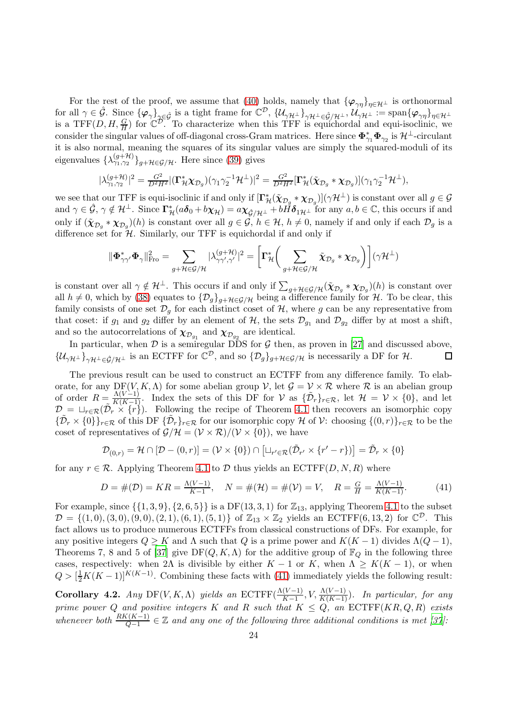For the rest of the proof, we assume that [\(40\)](#page-22-1) holds, namely that  ${\varphi_{\gamma\eta}}_{\eta\in\mathcal{H}^{\perp}}$  is orthonormal for all  $\gamma \in \hat{\mathcal{G}}$ . Since  $\{\varphi_{\gamma}\}_{{\gamma} \in \hat{\mathcal{G}}}$  is a tight frame for  $\mathbb{C}^{\mathcal{D}}$ ,  $\{\mathcal{U}_{\gamma\mathcal{H}^{\perp}}\}_{{\gamma}\mathcal{H}^{\perp} \in \hat{\mathcal{G}}/\mathcal{H}^{\perp}}$ ,  $\mathcal{U}_{\gamma\mathcal{H}^{\perp}} := \text{span}\{\varphi_{\gamma\eta}\}_{{\eta} \in \mathcal{H}^{\perp}}$ is a TFF(D, H,  $\frac{G}{H}$ ) for  $\mathbb{C}^{\mathcal{D}}$ . To characterize when this TFF is equichordal and equi-isoclinic, we consider the singular values of off-diagonal cross-Gram matrices. Here since  $\pmb{\Phi}_{\gamma_1}^* \pmb{\Phi}_{\gamma_2}$  is  ${\cal H}^\perp$ -circulant it is also normal, meaning the squares of its singular values are simply the squared-moduli of its eigenvalues  $\{\lambda_{\gamma_1,\gamma_2}^{(g+\mathcal{H})}\}_{g+\mathcal{H}\in\mathcal{G}/\mathcal{H}}$ . Here since [\(39\)](#page-22-0) gives

$$
|\lambda_{\gamma_1,\gamma_2}^{(g+\mathcal{H})}|^2 = \frac{G^2}{D^2H^2} |(\mathbf{\Gamma}_{\mathcal{H}}^* \chi_{\mathcal{D}_g}) (\gamma_1 \gamma_2^{-1} \mathcal{H}^{\perp})|^2 = \frac{G^2}{D^2H^2} [\mathbf{\Gamma}_{\mathcal{H}}^* (\tilde{\chi}_{\mathcal{D}_g} * \chi_{\mathcal{D}_g})] (\gamma_1 \gamma_2^{-1} \mathcal{H}^{\perp}),
$$

we see that our TFF is equi-isoclinic if and only if  $[\Gamma^*_\mathcal{H}(\tilde{\chi}_{\mathcal{D}_g} * \chi_{\mathcal{D}_g})](\gamma \mathcal{H}^\perp)$  is constant over all  $g \in \mathcal{G}$ and  $\gamma \in \hat{\mathcal{G}}, \gamma \notin \mathcal{H}^{\perp}$ . Since  $\Gamma^*_{\mathcal{H}}(a\delta_0 + b\chi_{\mathcal{H}}) = a\chi_{\hat{\mathcal{G}}/\mathcal{H}^{\perp}} + b\check{H}\delta_{1\mathcal{H}^{\perp}}$  for any  $a, b \in \mathbb{C}$ , this occurs if and only if  $(\mathbf{X}_{\mathcal{D}_g} * \mathbf{X}_{\mathcal{D}_g})(h)$  is constant over all  $g \in \mathcal{G}, h \in \mathcal{H}, h \neq 0$ , namely if and only if each  $\mathcal{D}_g$  is a difference set for  $\mathcal{H}$ . Similarly, our TFF is equichordal if and only if

$$
\|\mathbf{\Phi}_{\gamma\gamma'}^*\mathbf{\Phi}_{\gamma}\|_{\text{Fro}}^2 = \sum_{g+\mathcal{H}\in\mathcal{G}/\mathcal{H}} |\lambda_{\gamma\gamma',\gamma'}^{(g+\mathcal{H})}|^2 = \left[\Gamma_{\mathcal{H}}^*\bigg(\sum_{g+\mathcal{H}\in\mathcal{G}/\mathcal{H}}\tilde{\chi}_{\mathcal{D}_g}*\chi_{\mathcal{D}_g}\bigg)\right](\gamma\mathcal{H}^{\perp})
$$

is constant over all  $\gamma \notin \mathcal{H}^{\perp}$ . This occurs if and only if  $\sum_{g+\mathcal{H}\in\mathcal{G}/\mathcal{H}}(\tilde{\chi}_{\mathcal{D}_g} * \chi_{\mathcal{D}_g})(h)$  is constant over all  $h \neq 0$ , which by [\(38\)](#page-21-1) equates to  $\{\mathcal{D}_g\}_{g+\mathcal{H}\in\mathcal{G}/\mathcal{H}}$  being a difference family for  $\mathcal{H}$ . To be clear, this family consists of one set  $\mathcal{D}_g$  for each distinct coset of  $\mathcal{H}$ , where g can be any representative from that coset: if  $g_1$  and  $g_2$  differ by an element of  $H$ , the sets  $\mathcal{D}_{g_1}$  and  $\mathcal{D}_{g_2}$  differ by at most a shift, and so the autocorrelations of  $\chi_{\mathcal{D}_{g_1}}$  and  $\chi_{\mathcal{D}_{g_2}}$  are identical.

In particular, when  $D$  is a semiregular DDS for  $G$  then, as proven in [\[27](#page-35-7)] and discussed above,  $\{\mathcal{U}_{\gamma\mathcal{H}^{\perp}}\}_{\gamma\mathcal{H}^{\perp}\in\hat{\mathcal{G}}/\mathcal{H}^{\perp}}$  is an ECTFF for  $\mathbb{C}^{\mathcal{D}}$ , and so  $\{\mathcal{D}_g\}_{g+\mathcal{H}\in\mathcal{G}/\mathcal{H}}$  is necessarily a DF for  $\mathcal{H}$ .

The previous result can be used to construct an ECTFF from any difference family. To elaborate, for any DF(V, K,  $\Lambda$ ) for some abelian group V, let  $\mathcal{G} = \mathcal{V} \times \mathcal{R}$  where  $\mathcal{R}$  is an abelian group of order  $R = \frac{\Lambda(V-1)}{K(K-1)}$ . Index the sets of this DF for  $V$  as  $\{\tilde{\mathcal{D}}_r\}_{r \in \mathcal{R}}$ , let  $\mathcal{H} = V \times \{0\}$ , and let  $\mathcal{D} = \sqcup_{r \in \mathcal{R}} (\tilde{\mathcal{D}}_r \times \{r\})$ . Following the recipe of Theorem [4.1](#page-21-0) then recovers an isomorphic copy  ${\{\tilde{\mathcal{D}}_r\times\{0\}}_{r\in\mathcal{R}}}$  of this DF  ${\{\tilde{\mathcal{D}}_r\}}_{r\in\mathcal{R}}$  for our isomorphic copy H of V: choosing  ${(0,r)}_{r\in\mathcal{R}}$  to be the coset of representatives of  $\mathcal{G}/\mathcal{H} = (\mathcal{V} \times \mathcal{R})/(\mathcal{V} \times \{0\})$ , we have

$$
\mathcal{D}_{(0,r)} = \mathcal{H} \cap [\mathcal{D} - (0,r)] = (\mathcal{V} \times \{0\}) \cap [\sqcup_{r' \in \mathcal{R}} (\tilde{\mathcal{D}}_{r'} \times \{r'-r\})] = \tilde{\mathcal{D}}_r \times \{0\}
$$

for any  $r \in \mathcal{R}$ . Applying Theorem [4.1](#page-21-0) to D thus yields an ECTFF(D, N, R) where

<span id="page-23-1"></span>
$$
D = \#(\mathcal{D}) = KR = \frac{\Lambda(V-1)}{K-1}, \quad N = \#(\mathcal{H}) = \#(\mathcal{V}) = V, \quad R = \frac{G}{H} = \frac{\Lambda(V-1)}{K(K-1)}.
$$
 (41)

For example, since  $\{\{1,3,9\},\{2,6,5\}\}\$ is a DF $(13,3,1)$  for  $\mathbb{Z}_{13}$ , applying Theorem [4.1](#page-21-0) to the subset  $\mathcal{D} = \{(1,0), (3,0), (9,0), (2,1), (6,1), (5,1)\}\$  of  $\mathbb{Z}_{13} \times \mathbb{Z}_2$  yields an ECTFF(6, 13, 2) for  $\mathbb{C}^{\mathcal{D}}$ . This fact allows us to produce numerous ECTFFs from classical constructions of DFs. For example, for any positive integers  $Q \geq K$  and  $\Lambda$  such that  $Q$  is a prime power and  $K(K-1)$  divides  $\Lambda(Q-1)$ , Theorems 7, 8 and 5 of [\[37\]](#page-35-17) give  $DF(Q, K, \Lambda)$  for the additive group of  $\mathbb{F}_Q$  in the following three cases, respectively: when 2Λ is divisible by either  $K - 1$  or K, when  $\Lambda \geq K(K - 1)$ , or when  $Q > \left[\frac{1}{2}K(K-1)\right]^{K(K-1)}$ . Combining these facts with [\(41\)](#page-23-1) immediately yields the following result:

<span id="page-23-0"></span>**Corollary 4.2.** Any DF(V, K,  $\Lambda$ ) yields an ECTFF( $\frac{\Lambda(V-1)}{K-1}$ , V,  $\frac{\Lambda(V-1)}{K(K-1)}$ ). In particular, for any prime power Q and positive integers K and R such that  $K \leq Q$ , an  $\mathrm{ECTFF}(KR, Q, R)$  exists whenever both  $\frac{RK(K-1)}{Q-1} \in \mathbb{Z}$  and any one of the following three additional conditions is met [\[37\]](#page-35-17):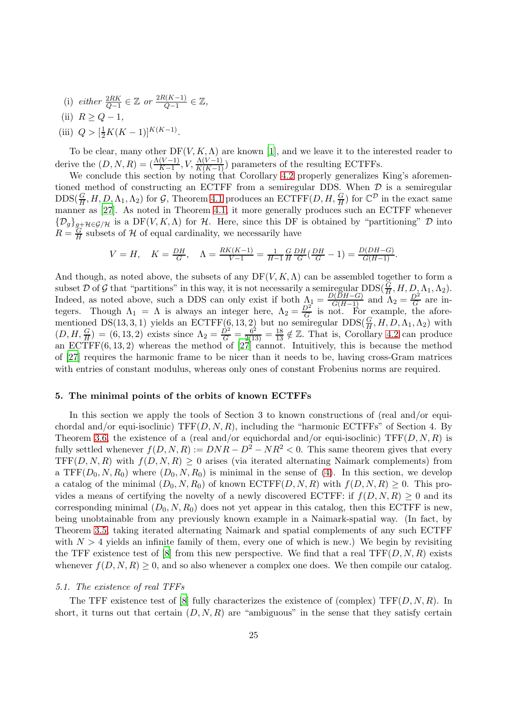- (i) either  $\frac{2RK}{Q-1} \in \mathbb{Z}$  or  $\frac{2R(K-1)}{Q-1}$  $\frac{l(K-1)}{Q-1}\in\mathbb{Z},$
- (ii)  $R \geq Q-1$ ,
- (iii)  $Q > [\frac{1}{2}K(K-1)]^{K(K-1)}$ .

To be clear, many other  $DF(V, K, \Lambda)$  are known [\[1](#page-34-9)], and we leave it to the interested reader to derive the  $(D, N, R) = (\frac{\Lambda(V-1)}{K-1}, V, \frac{\Lambda(V-1)}{K(K-1)})$  parameters of the resulting ECTFFs.<br>We conclude this section by noting that Corollary [4.2](#page-23-0) properly generalizes King's aforemen-

tioned method of constructing an ECTFF from a semiregular DDS. When  $D$  is a semiregular  $\text{DDS}(\frac{G}{H}, H, D, \Lambda_1, \Lambda_2)$  for G, Theorem [4.1](#page-21-0) produces an  $\text{ECTFF}(D, H, \frac{G}{H})$  for  $\mathbb{C}^{\mathcal{D}}$  in the exact same manner as [\[27](#page-35-7)]. As noted in Theorem [4.1,](#page-21-0) it more generally produces such an ECTFF whenever  ${\{\mathcal{D}_g\}}_{g}$ + $\mathcal{H} \in \mathcal{G}/\mathcal{H}$  is a DF(V, K, A) for H. Here, since this DF is obtained by "partitioning"  $\mathcal D$  into  $R = \frac{G}{H}$  subsets of  $H$  of equal cardinality, we necessarily have

$$
V = H, \quad K = \frac{DH}{G}, \quad \Lambda = \frac{RK(K-1)}{V-1} = \frac{1}{H-1} \frac{G}{H} \frac{DH}{G} \left(\frac{DH}{G} - 1\right) = \frac{D(DH-G)}{G(H-1)}.
$$

And though, as noted above, the subsets of any  $DF(V, K, \Lambda)$  can be assembled together to form a subset D of G that "partitions" in this way, it is not necessarily a semiregular  $DDS(\frac{G}{H}, H, D, \Lambda_1, \Lambda_2)$ . Indeed, as noted above, such a DDS can only exist if both  $\Lambda_1 = \frac{D(DH-G)}{G(H-1)}$  and  $\Lambda_2 = \frac{D^2}{G}$  are integers. Though  $\Lambda_1 = \Lambda$  is always an integer here,  $\Lambda_2 = \frac{D^2}{G}$  is not. For example, the aforementioned DS(13, 3, 1) yields an ECTFF(6, 13, 2) but no semiregular  $DDS(\frac{G}{H}, H, D, \Lambda_1, \Lambda_2)$  with  $(D, H, \frac{G}{H}) = (6, 13, 2)$  exists since  $\Lambda_2 = \frac{D^2}{G} = \frac{6^2}{2(13)} = \frac{18}{13} \notin \mathbb{Z}$ . That is, Corollary [4.2](#page-23-0) can produce an ECTFF(6, 13, 2) whereas the method of [\[27](#page-35-7)] cannot. Intuitively, this is because the method of [\[27](#page-35-7)] requires the harmonic frame to be nicer than it needs to be, having cross-Gram matrices with entries of constant modulus, whereas only ones of constant Frobenius norms are required.

# 5. The minimal points of the orbits of known ECTFFs

In this section we apply the tools of Section 3 to known constructions of (real and/or equichordal and/or equi-isoclinic)  $TF(D, N, R)$ , including the "harmonic ECTFFs" of Section 4. By Theorem [3.6,](#page-17-0) the existence of a (real and/or equichordal and/or equi-isoclinic)  $TFF(D, N, R)$  is fully settled whenever  $f(D, N, R) := DNR - D^2 - NR^2 < 0$ . This same theorem gives that every TFF(D, N, R) with  $f(D, N, R) \geq 0$  arises (via iterated alternating Naimark complements) from a TFF( $D_0, N, R_0$ ) where  $(D_0, N, R_0)$  is minimal in the sense of [\(4\)](#page-1-1). In this section, we develop a catalog of the minimal  $(D_0, N, R_0)$  of known  $\mathrm{ECTFF}(D, N, R)$  with  $f(D, N, R) \geq 0$ . This provides a means of certifying the novelty of a newly discovered ECTFF: if  $f(D, N, R) \geq 0$  and its corresponding minimal  $(D_0, N, R_0)$  does not yet appear in this catalog, then this ECTFF is new, being unobtainable from any previously known example in a Naimark-spatial way. (In fact, by Theorem [3.5,](#page-13-0) taking iterated alternating Naimark and spatial complements of any such ECTFF with  $N > 4$  yields an infinite family of them, every one of which is new.) We begin by revisiting the TFF existence test of [\[8\]](#page-34-7) from this new perspective. We find that a real  $TF(D, N, R)$  exists whenever  $f(D, N, R) \geq 0$ , and so also whenever a complex one does. We then compile our catalog.

# 5.1. The existence of real TFFs

The TFF existence test of [\[8\]](#page-34-7) fully characterizes the existence of (complex)  $TFF(D, N, R)$ . In short, it turns out that certain  $(D, N, R)$  are "ambiguous" in the sense that they satisfy certain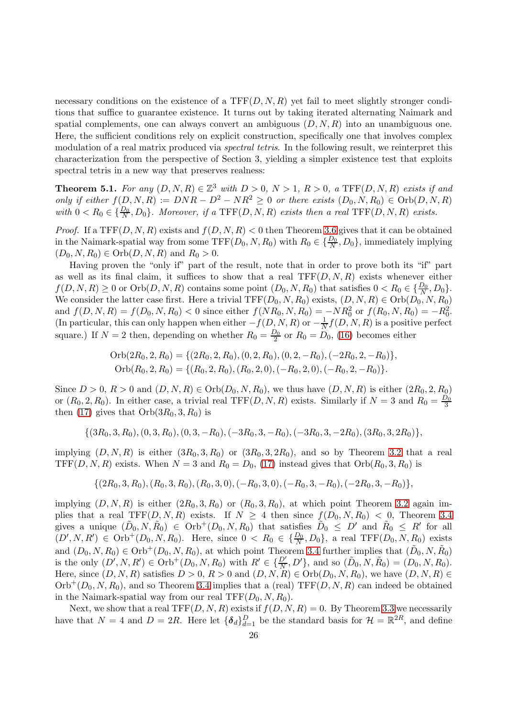necessary conditions on the existence of a  $TFF(D, N, R)$  yet fail to meet slightly stronger conditions that suffice to guarantee existence. It turns out by taking iterated alternating Naimark and spatial complements, one can always convert an ambiguous  $(D, N, R)$  into an unambiguous one. Here, the sufficient conditions rely on explicit construction, specifically one that involves complex modulation of a real matrix produced via *spectral tetris*. In the following result, we reinterpret this characterization from the perspective of Section 3, yielding a simpler existence test that exploits spectral tetris in a new way that preserves realness:

<span id="page-25-0"></span>**Theorem 5.1.** For any  $(D, N, R) \in \mathbb{Z}^3$  with  $D > 0$ ,  $N > 1$ ,  $R > 0$ , a TFF $(D, N, R)$  exists if and only if either  $f(D, N, R) := DNR - D^2 - NR^2 \geq 0$  or there exists  $(D_0, N, R_0) \in Orb(D, N, R)$ with  $0 < R_0 \in {\frac{D_0}{N}, D_0}$ . Moreover, if a TFF(D, N, R) exists then a real TFF(D, N, R) exists.

*Proof.* If a TFF $(D, N, R)$  exists and  $f(D, N, R) < 0$  then Theorem [3.6](#page-17-0) gives that it can be obtained in the Naimark-spatial way from some  $TFF(D_0, N, R_0)$  with  $R_0 \in {\frac{D_0}{N}, D_0}$ , immediately implying  $(D_0, N, R_0) \in \text{Orb}(D, N, R)$  and  $R_0 > 0$ .

Having proven the "only if" part of the result, note that in order to prove both its "if" part as well as its final claim, it suffices to show that a real  $TFF(D, N, R)$  exists whenever either  $f(D, N, R) \ge 0$  or  $Orb(D, N, R)$  contains some point  $(D_0, N, R_0)$  that satisfies  $0 < R_0 \in {\frac{D_0}{N}, D_0}$ . We consider the latter case first. Here a trivial  $TFF(D_0, N, R_0)$  exists,  $(D, N, R) \in Orb(D_0, N, R_0)$ and  $f(D, N, R) = f(D_0, N, R_0) < 0$  since either  $f(NR_0, N, R_0) = -NR_0^2$  or  $f(R_0, N, R_0) = -R_0^2$ . (In particular, this can only happen when either  $-f(D, N, R)$  or  $-\frac{1}{N}$  $\frac{1}{N} f(D, N, R)$  is a positive perfect square.) If  $N=2$  then, depending on whether  $R_0 = \frac{D_0}{2}$  $\frac{20}{2}$  or  $R_0 = D_0$ , [\(16\)](#page-8-1) becomes either

Orb
$$
(2R_0, 2, R_0)
$$
 = { $(2R_0, 2, R_0), (0, 2, R_0), (0, 2, -R_0), (-2R_0, 2, -R_0)$ },  
Orb $(R_0, 2, R_0)$  = { $(R_0, 2, R_0), (R_0, 2, 0), (-R_0, 2, 0), (-R_0, 2, -R_0)$ }

Since  $D > 0$ ,  $R > 0$  and  $(D, N, R) \in Orb(D_0, N, R_0)$ , we thus have  $(D, N, R)$  is either  $(2R_0, 2, R_0)$ or  $(R_0, 2, R_0)$ . In either case, a trivial real TFF $(D, N, R)$  exists. Similarly if  $N = 3$  and  $R_0 = \frac{D_0}{3}$ 3 then [\(17\)](#page-8-2) gives that  $Orb(3R_0, 3, R_0)$  is

$$
\{(3R_0,3,R_0), (0,3,R_0), (0,3,-R_0), (-3R_0,3,-R_0), (-3R_0,3,-2R_0), (3R_0,3,2R_0)\},\
$$

implying  $(D, N, R)$  is either  $(3R_0, 3, R_0)$  or  $(3R_0, 3, 2R_0)$ , and so by Theorem [3.2](#page-8-0) that a real TFF(D, N, R) exists. When  $N = 3$  and  $R_0 = D_0$ , [\(17\)](#page-8-2) instead gives that  $Orb(R_0, 3, R_0)$  is

$$
\{(2R_0,3,R_0), (R_0,3,R_0), (R_0,3,0), (-R_0,3,0), (-R_0,3,-R_0), (-2R_0,3,-R_0)\},\
$$

implying  $(D, N, R)$  is either  $(2R_0, 3, R_0)$  or  $(R_0, 3, R_0)$ , at which point Theorem [3.2](#page-8-0) again implies that a real TFF(D, N, R) exists. If  $N \geq 4$  then since  $f(D_0, N, R_0) < 0$ , Theorem [3.4](#page-10-0) gives a unique  $(\tilde{D}_0, N, \tilde{R}_0) \in \text{Orb}^+(D_0, N, R_0)$  that satisfies  $\tilde{D}_0 \leq D'$  and  $\tilde{R}_0 \leq R'$  for all  $(D', N, R') \in \mathrm{Orb}^+(D_0, N, R_0)$ . Here, since  $0 \lt R_0 \in \{\frac{D_0}{N}, D_0\}$ , a real TFF $(D_0, N, R_0)$  exists and  $(D_0, N, R_0) \in \text{Orb}^+(D_0, N, R_0)$ , at which point Theorem [3.4](#page-10-0) further implies that  $(\tilde{D}_0, N, \tilde{R}_0)$ is the only  $(D', N, R') \in \text{Orb}^+(D_0, N, R_0)$  with  $R' \in {\{D', D'\}}$ , and so  $(D_0, N, R_0) = (D_0, N, R_0)$ . Here, since  $(D, N, R)$  satisfies  $D > 0$ ,  $R > 0$  and  $(D, N, R) \in \text{Orb}(D_0, N, R_0)$ , we have  $(D, N, R) \in$  $Orb^{+}(D_0, N, R_0)$ , and so Theorem [3.4](#page-10-0) implies that a (real) TFF $(D, N, R)$  can indeed be obtained in the Naimark-spatial way from our real  $TFF(D_0, N, R_0)$ .

Next, we show that a real TFF $(D, N, R)$  exists if  $f(D, N, R) = 0$ . By Theorem [3.3](#page-10-1) we necessarily have that  $N = 4$  and  $D = 2R$ . Here let  ${\lbrace \delta_d \rbrace}_{d=1}^D$  be the standard basis for  $\mathcal{H} = \mathbb{R}^{2R}$ , and define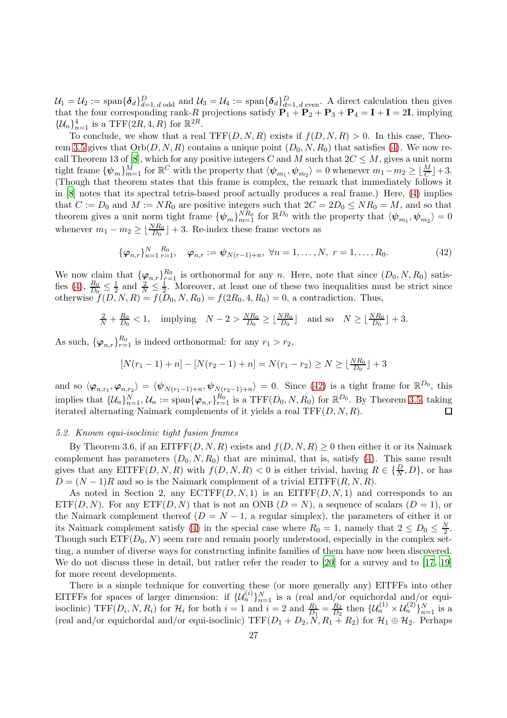$\mathcal{U}_1 = \mathcal{U}_2 := \text{span}\{\boldsymbol{\delta}_d\}_{d=1,\,d \text{ odd}}^D$  and  $\mathcal{U}_3 = \mathcal{U}_4 := \text{span}\{\boldsymbol{\delta}_d\}_{d=1,\,d \text{ even}}^D$ . A direct calculation then gives that the four corresponding rank-R projections satisfy  $P_1 + P_2 + P_3 + P_4 = I + I = 2I$ , implying  $\{\mathcal{U}_n\}_{n=1}^4$  is a TFF(2R, 4, R) for  $\mathbb{R}^{2R}$ .

To conclude, we show that a real TFF $(D, N, R)$  exists if  $f(D, N, R) > 0$ . In this case, Theo-rem [3.5](#page-13-0) gives that  $Orb(D, N, R)$  contains a unique point  $(D_0, N, R_0)$  that satisfies [\(4\)](#page-1-1). We now re-call Theorem 13 of [\[8](#page-34-7)], which for any positive integers C and M such that  $2C \leq M$ , gives a unit norm tight frame  $\{\psi_m\}_{m=1}^M$  for  $\mathbb{R}^C$  with the property that  $\langle \psi_{m_1}, \psi_{m_2} \rangle = 0$  whenever  $m_1 - m_2 \geq \lfloor \frac{M}{C} \rfloor + 3$ . (Though that theorem states that this frame is complex, the remark that immediately follows it in [\[8](#page-34-7)] notes that its spectral tetris-based proof actually produces a real frame.) Here, [\(4\)](#page-1-1) implies that  $C := D_0$  and  $M := NR_0$  are positive integers such that  $2C = 2D_0 \le NR_0 = M$ , and so that theorem gives a unit norm tight frame  ${\lbrace \psi_m \rbrace}_{m=1}^{NR_0}$  for  $\mathbb{R}^{D_0}$  with the property that  ${\langle \psi_{m_1}, \psi_{m_2} \rangle} = 0$ whenever  $m_1 - m_2 \geq \lfloor \frac{NR_0}{D_0} \rfloor + 3$ . Re-index these frame vectors as

<span id="page-26-0"></span>
$$
\{\varphi_{n,r}\}_{n=1}^N \, \underset{r=1}{\overset{R_0}{\cdots}} \, \varphi_{n,r} := \psi_{N(r-1)+n}, \, \forall n = 1, \ldots, N, \, r = 1, \ldots, R_0. \tag{42}
$$

We now claim that  $\{\varphi_{n,r}\}_{r=1}^{R_0}$  is orthonormal for any n. Here, note that since  $(D_0, N, R_0)$  satis-fies [\(4\)](#page-1-1),  $\frac{R_0}{D_0} \leq \frac{1}{2}$  $rac{1}{2}$  and  $rac{2}{N} \leq \frac{1}{2}$  $\frac{1}{2}$ . Moreover, at least one of these two inequalities must be strict since otherwise  $f(D, N, R) = f(D_0, N, R_0) = f(2R_0, 4, R_0) = 0$ , a contradiction. Thus,

$$
\frac{2}{N} + \frac{R_0}{D_0} < 1, \quad \text{implying} \quad N - 2 > \frac{NR_0}{D_0} \ge \lfloor \frac{NR_0}{D_0} \rfloor \quad \text{and so} \quad N \ge \lfloor \frac{NR_0}{D_0} \rfloor + 3.
$$

As such,  $\{\varphi_{n,r}\}_{r=1}^{R_0}$  is indeed orthonormal: for any  $r_1 > r_2$ ,

$$
[N(r_1 - 1) + n] - [N(r_2 - 1) + n] = N(r_1 - r_2) \ge N \ge \lfloor \frac{NR_0}{D_0} \rfloor + 3
$$

and so  $\langle \varphi_{n,r_1}, \varphi_{n,r_2} \rangle = \langle \psi_{N(r_1-1)+n}, \psi_{N(r_2-1)+n} \rangle = 0$ . Since [\(42\)](#page-26-0) is a tight frame for  $\mathbb{R}^{D_0}$ , this implies that  $\{\mathcal{U}_n\}_{n=1}^N$ ,  $\mathcal{U}_n := \text{span}\{\varphi_{n,r}\}_{r=1}^{R_0}$  is a TFF $(D_0, N, R_0)$  for  $\mathbb{R}^{D_0}$ . By Theorem [3.5,](#page-13-0) taking iterated alternating Naimark complements of it yields a real  $TFF(D, N, R)$ .  $\Box$ 

# 5.2. Known equi-isoclinic tight fusion frames

By Theorem 3.6, if an EITFF $(D, N, R)$  exists and  $f(D, N, R) \geq 0$  then either it or its Naimark complement has parameters  $(D_0, N, R_0)$  that are minimal, that is, satisfy [\(4\)](#page-1-1). This same result gives that any  $\text{EITFF}(D, N, R)$  with  $f(D, N, R) < 0$  is either trivial, having  $R \in \{\frac{D}{N}, D\}$ , or has  $D = (N-1)R$  and so is the Naimark complement of a trivial EITFF $(R, N, R)$ .

As noted in Section 2, any  $\mathrm{ECTFF}(D, N, 1)$  is an  $\mathrm{ EITFF}(D, N, 1)$  and corresponds to an  $ETF(D, N)$ . For any  $ETF(D, N)$  that is not an ONB  $(D = N)$ , a sequence of scalars  $(D = 1)$ , or the Naimark complement thereof  $(D = N - 1)$ , a regular simplex), the parameters of either it or its Naimark complement satisfy [\(4\)](#page-1-1) in the special case where  $R_0 = 1$ , namely that  $2 \le D_0 \le \frac{N}{2}$  $\frac{N}{2}$ . Though such  $ETF(D_0, N)$  seem rare and remain poorly understood, especially in the complex setting, a number of diverse ways for constructing infinite families of them have now been discovered. We do not discuss these in detail, but rather refer the reader to [\[20\]](#page-35-12) for a survey and to [\[17,](#page-35-18) [19\]](#page-35-14) for more recent developments.

There is a simple technique for converting these (or more generally any) EITFFs into other EITFFs for spaces of larger dimension: if  $\{\mathcal{U}_n^{(i)}\}_{n=1}^N$  is a (real and/or equichordal and/or equiisoclinic)  $TFF(D_i, N, R_i)$  for  $\mathcal{H}_i$  for both  $i = 1$  and  $i = 2$  and  $\frac{R_1}{D_1} = \frac{R_2}{D_2}$  $\frac{R_2}{D_2}$  then  $\{ \mathcal{U}_n^{(1)} \times \mathcal{U}_n^{(2)} \}_{n=1}^N$  is a (real and/or equichordal and/or equi-isoclinic)  $TFF(D_1 + D_2, N, R_1 + R_2)$  for  $\mathcal{H}_1 \oplus \mathcal{H}_2$ . Perhaps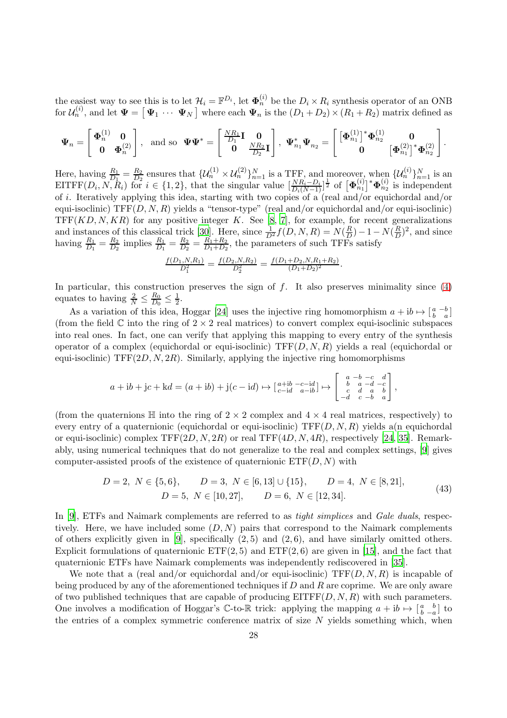the easiest way to see this is to let  $\mathcal{H}_i = \mathbb{F}^{D_i}$ , let  $\Phi_n^{(i)}$  be the  $D_i \times R_i$  synthesis operator of an ONB for  $\mathcal{U}_n^{(i)}$ , and let  $\Psi = [\Psi_1 \cdots \Psi_N]$  where each  $\Psi_n$  is the  $(D_1 + D_2) \times (R_1 + R_2)$  matrix defined as

$$
\boldsymbol{\Psi}_n = \begin{bmatrix} \boldsymbol{\Phi}_n^{(1)} & \mathbf{0} \\ \mathbf{0} & \boldsymbol{\Phi}_n^{(2)} \end{bmatrix}, \text{ and so } \boldsymbol{\Psi}\boldsymbol{\Psi}^* = \begin{bmatrix} \frac{NR_1}{D_1} \mathbf{I} & \mathbf{0} \\ \mathbf{0} & \frac{NR_2}{D_2} \mathbf{I} \end{bmatrix}, \boldsymbol{\Psi}_{n_1}^* \boldsymbol{\Psi}_{n_2} = \begin{bmatrix} \left[\boldsymbol{\Phi}_{n_1}^{(1)}\right]^* \boldsymbol{\Phi}_{n_2}^{(1)} & \mathbf{0} \\ \mathbf{0} & \left[\boldsymbol{\Phi}_{n_1}^{(2)}\right]^* \boldsymbol{\Phi}_{n_2}^{(2)} \end{bmatrix}.
$$

Here, having  $\frac{R_1}{D_1} = \frac{R_2}{D_2}$  $\frac{R_2}{D_2}$  ensures that  $\{U_n^{(1)} \times U_n^{(2)}\}_{n=1}^N$  is a TFF, and moreover, when  $\{U_n^{(i)}\}_{n=1}^N$  is an EITFF( $D_i$ ,  $N$ ,  $R_i$ ) for  $i \in \{1,2\}$ , that the singular value  $\left[\frac{NR_i - D_i}{D_i(N-1)}\right]^{\frac{1}{2}}$  of  $\left[\Phi_{n_1}^{(i)}\right]^* \Phi_{n_2}^{(i)}$  is independent of i. Iteratively applying this idea, starting with two copies of a (real and/or equichordal and/or equi-isoclinic)  $TFF(D, N, R)$  yields a "tensor-type" (real and/or equichordal and/or equi-isoclinic)  $TFF(KD, N, KR)$  for any positive integer K. See [\[8,](#page-34-7) [7\]](#page-34-5), for example, for recent generalizations and instances of this classical trick [\[30](#page-35-0)]. Here, since  $\frac{1}{D^2} f(D, N, R) = N(\frac{R}{D})$  $\frac{R}{D}$ ) – 1 –  $N(\frac{R}{D})$  $(\frac{R}{D})^2$ , and since having  $\frac{R_1}{D_1} = \frac{R_2}{D_2}$  $\frac{R_2}{D_2}$  implies  $\frac{R_1}{D_1} = \frac{R_2}{D_2}$  $\frac{R_2}{D_2} = \frac{R_1 + R_2}{D_1 + D_2}$  $\frac{R_1+R_2}{D_1+D_2}$ , the parameters of such TFFs satisfy

$$
\frac{f(D_1, N, R_1)}{D_1^2} = \frac{f(D_2, N, R_2)}{D_2^2} = \frac{f(D_1 + D_2, N, R_1 + R_2)}{(D_1 + D_2)^2}.
$$

In particular, this construction preserves the sign of  $f$ . It also preserves minimality since  $(4)$ equates to having  $\frac{2}{N} \leq \frac{R_0}{D_0}$  $\frac{R_0}{D_0} \leq \frac{1}{2}$  $\frac{1}{2}$ .

As a variation of this idea, Hoggar [\[24](#page-35-19)] uses the injective ring homomorphism  $a + ib \mapsto \begin{bmatrix} a & -b \\ b & a \end{bmatrix}$ (from the field  $\mathbb C$  into the ring of  $2 \times 2$  real matrices) to convert complex equi-isoclinic subspaces into real ones. In fact, one can verify that applying this mapping to every entry of the synthesis operator of a complex (equichordal or equi-isoclinic)  $TF(D, N, R)$  yields a real (equichordal or equi-isoclinic)  $TFF(2D, N, 2R)$ . Similarly, applying the injective ring homomorphisms

$$
a+ib+jc+kd = (a+ib) + j(c-id) \mapsto \begin{bmatrix} a+ib & -c-id \\ c-id & a-b \end{bmatrix} \mapsto \begin{bmatrix} a & -b & -c & d \\ b & a & -d & -c \\ c & d & a & b \\ -d & c & -b & a \end{bmatrix},
$$

(from the quaternions  $\mathbb H$  into the ring of  $2 \times 2$  complex and  $4 \times 4$  real matrices, respectively) to every entry of a quaternionic (equichordal or equi-isoclinic)  $TF(D, N, R)$  yields a(n equichordal or equi-isoclinic) complex  $TFF(2D, N, 2R)$  or real  $TFF(4D, N, 4R)$ , respectively [\[24,](#page-35-19) [35\]](#page-35-20). Remarkably, using numerical techniques that do not generalize to the real and complex settings, [\[9](#page-34-6)] gives computer-assisted proofs of the existence of quaternionic  $ETF(D, N)$  with

<span id="page-27-0"></span>
$$
D = 2, N \in \{5, 6\}, \qquad D = 3, N \in [6, 13] \cup \{15\}, \qquad D = 4, N \in [8, 21],
$$
  

$$
D = 5, N \in [10, 27], \qquad D = 6, N \in [12, 34].
$$
 (43)

In [\[9\]](#page-34-6), ETFs and Naimark complements are referred to as *tight simplices* and *Gale duals*, respectively. Here, we have included some  $(D, N)$  pairs that correspond to the Naimark complements of others explicitly given in [\[9](#page-34-6)], specifically  $(2, 5)$  and  $(2, 6)$ , and have similarly omitted others. Explicit formulations of quaternionic  $ETF(2, 5)$  and  $ETF(2, 6)$  are given in [\[15](#page-35-21)], and the fact that quaternionic ETFs have Naimark complements was independently rediscovered in [\[35\]](#page-35-20).

We note that a (real and/or equichordal and/or equi-isoclinic)  $TF(D, N, R)$  is incapable of being produced by any of the aforementioned techniques if  $D$  and  $R$  are coprime. We are only aware of two published techniques that are capable of producing  $EITFF(D, N, R)$  with such parameters. One involves a modification of Hoggar's C-to-R trick: applying the mapping  $a + ib \mapsto \begin{bmatrix} a & b \\ b & -a \end{bmatrix}$  to the entries of a complex symmetric conference matrix of size  $N$  yields something which, when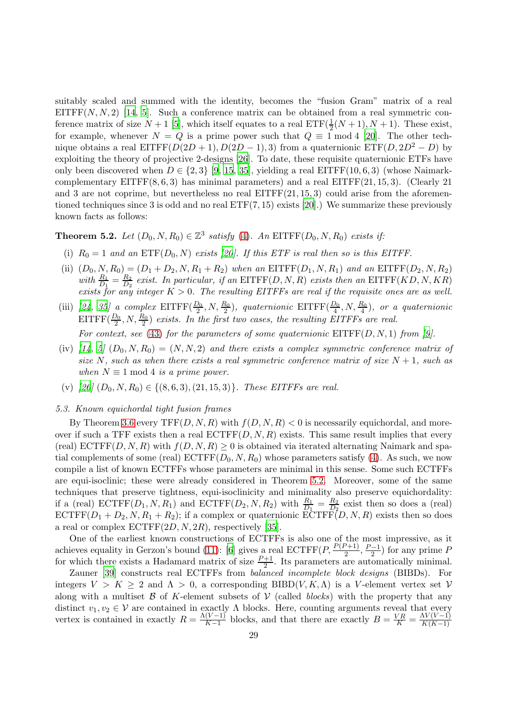suitably scaled and summed with the identity, becomes the "fusion Gram" matrix of a real EITFF $(N, N, 2)$  [\[14](#page-35-22), [5](#page-34-10)]. Such a conference matrix can be obtained from a real symmetric conference matrix of size  $N+1$  [\[5\]](#page-34-10), which itself equates to a real  $\text{ETF}(\frac{1}{2}(N+1), N+1)$ . These exist, for example, whenever  $N = Q$  is a prime power such that  $Q \equiv 1 \mod 4$  [\[20](#page-35-12)]. The other technique obtains a real EITFF( $D(2D + 1)$ ,  $D(2D - 1)$ , 3) from a quaternionic ETF( $D$ ,  $2D^2 - D$ ) by exploiting the theory of projective 2-designs [\[26](#page-35-23)]. To date, these requisite quaternionic ETFs have only been discovered when  $D \in \{2,3\}$  [\[9](#page-34-6), [15](#page-35-21), [35](#page-35-20)], yielding a real EITFF(10, 6, 3) (whose Naimarkcomplementary  $EITFF(8, 6, 3)$  has minimal parameters) and a real  $EITFF(21, 15, 3)$ . (Clearly 21 and 3 are not coprime, but nevertheless no real  $EITFF(21, 15, 3)$  could arise from the aforementioned techniques since 3 is odd and no real  $ETF(7, 15)$  exists [\[20](#page-35-12)].) We summarize these previously known facts as follows:

# <span id="page-28-0"></span>**Theorem 5.2.** Let  $(D_0, N, R_0) \in \mathbb{Z}^3$  satisfy [\(4\)](#page-1-1). An EITFF( $D_0, N, R_0$ ) exists if:

- (i)  $R_0 = 1$  and an  $ETF(D_0, N)$  exists [\[20](#page-35-12)]. If this ETF is real then so is this EITFF.
- (ii)  $(D_0, N, R_0) = (D_1 + D_2, N, R_1 + R_2)$  when an EITFF $(D_1, N, R_1)$  and an EITFF $(D_2, N, R_2)$ with  $\frac{R_1}{D_1} = \frac{R_2}{D_2}$  $\frac{R_2}{D_2}$  exist. In particular, if an EITFF(D, N, R) exists then an EITFF(KD, N, KR) exists for any integer  $K > 0$ . The resulting EITFFs are real if the requisite ones are as well.
- (iii) [\[24](#page-35-19), [35](#page-35-20)] a complex  $\text{EITFF}(\frac{D_0}{2}, N, \frac{R_0}{2})$ , quaternionic  $\text{EITFF}(\frac{D_0}{4}, N, \frac{R_0}{4})$ , or a quaternionic  $EITFF(\frac{D_0}{2}, N, \frac{R_0}{2})$  exists. In the first two cases, the resulting EITFFs are real. For context, see [\(43\)](#page-27-0) for the parameters of some quaternionic  $EITFF(D, N, 1)$  from [\[9](#page-34-6)].
- (iv) [\[14](#page-35-22), [5\]](#page-34-10)  $(D_0, N, R_0) = (N, N, 2)$  and there exists a complex symmetric conference matrix of size N, such as when there exists a real symmetric conference matrix of size  $N + 1$ , such as when  $N \equiv 1 \mod 4$  is a prime power.
- (v)  $[26] (D_0, N, R_0) \in \{(8, 6, 3), (21, 15, 3)\}.$  $[26] (D_0, N, R_0) \in \{(8, 6, 3), (21, 15, 3)\}.$  These EITFFs are real.

#### 5.3. Known equichordal tight fusion frames

By Theorem [3.6](#page-17-0) every  $TFF(D, N, R)$  with  $f(D, N, R) < 0$  is necessarily equichordal, and moreover if such a TFF exists then a real  $ECTFF(D, N, R)$  exists. This same result implies that every (real)  $ECTFF(D, N, R)$  with  $f(D, N, R) > 0$  is obtained via iterated alternating Naimark and spatial complements of some (real)  $ECTFF(D_0, N, R_0)$  whose parameters satisfy [\(4\)](#page-1-1). As such, we now compile a list of known ECTFFs whose parameters are minimal in this sense. Some such ECTFFs are equi-isoclinic; these were already considered in Theorem [5.2.](#page-28-0) Moreover, some of the same techniques that preserve tightness, equi-isoclinicity and minimality also preserve equichordality: if a (real)  $\text{ECTFF}(D_1, N, R_1)$  and  $\text{ECTFF}(D_2, N, R_2)$  with  $\frac{R_1}{D_1} = \frac{R_2}{D_2}$  $\frac{R_2}{D_2}$  exist then so does a (real)  $\mathrm{ECTFF}(D_1 + D_2, N, R_1 + R_2)$ ; if a complex or quaternionic  $\mathrm{ECTFF}(D, N, R)$  exists then so does a real or complex  $ECTFF(2D, N, 2R)$ , respectively [\[35](#page-35-20)].

One of the earliest known constructions of ECTFFs is also one of the most impressive, as it achieves equality in Gerzon's bound [\(11\)](#page-5-1): [\[6](#page-34-11)] gives a real  $\mathrm{ECTFF}(P, \frac{P(P+1)}{2}, \frac{P-1}{2})$  for any prime P for which there exists a Hadamard matrix of size  $\frac{P+1}{2}$ . Its parameters are automatically minimal.

Zauner [\[39\]](#page-35-3) constructs real ECTFFs from balanced incomplete block designs (BIBDs). For integers  $V > K > 2$  and  $\Lambda > 0$ , a corresponding BIBD(V, K,  $\Lambda$ ) is a V-element vertex set V along with a multiset  $\beta$  of K-element subsets of  $\mathcal V$  (called blocks) with the property that any distinct  $v_1, v_2 \in V$  are contained in exactly  $\Lambda$  blocks. Here, counting arguments reveal that every vertex is contained in exactly  $R = \frac{\Lambda(V-1)}{K-1}$  $\frac{(V-1)}{K-1}$  blocks, and that there are exactly  $B = \frac{VR}{K} = \frac{\Lambda V(V-1)}{K(K-1)}$  $K(K-1)$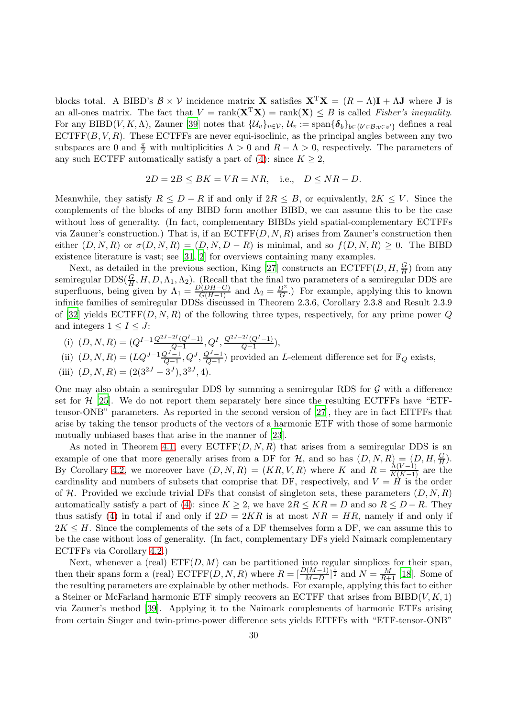blocks total. A BIBD's  $\mathcal{B} \times \mathcal{V}$  incidence matrix **X** satisfies  $X^T X = (R - \Lambda)I + \Lambda J$  where J is an all-ones matrix. The fact that  $V = \text{rank}(\mathbf{X}^T \mathbf{X}) = \text{rank}(\mathbf{X}) \leq B$  is called Fisher's inequality. For any BIBD(V, K, A), Zauner [\[39](#page-35-3)] notes that  $\{\mathcal{U}_v\}_{v\in\mathcal{V}},\mathcal{U}_v:=\text{span}\{\boldsymbol{\delta}_b\}_{b\in\{b'\in\mathcal{B}:v\in v'\}}$  defines a real  $ECTFF(B, V, R)$ . These ECTFFs are never equi-isoclinic, as the principal angles between any two subspaces are 0 and  $\frac{\pi}{2}$  with multiplicities  $\Lambda > 0$  and  $R - \Lambda > 0$ , respectively. The parameters of any such ECTFF automatically satisfy a part of [\(4\)](#page-1-1): since  $K \geq 2$ ,

$$
2D = 2B \le BK = VR = NR, \quad \text{i.e.,} \quad D \le NR - D.
$$

Meanwhile, they satisfy  $R \leq D - R$  if and only if  $2R \leq B$ , or equivalently,  $2K \leq V$ . Since the complements of the blocks of any BIBD form another BIBD, we can assume this to be the case without loss of generality. (In fact, complementary BIBDs yield spatial-complementary ECTFFs via Zauner's construction.) That is, if an  $\mathrm{ECTFF}(D, N, R)$  arises from Zauner's construction then either  $(D, N, R)$  or  $\sigma(D, N, R) = (D, N, D - R)$  is minimal, and so  $f(D, N, R) \geq 0$ . The BIBD existence literature is vast; see [\[31](#page-35-24), [2](#page-34-12)] for overviews containing many examples.

Next, as detailed in the previous section, King [\[27](#page-35-7)] constructs an  $\mathrm{ECTFF}(D, H, \frac{G}{H})$  from any semiregular  $\text{DDS}(\frac{G}{H}, H, D, \Lambda_1, \Lambda_2)$ . (Recall that the final two parameters of a semiregular DDS are superfluous, being given by  $\Lambda_1 = \frac{D(DH-G)}{G(H-1)}$  and  $\Lambda_2 = \frac{D^2}{G}$ .) For example, applying this to known infinite families of semiregular DDSs discussed in Theorem 2.3.6, Corollary 2.3.8 and Result 2.3.9 of [\[32](#page-35-13)] yields  $\text{ECTFF}(D, N, R)$  of the following three types, respectively, for any prime power Q and integers  $1 \leq I \leq J$ :

(i) 
$$
(D, N, R) = (Q^{I-1} \frac{Q^{2J-2I}(Q^{I}-1)}{Q-1}, Q^I, \frac{Q^{2J-2I}(Q^{I}-1)}{Q-1}),
$$

(ii) 
$$
(D, N, R) = (LQ^{J-1} \frac{Q^{J-1}}{Q-1}, Q^J, \frac{Q^{J-1}}{Q-1})
$$
 provided an *L*-element difference set for  $\mathbb{F}_Q$  exists,

(iii) 
$$
(D, N, R) = (2(3^{2J} - 3^{J}), 3^{2J}, 4).
$$

One may also obtain a semiregular DDS by summing a semiregular RDS for  $\mathcal G$  with a difference set for  $\mathcal{H}$  [\[25](#page-35-25)]. We do not report them separately here since the resulting ECTFFs have "ETFtensor-ONB" parameters. As reported in the second version of [\[27](#page-35-7)], they are in fact EITFFs that arise by taking the tensor products of the vectors of a harmonic ETF with those of some harmonic mutually unbiased bases that arise in the manner of [\[23\]](#page-35-8).

As noted in Theorem [4.1,](#page-21-0) every  $\text{ECTFF}(D, N, R)$  that arises from a semiregular DDS is an example of one that more generally arises from a DF for  $\mathcal{H}$ , and so has  $(D, N, R) = (D, H, \frac{G}{H})$ . By Corollary [4.2,](#page-23-0) we moreover have  $(D, N, R) = (KR, V, R)$  where K and  $R = \frac{\Lambda(V-1)}{K(K-1)}$  are the cardinality and numbers of subsets that comprise that DF, respectively, and  $V = H$  is the order of  $H$ . Provided we exclude trivial DFs that consist of singleton sets, these parameters  $(D, N, R)$ automatically satisfy a part of [\(4\)](#page-1-1): since  $K \geq 2$ , we have  $2R \leq KR = D$  and so  $R \leq D - R$ . They thus satisfy [\(4\)](#page-1-1) in total if and only if  $2D = 2KR$  is at most  $NR = HR$ , namely if and only if  $2K \leq H$ . Since the complements of the sets of a DF themselves form a DF, we can assume this to be the case without loss of generality. (In fact, complementary DFs yield Naimark complementary ECTFFs via Corollary [4.2.](#page-23-0))

Next, whenever a (real)  $\text{ETF}(D, M)$  can be partitioned into regular simplices for their span, then their spans form a (real)  $\text{ECTFFT}(D, N, R)$  where  $R = \left[\frac{D(M-1)}{M-D}\right]^{\frac{1}{2}}$  and  $N = \frac{M}{R+1}$  [\[18](#page-35-16)]. Some of the resulting parameters are explainable by other methods. For example, applying this fact to either a Steiner or McFarland harmonic ETF simply recovers an ECTFF that arises from  $BIBD(V, K, 1)$ via Zauner's method [\[39\]](#page-35-3). Applying it to the Naimark complements of harmonic ETFs arising from certain Singer and twin-prime-power difference sets yields EITFFs with "ETF-tensor-ONB"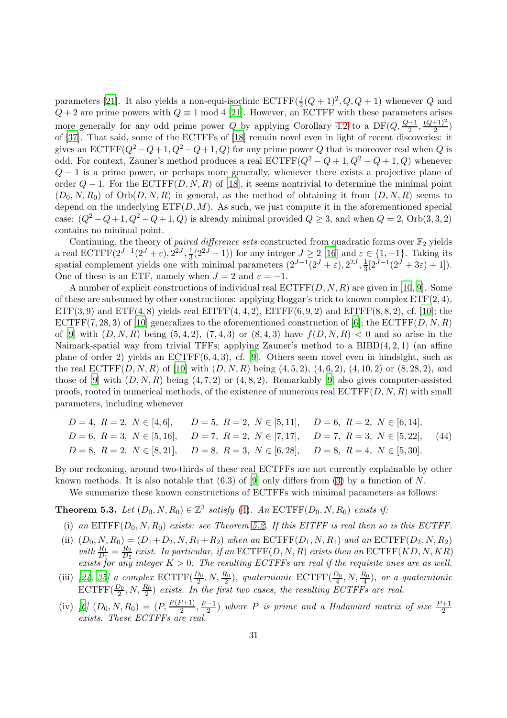parameters [\[21](#page-35-15)]. It also yields a non-equi-isoclinic  $\mathrm{ECTFF}(\frac{1}{2})$  $\frac{1}{2}(Q+1)^2, Q, Q+1)$  whenever Q and  $Q + 2$  are prime powers with  $Q \equiv 1 \mod 4$  [\[21](#page-35-15)]. However, an ECTFF with these parameters arises more generally for any odd prime power Q by applying Corollary [4.2](#page-23-0) to a  $DF(Q, \frac{Q+1}{2}, \frac{(Q+1)^2}{2})$  $\frac{+1}{2}$ of [\[37\]](#page-35-17). That said, some of the ECTFFs of [\[18\]](#page-35-16) remain novel even in light of recent discoveries: it gives an  $ECTFF(Q^2 - Q + 1, Q^2 - Q + 1, Q)$  for any prime power Q that is moreover real when Q is odd. For context, Zauner's method produces a real  $\mathrm{ECTFF}(Q^2 - Q + 1, Q^2 - Q + 1, Q)$  whenever  $Q - 1$  is a prime power, or perhaps more generally, whenever there exists a projective plane of order  $Q-1$ . For the ECTFF $(D, N, R)$  of [\[18](#page-35-16)], it seems nontrivial to determine the minimal point  $(D_0, N, R_0)$  of  $Orb(D, N, R)$  in general, as the method of obtaining it from  $(D, N, R)$  seems to depend on the underlying  $ETF(D, M)$ . As such, we just compute it in the aforementioned special case:  $(Q^2 - Q + 1, Q^2 - Q + 1, Q)$  is already minimal provided  $Q \ge 3$ , and when  $Q = 2$ , Orb $(3, 3, 2)$ contains no minimal point.

Continuing, the theory of *paired difference sets* constructed from quadratic forms over  $\mathbb{F}_2$  yields a real ECTFF $(2^{J-1}(2^J + \varepsilon), 2^{2J}, \frac{1}{3})$  $\frac{1}{3}(2^{2J}-1)$ ) for any integer  $J \geq 2$  [\[16](#page-35-11)] and  $\varepsilon \in \{1,-1\}$ . Taking its spatial complement yields one with minimal parameters  $(2^{J-1}(2^J + \varepsilon), 2^{2J}, \frac{1}{3})$  $\frac{1}{3}[2^{J-1}(2^{J}+3\varepsilon)+1]).$ One of these is an ETF, namely when  $J = 2$  and  $\varepsilon = -1$ .

A number of explicit constructions of individual real  $\mathrm{ECTFF}(D, N, R)$  are given in [\[10](#page-34-0), [9\]](#page-34-6). Some of these are subsumed by other constructions: applying Hoggar's trick to known complex  $ETF(2, 4)$ ,  $ETF(3, 9)$  and  $ETF(4, 8)$  yields real  $EITFF(4, 4, 2)$ ,  $EITFF(6, 9, 2)$  and  $EITFF(8, 8, 2)$ , cf. [\[10](#page-34-0)]; the ECTFF(7, 28, 3) of [\[10\]](#page-34-0) generalizes to the aforementioned construction of [\[6](#page-34-11)]; the ECTFF(D, N, R) of [\[9](#page-34-6)] with  $(D, N, R)$  being  $(5, 4, 2)$ ,  $(7, 4, 3)$  or  $(8, 4, 3)$  have  $f(D, N, R) < 0$  and so arise in the Naimark-spatial way from trivial TFFs; applying Zauner's method to a  $BIBD(4, 2, 1)$  (an affine plane of order 2) yields an ECTFF(6, 4, 3), cf. [\[9](#page-34-6)]. Others seem novel even in hindsight, such as the real  $ECTFF(D, N, R)$  of [\[10](#page-34-0)] with  $(D, N, R)$  being  $(4, 5, 2), (4, 6, 2), (4, 10, 2)$  or  $(8, 28, 2),$  and those of [\[9](#page-34-6)] with  $(D, N, R)$  being  $(4, 7, 2)$  or  $(4, 8, 2)$ . Remarkably [\[9\]](#page-34-6) also gives computer-assisted proofs, rooted in numerical methods, of the existence of numerous real  $\mathrm{ECTFF}(D, N, R)$  with small parameters, including whenever

<span id="page-30-1"></span>

| $D=4, R=2, N \in [4,6], \qquad D=5, R=2, N \in [5,11], \qquad D=6, R=2, N \in [6,14],$               |                                                                                                           |  |
|------------------------------------------------------------------------------------------------------|-----------------------------------------------------------------------------------------------------------|--|
|                                                                                                      | $D = 6, R = 3, N \in [5, 16], \quad D = 7, R = 2, N \in [7, 17], \quad D = 7, R = 3, N \in [5, 22],$ (44) |  |
| $D = 8, R = 2, N \in [8, 21], \quad D = 8, R = 3, N \in [6, 28], \quad D = 8, R = 4, N \in [5, 30].$ |                                                                                                           |  |

By our reckoning, around two-thirds of these real ECTFFs are not currently explainable by other known methods. It is also notable that  $(6.3)$  of [\[9](#page-34-6)] only differs from [\(3\)](#page-1-0) by a function of N.

We summarize these known constructions of ECTFFs with minimal parameters as follows:

<span id="page-30-0"></span>**Theorem 5.3.** Let  $(D_0, N, R_0) \in \mathbb{Z}^3$  satisfy [\(4\)](#page-1-1). An ECTFF $(D_0, N, R_0)$  exists if:

- (i) an EITFF( $D_0, N, R_0$ ) exists: see Theorem [5.2.](#page-28-0) If this EITFF is real then so is this ECTFF.
- (ii)  $(D_0, N, R_0) = (D_1 + D_2, N, R_1 + R_2)$  when an  $ECTFF(D_1, N, R_1)$  and an  $ECTFF(D_2, N, R_2)$ with  $\frac{R_1}{D_1} = \frac{R_2}{D_2}$  $\frac{R_2}{D_2}$  exist. In particular, if an  $\mathrm{ECTFF}(D, N, R)$  exists then an  $\mathrm{ECTFF}(KD, N, KR)$ exists for any integer  $K > 0$ . The resulting ECTFFs are real if the requisite ones are as well.
- (iii) [\[24](#page-35-19), [35](#page-35-20)] a complex  $\text{ECTFF}(\frac{D_0}{2}, N, \frac{R_0}{2})$ , quaternionic  $\text{ECTFF}(\frac{D_0}{4}, N, \frac{R_0}{4})$ , or a quaternionic  $\text{ECTFF}(\frac{D_0}{2}, N, \frac{R_0}{2})$  exists. In the first two cases, the resulting ECTFFs are real.
- (iv) [\[6\]](#page-34-11)  $(D_0, N, R_0) = (P, \frac{P(P+1)}{2}, \frac{P-1}{2})$  where P is prime and a Hadamard matrix of size  $\frac{P+1}{2}$ exists. These ECTFFs are real.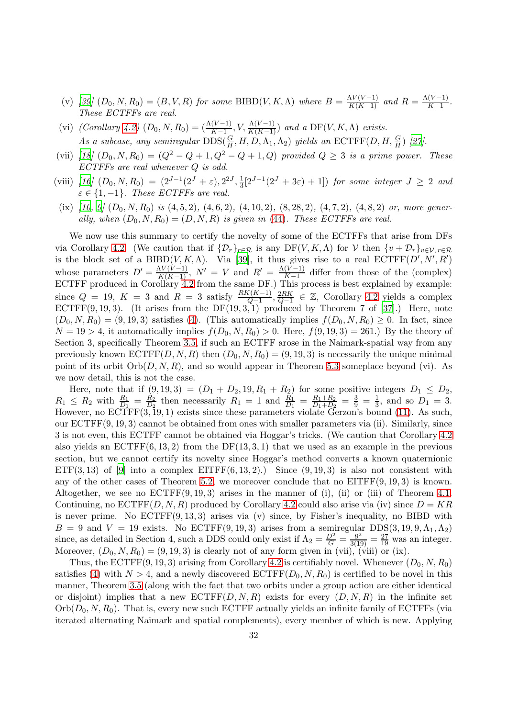- (v) [\[39](#page-35-3)]  $(D_0, N, R_0) = (B, V, R)$  for some BIBD(V, K,  $\Lambda$ ) where  $B = \frac{\Lambda V(V-1)}{K(K-1)}$  and  $R = \frac{\Lambda(V-1)}{K-1}$  $\frac{(V-1)}{K-1}$ . These ECTFFs are real.
- (vi) (Corollary [4.2\)](#page-23-0)  $(D_0, N, R_0) = (\frac{\Lambda(V-1)}{K-1}, V, \frac{\Lambda(V-1)}{K(K-1)})$  and a DF(V, K,  $\Lambda$ ) exists. As a subcase, any semiregular  $\text{DDS}(\frac{G}{H}, H, D, \Lambda_1, \Lambda_2)$  yields an  $\text{ECTFF}(D, H, \frac{G}{H})$  [\[27\]](#page-35-7).
- (vii) [\[18](#page-35-16)]  $(D_0, N, R_0) = (Q^2 Q + 1, Q^2 Q + 1, Q)$  provided  $Q \geq 3$  is a prime power. These ECTFFs are real whenever Q is odd.
- (viii) [\[16](#page-35-11)]  $(D_0, N, R_0) = (2^{J-1}(2^J + \varepsilon), 2^{2J}, \frac{1}{3})$  $\frac{1}{3}[2^{J-1}(2^{J}+3\varepsilon)+1]$  for some integer  $J \geq 2$  and  $\varepsilon \in \{1, -1\}$ . These ECTFFs are real.
- (ix)  $[10, 9] (D_0, N, R_0)$  $[10, 9] (D_0, N, R_0)$  $[10, 9] (D_0, N, R_0)$  $[10, 9] (D_0, N, R_0)$  is  $(4, 5, 2)$ ,  $(4, 6, 2)$ ,  $(4, 10, 2)$ ,  $(8, 28, 2)$ ,  $(4, 7, 2)$ ,  $(4, 8, 2)$  or, more generally, when  $(D_0, N, R_0) = (D, N, R)$  is given in [\(44\)](#page-30-1). These ECTFFs are real.

We now use this summary to certify the novelty of some of the ECTFFs that arise from DFs via Corollary [4.2.](#page-23-0) (We caution that if  $\{\mathcal{D}_r\}_{r \in \mathcal{R}}$  is any DF $(V, K, \Lambda)$  for V then  $\{v + \mathcal{D}_r\}_{v \in \mathcal{V}, r \in \mathcal{R}}$ is the block set of a BIBD $(V, K, \Lambda)$ . Via [\[39](#page-35-3)], it thus gives rise to a real  $\mathrm{ECTFF}(D', N', R')$ whose parameters  $D' = \frac{\Lambda V(V-1)}{K(K-1)}$ ,  $N' = V$  and  $R' = \frac{\Lambda(V-1)}{K-1}$  $\frac{(V-1)}{K-1}$  differ from those of the (complex) ECTFF produced in Corollary [4.2](#page-23-0) from the same DF.) This process is best explained by example: since  $Q = 19$ ,  $K = 3$  and  $R = 3$  satisfy  $\frac{RK(K-1)}{Q-1}, \frac{2RK}{Q-1}$  $\frac{2RK}{Q-1}$  ∈ Z, Corollary [4.2](#page-23-0) yields a complex  $ECTFF(9, 19, 3).$  (It arises from the  $DF(19, 3, 1)$  produced by Theorem 7 of [\[37\]](#page-35-17).) Here, note  $(D_0, N, R_0) = (9, 19, 3)$  satisfies [\(4\)](#page-1-1). (This automatically implies  $f(D_0, N, R_0) \geq 0$ . In fact, since  $N = 19 > 4$ , it automatically implies  $f(D_0, N, R_0) > 0$ . Here,  $f(9, 19, 3) = 261$ .) By the theory of Section 3, specifically Theorem [3.5,](#page-13-0) if such an ECTFF arose in the Naimark-spatial way from any previously known  $ECTFF(D, N, R)$  then  $(D_0, N, R_0) = (9, 19, 3)$  is necessarily the unique minimal point of its orbit  $Orb(D, N, R)$ , and so would appear in Theorem [5.3](#page-30-0) someplace beyond (vi). As we now detail, this is not the case.

Here, note that if  $(9, 19, 3) = (D_1 + D_2, 19, R_1 + R_2)$  for some positive integers  $D_1 \leq D_2$ ,  $R_1 \leq R_2$  with  $\frac{R_1}{D_1} = \frac{R_2}{D_2}$  $\frac{R_2}{D_2}$  then necessarily  $R_1 = 1$  and  $\frac{R_1}{D_1} = \frac{R_1 + R_2}{D_1 + D_2}$  $\frac{R_1+R_2}{D_1+D_2} = \frac{3}{9} = \frac{1}{3}$  $\frac{1}{3}$ , and so  $D_1 = 3$ . However, no ECTFF(3, 19, 1) exists since these parameters violate Gerzon's bound [\(11\)](#page-5-1). As such, our ECTFF(9, 19, 3) cannot be obtained from ones with smaller parameters via (ii). Similarly, since 3 is not even, this ECTFF cannot be obtained via Hoggar's tricks. (We caution that Corollary [4.2](#page-23-0) also yields an  $ECTFF(6, 13, 2)$  from the  $DF(13, 3, 1)$  that we used as an example in the previous section, but we cannot certify its novelty since Hoggar's method converts a known quaternionic ETF(3,13) of [\[9\]](#page-34-6) into a complex EITFF(6,13,2).) Since  $(9, 19, 3)$  is also not consistent with any of the other cases of Theorem [5.2,](#page-28-0) we moreover conclude that no  $EITFF(9, 19, 3)$  is known. Altogether, we see no  $ECTFF(9, 19, 3)$  arises in the manner of (i), (ii) or (iii) of Theorem [4.1.](#page-21-0) Continuing, no  $ECTFF(D, N, R)$  produced by Corollary [4.2](#page-23-0) could also arise via (iv) since  $D = KR$ is never prime. No  $ECTFF(9, 13, 3)$  arises via (v) since, by Fisher's inequality, no BIBD with  $B = 9$  and  $V = 19$  exists. No ECTFF(9, 19, 3) arises from a semiregular DDS(3, 19, 9,  $\Lambda_1, \Lambda_2$ ) since, as detailed in Section 4, such a DDS could only exist if  $\Lambda_2 = \frac{D^2}{G} = \frac{9^2}{3(19)} = \frac{27}{19}$  was an integer. Moreover,  $(D_0, N, R_0) = (9, 19, 3)$  is clearly not of any form given in (vii), (viii) or (ix).

Thus, the ECTFF(9, 19, 3) arising from Corollary [4.2](#page-23-0) is certifiably novel. Whenever  $(D_0, N, R_0)$ satisfies [\(4\)](#page-1-1) with  $N > 4$ , and a newly discovered  $\text{ECTFF}(D_0, N, R_0)$  is certified to be novel in this manner, Theorem [3.5](#page-13-0) (along with the fact that two orbits under a group action are either identical or disjoint) implies that a new  $\mathrm{ECTFF}(D, N, R)$  exists for every  $(D, N, R)$  in the infinite set  $Orb(D_0, N, R_0)$ . That is, every new such ECTFF actually yields an infinite family of ECTFFs (via iterated alternating Naimark and spatial complements), every member of which is new. Applying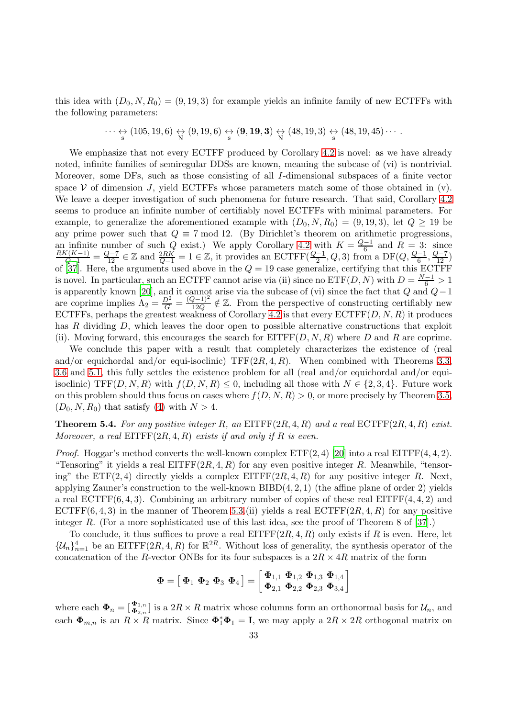this idea with  $(D_0, N, R_0) = (9, 19, 3)$  for example yields an infinite family of new ECTFFs with the following parameters:

$$
\cdots \leftrightarrow_{\mathrm{s}} (105, 19, 6) \leftrightarrow_{\mathrm{N}} (9, 19, 6) \leftrightarrow_{\mathrm{s}} (9, 19, 3) \leftrightarrow_{\mathrm{N}} (48, 19, 3) \leftrightarrow_{\mathrm{s}} (48, 19, 45) \cdots
$$

We emphasize that not every ECTFF produced by Corollary [4.2](#page-23-0) is novel: as we have already noted, infinite families of semiregular DDSs are known, meaning the subcase of (vi) is nontrivial. Moreover, some DFs, such as those consisting of all I-dimensional subspaces of a finite vector space  $V$  of dimension J, yield ECTFFs whose parameters match some of those obtained in (v). We leave a deeper investigation of such phenomena for future research. That said, Corollary [4.2](#page-23-0) seems to produce an infinite number of certifiably novel ECTFFs with minimal parameters. For example, to generalize the aforementioned example with  $(D_0, N, R_0) = (9, 19, 3)$ , let  $Q \ge 19$  be any prime power such that  $Q \equiv 7 \mod 12$ . (By Dirichlet's theorem on arithmetic progressions, an infinite number of such Q exist.) We apply Corollary [4.2](#page-23-0) with  $K = \frac{Q-1}{6}$  and  $R = 3$ : since  $\frac{RK(K-1)}{Q-1} = \frac{Q-7}{12} \in \mathbb{Z}$  and  $\frac{2RK}{Q-1} = 1 \in \mathbb{Z}$ , it provides an ECTFF( $\frac{Q-1}{2}$ , Q, 3) from a DF( $Q$ ,  $\frac{Q-1}{6}$ ,  $\frac{Q-7}{12}$ ) of [\[37](#page-35-17)]. Here, the arguments used above in the  $Q = 19$  case generalize, certifying that this ECTFF is novel. In particular, such an ECTFF cannot arise via (ii) since no  $\text{ETF}(D, N)$  with  $D = \frac{N-1}{6} > 1$ is apparently known [\[20\]](#page-35-12), and it cannot arise via the subcase of (vi) since the fact that Q and  $Q-1$ are coprime implies  $\Lambda_2 = \frac{D^2}{G} = \frac{(Q-1)^2}{12Q} \notin \mathbb{Z}$ . From the perspective of constructing certifiably new ECTFFs, perhaps the greatest weakness of Corollary [4.2](#page-23-0) is that every  $\mathrm{ECTFF}(D, N, R)$  it produces has  $R$  dividing  $D$ , which leaves the door open to possible alternative constructions that exploit (ii). Moving forward, this encourages the search for  $\text{EITFF}(D, N, R)$  where D and R are coprime.

We conclude this paper with a result that completely characterizes the existence of (real and/or equichordal and/or equi-isoclinic) TFF $(2R, 4, R)$ . When combined with Theorems [3.3,](#page-10-1) [3.6](#page-17-0) and [5.1,](#page-25-0) this fully settles the existence problem for all (real and/or equichordal and/or equiisoclinic) TFF(D, N, R) with  $f(D, N, R) \leq 0$ , including all those with  $N \in \{2, 3, 4\}$ . Future work on this problem should thus focus on cases where  $f(D, N, R) > 0$ , or more precisely by Theorem [3.5,](#page-13-0)  $(D_0, N, R_0)$  that satisfy [\(4\)](#page-1-1) with  $N > 4$ .

<span id="page-32-0"></span>**Theorem 5.4.** For any positive integer R, an EITFF $(2R, 4, R)$  and a real ECTFF $(2R, 4, R)$  exist. Moreover, a real EITFF $(2R, 4, R)$  exists if and only if R is even.

*Proof.* Hoggar's method converts the well-known complex  $ETF(2, 4)$  [\[20](#page-35-12)] into a real  $ETFF(4, 4, 2)$ . "Tensoring" it yields a real  $EITFF(2R, 4, R)$  for any even positive integer R. Meanwhile, "tensoring" the  $ETF(2, 4)$  directly yields a complex  $EITFF(2R, 4, R)$  for any positive integer R. Next, applying Zauner's construction to the well-known  $BIBD(4, 2, 1)$  (the affine plane of order 2) yields a real ECTFF $(6, 4, 3)$ . Combining an arbitrary number of copies of these real EITFF $(4, 4, 2)$  and ECTFF $(6, 4, 3)$  in the manner of Theorem [5.3.](#page-30-0)(ii) yields a real ECTFF $(2R, 4, R)$  for any positive integer R. (For a more sophisticated use of this last idea, see the proof of Theorem 8 of [\[37\]](#page-35-17).)

To conclude, it thus suffices to prove a real  $\text{EITFF}(2R, 4, R)$  only exists if R is even. Here, let  $\{\mathcal{U}_n\}_{n=1}^4$  be an EITFF(2R, 4, R) for  $\mathbb{R}^{2R}$ . Without loss of generality, the synthesis operator of the concatenation of the R-vector ONBs for its four subspaces is a  $2R \times 4R$  matrix of the form

$$
\pmb{\Phi}=\left[\; \pmb{\Phi}_{1} \; \pmb{\Phi}_{2} \; \pmb{\Phi}_{3} \; \pmb{\Phi}_{4} \;\right]=\left[\; \pmb{\Phi}_{1,1} \; \pmb{\Phi}_{1,2} \; \pmb{\Phi}_{1,3} \; \pmb{\Phi}_{1,4} \; \right] \; \nonumber \\ \pmb{\Phi}_{2,1} \; \pmb{\Phi}_{2,2} \; \pmb{\Phi}_{2,3} \; \pmb{\Phi}_{3,4} \;\right]
$$

where each  $\Phi_n = [\Phi_{2,n}^{\Phi_{1,n}}]$  is a  $2R \times R$  matrix whose columns form an orthonormal basis for  $\mathcal{U}_n$ , and each  $\Phi_{m,n}$  is an  $R \times R$  matrix. Since  $\Phi_1^* \Phi_1 = I$ , we may apply a  $2R \times 2R$  orthogonal matrix on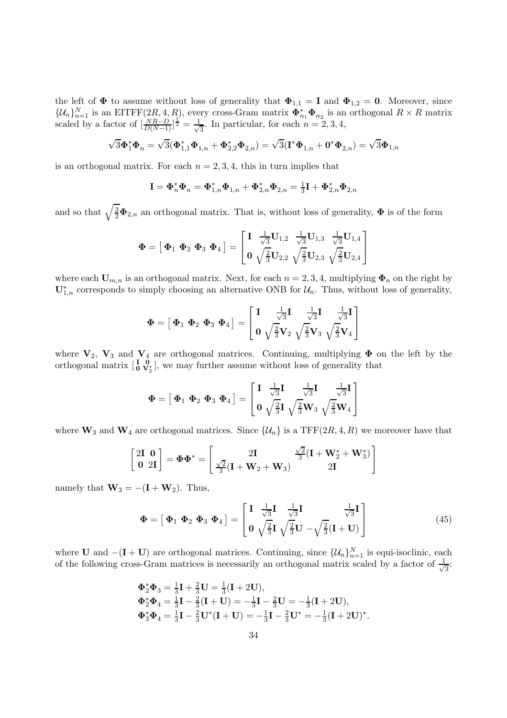the left of  $\Phi$  to assume without loss of generality that  $\Phi_{1,1} = I$  and  $\Phi_{1,2} = 0$ . Moreover, since  $\{\mathcal{U}_n\}_{n=1}^N$  is an EITFF(2R, 4, R), every cross-Gram matrix  $\mathbf{\Phi}_{n_1}^* \mathbf{\Phi}_{n_2}$  is an orthogonal  $R \times R$  matrix scaled by a factor of  $\left[\frac{NR-D}{D(N-1)}\right]^{\frac{1}{2}} = \frac{1}{\sqrt{2}}$  $\frac{1}{3}$ . In particular, for each  $n = 2, 3, 4$ ,

$$
\sqrt{3} \bm{\Phi}_1^* \bm{\Phi}_n = \sqrt{3} (\bm{\Phi}_{1,1}^* \bm{\Phi}_{1,n} + \bm{\Phi}_{2,2}^* \bm{\Phi}_{2,n}) = \sqrt{3} (\mathbf{I}^* \bm{\Phi}_{1,n} + \mathbf{0}^* \bm{\Phi}_{2,n}) = \sqrt{3} \bm{\Phi}_{1,n}
$$

is an orthogonal matrix. For each  $n = 2, 3, 4$ , this in turn implies that

$$
\mathbf{I} = \mathbf{\Phi}_n^* \mathbf{\Phi}_n = \mathbf{\Phi}_{1,n}^* \mathbf{\Phi}_{1,n} + \mathbf{\Phi}_{2,n}^* \mathbf{\Phi}_{2,n} = \frac{1}{3} \mathbf{I} + \mathbf{\Phi}_{2,n}^* \mathbf{\Phi}_{2,n}
$$

and so that  $\sqrt{\frac{3}{2}}\mathbf{\Phi}_{2,n}$  an orthogonal matrix. That is, without loss of generality,  $\mathbf{\Phi}$  is of the form

$$
\mathbf{\Phi} = \left[\mathbf{\Phi}_1 \; \mathbf{\Phi}_2 \; \mathbf{\Phi}_3 \; \mathbf{\Phi}_4\right] = \left[\begin{matrix} \mathbf{I} & \frac{1}{\sqrt{3}}\mathbf{U}_{1,2} & \frac{1}{\sqrt{3}}\mathbf{U}_{1,3} & \frac{1}{\sqrt{3}}\mathbf{U}_{1,4} \\ \mathbf{0} & \sqrt{\frac{2}{3}}\mathbf{U}_{2,2} & \sqrt{\frac{2}{3}}\mathbf{U}_{2,3} & \sqrt{\frac{2}{3}}\mathbf{U}_{2,4} \end{matrix}\right]
$$

where each  $U_{m,n}$  is an orthogonal matrix. Next, for each  $n = 2, 3, 4$ , multiplying  $\Phi_n$  on the right by  $\mathbf{U}_{1,n}^*$  corresponds to simply choosing an alternative ONB for  $\mathcal{U}_n$ . Thus, without loss of generality,

$$
\boldsymbol{\Phi} = \left[\boldsymbol{\Phi}_1 \; \boldsymbol{\Phi}_2 \; \boldsymbol{\Phi}_3 \; \boldsymbol{\Phi}_4\right] = \left[\begin{matrix} \mathbf{I} & \frac{1}{\sqrt{3}}\mathbf{I} & \frac{1}{\sqrt{3}}\mathbf{I} & \frac{1}{\sqrt{3}}\mathbf{I} \\ \mathbf{0} & \sqrt{\frac{2}{3}}\mathbf{V}_2 & \sqrt{\frac{2}{3}}\mathbf{V}_3 & \sqrt{\frac{2}{3}}\mathbf{V}_4 \end{matrix}\right]
$$

where  $V_2$ ,  $V_3$  and  $V_4$  are orthogonal matrices. Continuing, multiplying  $\Phi$  on the left by the orthogonal matrix  $\begin{bmatrix} \mathbf{I} & \mathbf{0} \\ \mathbf{0} & \mathbf{V}_2^* \end{bmatrix}$ , we may further assume without loss of generality that

$$
\boldsymbol{\Phi} = \left[\begin{array}{c|c} \boldsymbol{\Phi}_1 & \boldsymbol{\Phi}_2 & \boldsymbol{\Phi}_3 & \boldsymbol{\Phi}_4 \end{array}\right] = \left[\begin{array}{ccc} \mathbf{I} & \frac{1}{\sqrt{3}}\mathbf{I} & \frac{1}{\sqrt{3}}\mathbf{I} & \frac{1}{\sqrt{3}}\mathbf{I} \\ \mathbf{0} & \sqrt{\frac{2}{3}}\mathbf{I} & \sqrt{\frac{2}{3}}\mathbf{W}_3 & \sqrt{\frac{2}{3}}\mathbf{W}_4 \end{array}\right]
$$

where  $\mathbf{W}_3$  and  $\mathbf{W}_4$  are orthogonal matrices. Since  $\{\mathcal{U}_n\}$  is a TFF(2R, 4, R) we moreover have that

$$
\left[ \begin{matrix} 2\mathbf{I} \hspace{0.1cm} \mathbf{0} \\ \mathbf{0} \hspace{0.1cm} 2\mathbf{I} \end{matrix} \right] = \Phi \Phi^* = \left[ \begin{matrix} 2\mathbf{I} & \frac{\sqrt{2}}{3}(\mathbf{I} + \mathbf{W}_2^* + \mathbf{W}_3^*) \\ \frac{\sqrt{2}}{3}(\mathbf{I} + \mathbf{W}_2 + \mathbf{W}_3) & 2\mathbf{I} \end{matrix} \right]
$$

namely that  $\mathbf{W}_3 = -(\mathbf{I} + \mathbf{W}_2)$ . Thus,

$$
\Phi = \begin{bmatrix} \Phi_1 & \Phi_2 & \Phi_3 & \Phi_4 \end{bmatrix} = \begin{bmatrix} \mathbf{I} & \frac{1}{\sqrt{3}}\mathbf{I} & \frac{1}{\sqrt{3}}\mathbf{I} & \frac{1}{\sqrt{3}}\mathbf{I} \\ \mathbf{0} & \sqrt{\frac{2}{3}}\mathbf{I} & \sqrt{\frac{2}{3}}\mathbf{U} & -\sqrt{\frac{2}{3}}(\mathbf{I} + \mathbf{U}) \end{bmatrix}
$$
(45)

where **U** and  $-(I + U)$  are orthogonal matrices. Continuing, since  $\{\mathcal{U}_n\}_{n=1}^N$  is equi-isoclinic, each of the following cross-Gram matrices is necessarily an orthogonal matrix scaled by a factor of  $\frac{1}{\sqrt{2}}$  $\overline{3}$ :

$$
\Phi_2^* \Phi_3 = \frac{1}{3} \mathbf{I} + \frac{2}{3} \mathbf{U} = \frac{1}{3} (\mathbf{I} + 2 \mathbf{U}),
$$
  
\n
$$
\Phi_2^* \Phi_4 = \frac{1}{3} \mathbf{I} - \frac{2}{3} (\mathbf{I} + \mathbf{U}) = -\frac{1}{3} \mathbf{I} - \frac{2}{3} \mathbf{U} = -\frac{1}{3} (\mathbf{I} + 2 \mathbf{U}),
$$
  
\n
$$
\Phi_3^* \Phi_4 = \frac{1}{3} \mathbf{I} - \frac{2}{3} \mathbf{U}^* (\mathbf{I} + \mathbf{U}) = -\frac{1}{3} \mathbf{I} - \frac{2}{3} \mathbf{U}^* = -\frac{1}{3} (\mathbf{I} + 2 \mathbf{U})^*.
$$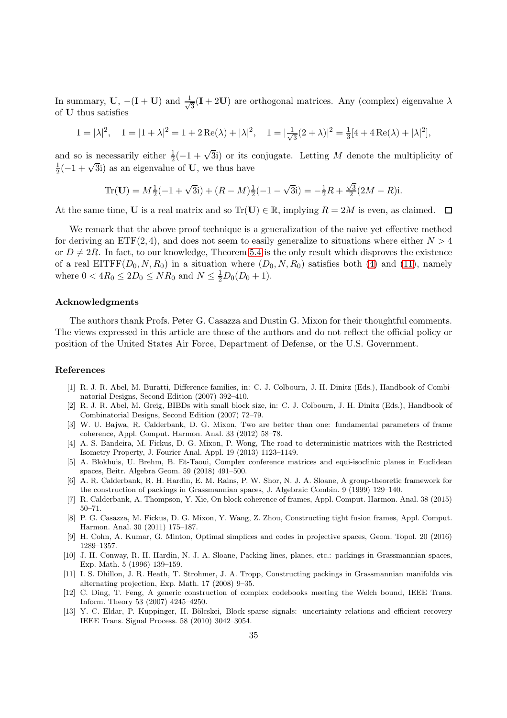In summary, U,  $-(I + U)$  and  $\frac{1}{\sqrt{2}}$  $\frac{1}{3}$ (**I** + 2**U**) are orthogonal matrices. Any (complex) eigenvalue  $\lambda$ of U thus satisfies

$$
1 = |\lambda|^2, \quad 1 = |1 + \lambda|^2 = 1 + 2\operatorname{Re}(\lambda) + |\lambda|^2, \quad 1 = |\frac{1}{\sqrt{3}}(2 + \lambda)|^2 = \frac{1}{3}[4 + 4\operatorname{Re}(\lambda) + |\lambda|^2],
$$

and so is necessarily either  $\frac{1}{2}(-1+\sqrt{3}i)$  or its conjugate. Letting M denote the multiplicity of 1  $\frac{1}{2}(-1+\sqrt{3}i)$  as an eigenvalue of **U**, we thus have

Tr(**U**) = 
$$
M\frac{1}{2}(-1 + \sqrt{3}i) + (R - M)\frac{1}{2}(-1 - \sqrt{3}i) = -\frac{1}{2}R + \frac{\sqrt{3}}{2}(2M - R)i
$$
.

At the same time, U is a real matrix and so  $\text{Tr}(\mathbf{U}) \in \mathbb{R}$ , implying  $R = 2M$  is even, as claimed.  $\Box$ 

We remark that the above proof technique is a generalization of the naive yet effective method for deriving an  $ETF(2, 4)$ , and does not seem to easily generalize to situations where either  $N > 4$ or  $D \neq 2R$ . In fact, to our knowledge, Theorem [5.4](#page-32-0) is the only result which disproves the existence of a real EITFF( $D_0, N, R_0$ ) in a situation where  $(D_0, N, R_0)$  satisfies both [\(4\)](#page-1-1) and [\(11\)](#page-5-1), namely where  $0 < 4R_0 \leq 2D_0 \leq NR_0$  and  $N \leq \frac{1}{2}D_0(D_0 + 1)$ .

## Acknowledgments

The authors thank Profs. Peter G. Casazza and Dustin G. Mixon for their thoughtful comments. The views expressed in this article are those of the authors and do not reflect the official policy or position of the United States Air Force, Department of Defense, or the U.S. Government.

#### References

- <span id="page-34-9"></span>[1] R. J. R. Abel, M. Buratti, Difference families, in: C. J. Colbourn, J. H. Dinitz (Eds.), Handbook of Combinatorial Designs, Second Edition (2007) 392–410.
- <span id="page-34-12"></span>[2] R. J. R. Abel, M. Greig, BIBDs with small block size, in: C. J. Colbourn, J. H. Dinitz (Eds.), Handbook of Combinatorial Designs, Second Edition (2007) 72–79.
- <span id="page-34-3"></span>[3] W. U. Bajwa, R. Calderbank, D. G. Mixon, Two are better than one: fundamental parameters of frame coherence, Appl. Comput. Harmon. Anal. 33 (2012) 58–78.
- <span id="page-34-4"></span>[4] A. S. Bandeira, M. Fickus, D. G. Mixon, P. Wong, The road to deterministic matrices with the Restricted Isometry Property, J. Fourier Anal. Appl. 19 (2013) 1123–1149.
- <span id="page-34-10"></span>[5] A. Blokhuis, U. Brehm, B. Et-Taoui, Complex conference matrices and equi-isoclinic planes in Euclidean spaces, Beitr. Algebra Geom. 59 (2018) 491–500.
- <span id="page-34-11"></span>[6] A. R. Calderbank, R. H. Hardin, E. M. Rains, P. W. Shor, N. J. A. Sloane, A group-theoretic framework for the construction of packings in Grassmannian spaces, J. Algebraic Combin. 9 (1999) 129–140.
- <span id="page-34-5"></span>[7] R. Calderbank, A. Thompson, Y. Xie, On block coherence of frames, Appl. Comput. Harmon. Anal. 38 (2015) 50–71.
- <span id="page-34-7"></span>[8] P. G. Casazza, M. Fickus, D. G. Mixon, Y. Wang, Z. Zhou, Constructing tight fusion frames, Appl. Comput. Harmon. Anal. 30 (2011) 175–187.
- <span id="page-34-6"></span>[9] H. Cohn, A. Kumar, G. Minton, Optimal simplices and codes in projective spaces, Geom. Topol. 20 (2016) 1289–1357.
- <span id="page-34-0"></span>[10] J. H. Conway, R. H. Hardin, N. J. A. Sloane, Packing lines, planes, etc.: packings in Grassmannian spaces, Exp. Math. 5 (1996) 139–159.
- <span id="page-34-1"></span>[11] I. S. Dhillon, J. R. Heath, T. Strohmer, J. A. Tropp, Constructing packings in Grassmannian manifolds via alternating projection, Exp. Math. 17 (2008) 9–35.
- <span id="page-34-8"></span>[12] C. Ding, T. Feng, A generic construction of complex codebooks meeting the Welch bound, IEEE Trans. Inform. Theory 53 (2007) 4245–4250.
- <span id="page-34-2"></span>[13] Y. C. Eldar, P. Kuppinger, H. Bölcskei, Block-sparse signals: uncertainty relations and efficient recovery IEEE Trans. Signal Process. 58 (2010) 3042–3054.